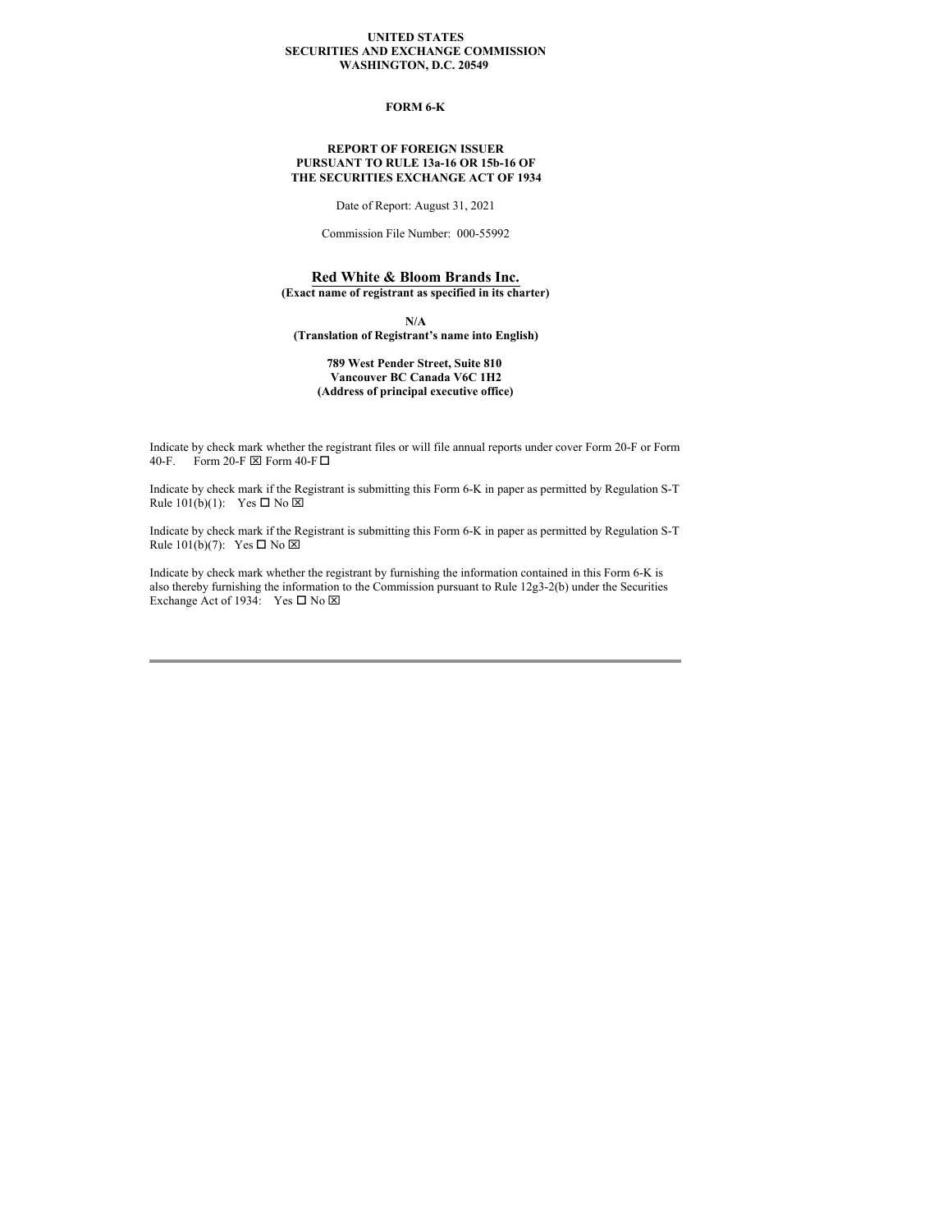#### **UNITED STATES SECURITIES AND EXCHANGE COMMISSION WASHINGTON, D.C. 20549**

## **FORM 6-K**

#### **REPORT OF FOREIGN ISSUER PURSUANT TO RULE 13a-16 OR 15b-16 OF THE SECURITIES EXCHANGE ACT OF 1934**

Date of Report: August 31, 2021

Commission File Number: 000-55992

## **Red White & Bloom Brands Inc. (Exact name of registrant as specified in its charter)**

**N/A (Translation of Registrant's name into English)**

### **789 West Pender Street, Suite 810 Vancouver BC Canada V6C 1H2 (Address of principal executive office)**

Indicate by check mark whether the registrant files or will file annual reports under cover Form 20-F or Form 40-F. Form 20-F $\boxtimes$  Form 40-F $\Box$ 

Indicate by check mark if the Registrant is submitting this Form 6-K in paper as permitted by Regulation S-T Rule  $101(b)(1)$ : Yes  $\Box$  No  $\boxtimes$ 

Indicate by check mark if the Registrant is submitting this Form 6-K in paper as permitted by Regulation S-T Rule  $101(b)(7)$ : Yes  $\Box$  No  $\boxtimes$ 

Indicate by check mark whether the registrant by furnishing the information contained in this Form 6-K is also thereby furnishing the information to the Commission pursuant to Rule 12g3-2(b) under the Securities Exchange Act of 1934: Yes  $\square$  No  $\square$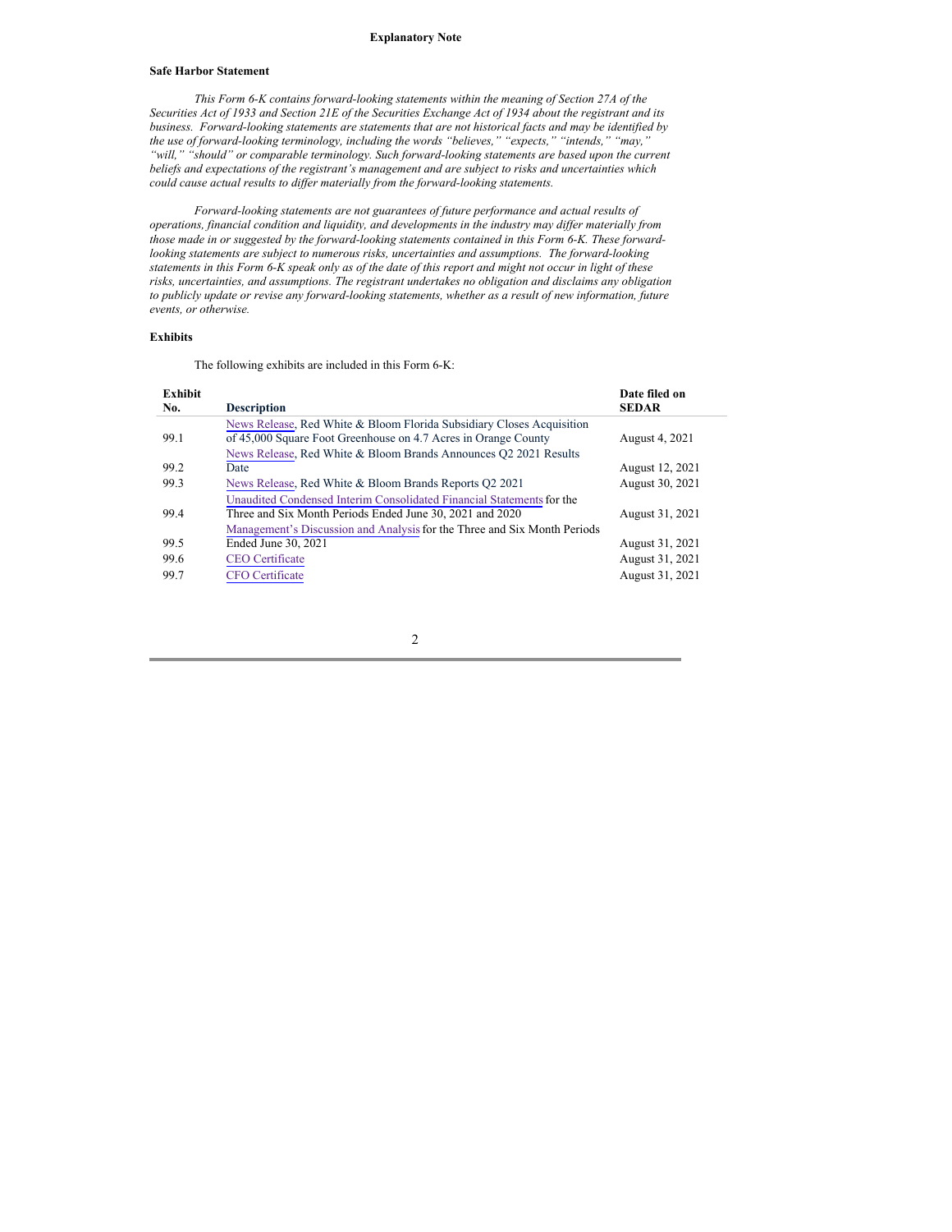#### **Explanatory Note**

#### **Safe Harbor Statement**

*This Form 6-K contains forward-looking statements within the meaning of Section 27A of the* Securities Act of 1933 and Section 21E of the Securities Exchange Act of 1934 about the registrant and its *business. Forward-looking statements are statements that are not historical facts and may be identified by the use of forward-looking terminology, including the words "believes," "expects," "intends," "may," "will," "should" or comparable terminology. Such forward-looking statements are based upon the current beliefs and expectations of the registrant's management and are subject to risks and uncertainties which could cause actual results to dif er materially from the forward-looking statements.*

*Forward-looking statements are not guarantees of future performance and actual results of operations, financial condition and liquidity, and developments in the industry may dif er materially from those made in or suggested by the forward-looking statements contained in this Form 6-K. These forwardlooking statements are subject to numerous risks, uncertainties and assumptions. The forward-looking* statements in this Form 6-K speak only as of the date of this report and might not occur in light of these *risks, uncertainties, and assumptions. The registrant undertakes no obligation and disclaims any obligation to publicly update or revise any forward-looking statements, whether as a result of new information, future events, or otherwise.*

### **Exhibits**

The following exhibits are included in this Form 6-K:

| <b>Exhibit</b><br>No. | <b>Description</b>                                                       | Date filed on<br><b>SEDAR</b> |
|-----------------------|--------------------------------------------------------------------------|-------------------------------|
|                       | News Release, Red White & Bloom Florida Subsidiary Closes Acquisition    |                               |
| 99.1                  | of 45,000 Square Foot Greenhouse on 4.7 Acres in Orange County           | <b>August 4, 2021</b>         |
|                       | News Release, Red White & Bloom Brands Announces Q2 2021 Results         |                               |
| 99.2                  | Date                                                                     | August 12, 2021               |
| 99.3                  | News Release, Red White & Bloom Brands Reports O2 2021                   | August 30, 2021               |
|                       | Unaudited Condensed Interim Consolidated Financial Statements for the    |                               |
| 99.4                  | Three and Six Month Periods Ended June 30, 2021 and 2020                 | August 31, 2021               |
|                       | Management's Discussion and Analysis for the Three and Six Month Periods |                               |
| 99.5                  | Ended June 30, 2021                                                      | August 31, 2021               |
| 99.6                  | <b>CEO</b> Certificate                                                   | August 31, 2021               |
| 99.7                  | <b>CFO</b> Certificate                                                   | August 31, 2021               |
|                       |                                                                          |                               |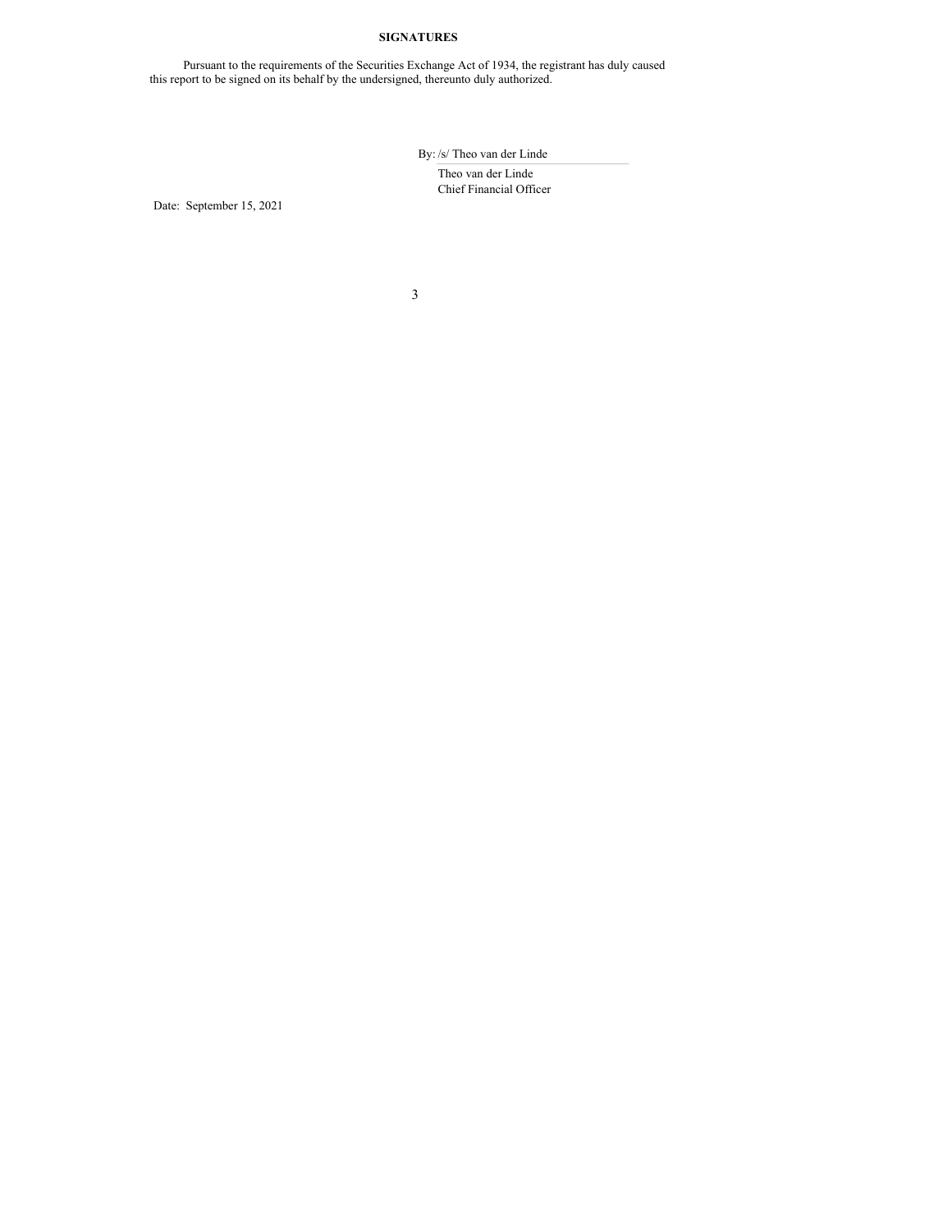## **SIGNATURES**

Pursuant to the requirements of the Securities Exchange Act of 1934, the registrant has duly caused this report to be signed on its behalf by the undersigned, thereunto duly authorized.

By: /s/ Theo van der Linde

Theo van der Linde Chief Financial Officer

Date: September 15, 2021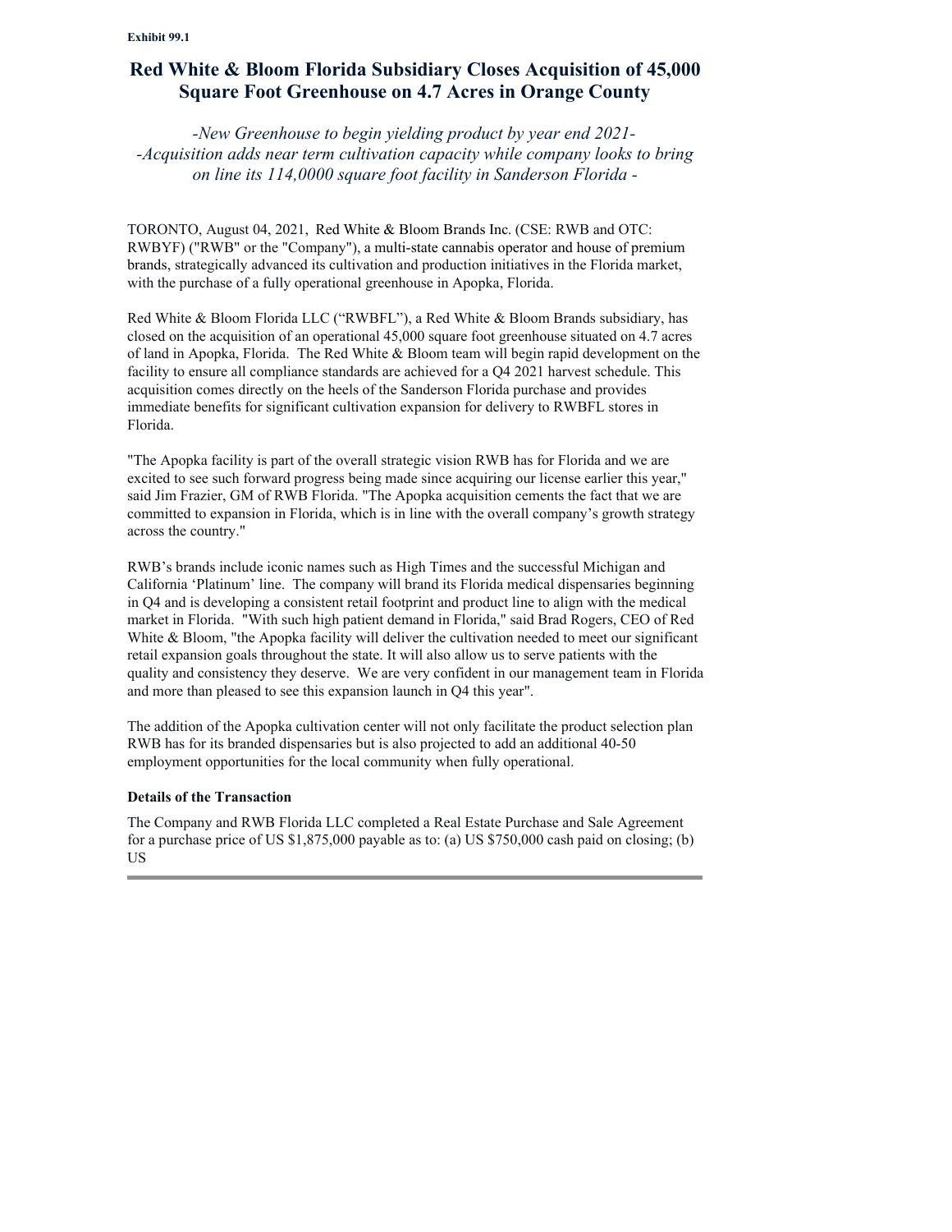# **Red White & Bloom Florida Subsidiary Closes Acquisition of 45,000 Square Foot Greenhouse on 4.7 Acres in Orange County**

*-New Greenhouse to begin yielding product by year end 2021- -Acquisition adds near term cultivation capacity while company looks to bring on line its 114,0000 square foot facility in Sanderson Florida -*

TORONTO, August 04, 2021, Red White & Bloom Brands Inc. (CSE: RWB and OTC: RWBYF) ("RWB" or the "Company"), a multi-state cannabis operator and house of premium brands, strategically advanced its cultivation and production initiatives in the Florida market, with the purchase of a fully operational greenhouse in Apopka, Florida.

Red White & Bloom Florida LLC ("RWBFL"), a Red White & Bloom Brands subsidiary, has closed on the acquisition of an operational 45,000 square foot greenhouse situated on 4.7 acres of land in Apopka, Florida. The Red White & Bloom team will begin rapid development on the facility to ensure all compliance standards are achieved for a Q4 2021 harvest schedule. This acquisition comes directly on the heels of the Sanderson Florida purchase and provides immediate benefits for significant cultivation expansion for delivery to RWBFL stores in Florida.

"The Apopka facility is part of the overall strategic vision RWB has for Florida and we are excited to see such forward progress being made since acquiring our license earlier this year," said Jim Frazier, GM of RWB Florida. "The Apopka acquisition cements the fact that we are committed to expansion in Florida, which is in line with the overall company's growth strategy across the country."

RWB's brands include iconic names such as High Times and the successful Michigan and California 'Platinum' line. The company will brand its Florida medical dispensaries beginning in Q4 and is developing a consistent retail footprint and product line to align with the medical market in Florida. "With such high patient demand in Florida," said Brad Rogers, CEO of Red White & Bloom, "the Apopka facility will deliver the cultivation needed to meet our significant retail expansion goals throughout the state. It will also allow us to serve patients with the quality and consistency they deserve. We are very confident in our management team in Florida and more than pleased to see this expansion launch in Q4 this year".

The addition of the Apopka cultivation center will not only facilitate the product selection plan RWB has for its branded dispensaries but is also projected to add an additional 40-50 employment opportunities for the local community when fully operational.

## **Details of the Transaction**

The Company and RWB Florida LLC completed a Real Estate Purchase and Sale Agreement for a purchase price of US \$1,875,000 payable as to: (a) US \$750,000 cash paid on closing; (b) US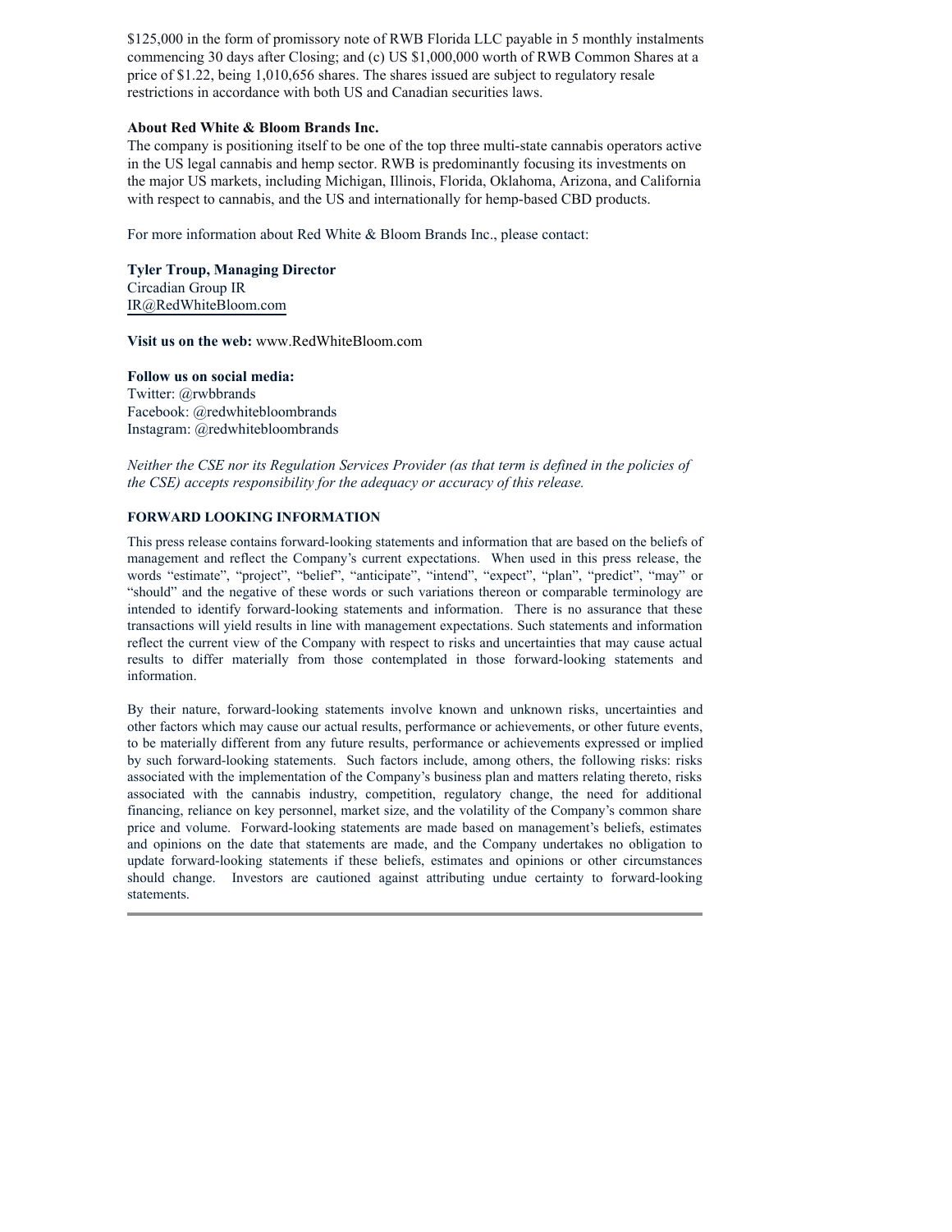<span id="page-4-0"></span>\$125,000 in the form of promissory note of RWB Florida LLC payable in 5 monthly instalments commencing 30 days after Closing; and (c) US \$1,000,000 worth of RWB Common Shares at a price of \$1.22, being 1,010,656 shares. The shares issued are subject to regulatory resale restrictions in accordance with both US and Canadian securities laws.

## **About Red White & Bloom Brands Inc.**

The company is positioning itself to be one of the top three multi-state cannabis operators active in the US legal cannabis and hemp sector. RWB is predominantly focusing its investments on the major US markets, including Michigan, Illinois, Florida, Oklahoma, Arizona, and California with respect to cannabis, and the US and internationally for hemp-based CBD products.

For more information about Red White & Bloom Brands Inc., please contact:

**Tyler Troup, Managing Director** Circadian Group IR IR@RedWhiteBloom.com

**Visit us on the web:** www.RedWhiteBloom.com

**Follow us on social media:** Twitter: @rwbbrands Facebook: @redwhitebloombrands Instagram: @redwhitebloombrands

*Neither the CSE nor its Regulation Services Provider (as that term is defined in the policies of the CSE) accepts responsibility for the adequacy or accuracy of this release.*

## **FORWARD LOOKING INFORMATION**

This press release contains forward-looking statements and information that are based on the beliefs of management and reflect the Company's current expectations. When used in this press release, the words "estimate", "project", "belief", "anticipate", "intend", "expect", "plan", "predict", "may" or "should" and the negative of these words or such variations thereon or comparable terminology are intended to identify forward-looking statements and information. There is no assurance that these transactions will yield results in line with management expectations. Such statements and information reflect the current view of the Company with respect to risks and uncertainties that may cause actual results to differ materially from those contemplated in those forward-looking statements and information.

By their nature, forward-looking statements involve known and unknown risks, uncertainties and other factors which may cause our actual results, performance or achievements, or other future events, to be materially different from any future results, performance or achievements expressed or implied by such forward-looking statements. Such factors include, among others, the following risks: risks associated with the implementation of the Company's business plan and matters relating thereto, risks associated with the cannabis industry, competition, regulatory change, the need for additional financing, reliance on key personnel, market size, and the volatility of the Company's common share price and volume. Forward-looking statements are made based on management's beliefs, estimates and opinions on the date that statements are made, and the Company undertakes no obligation to update forward-looking statements if these beliefs, estimates and opinions or other circumstances should change. Investors are cautioned against attributing undue certainty to forward-looking statements.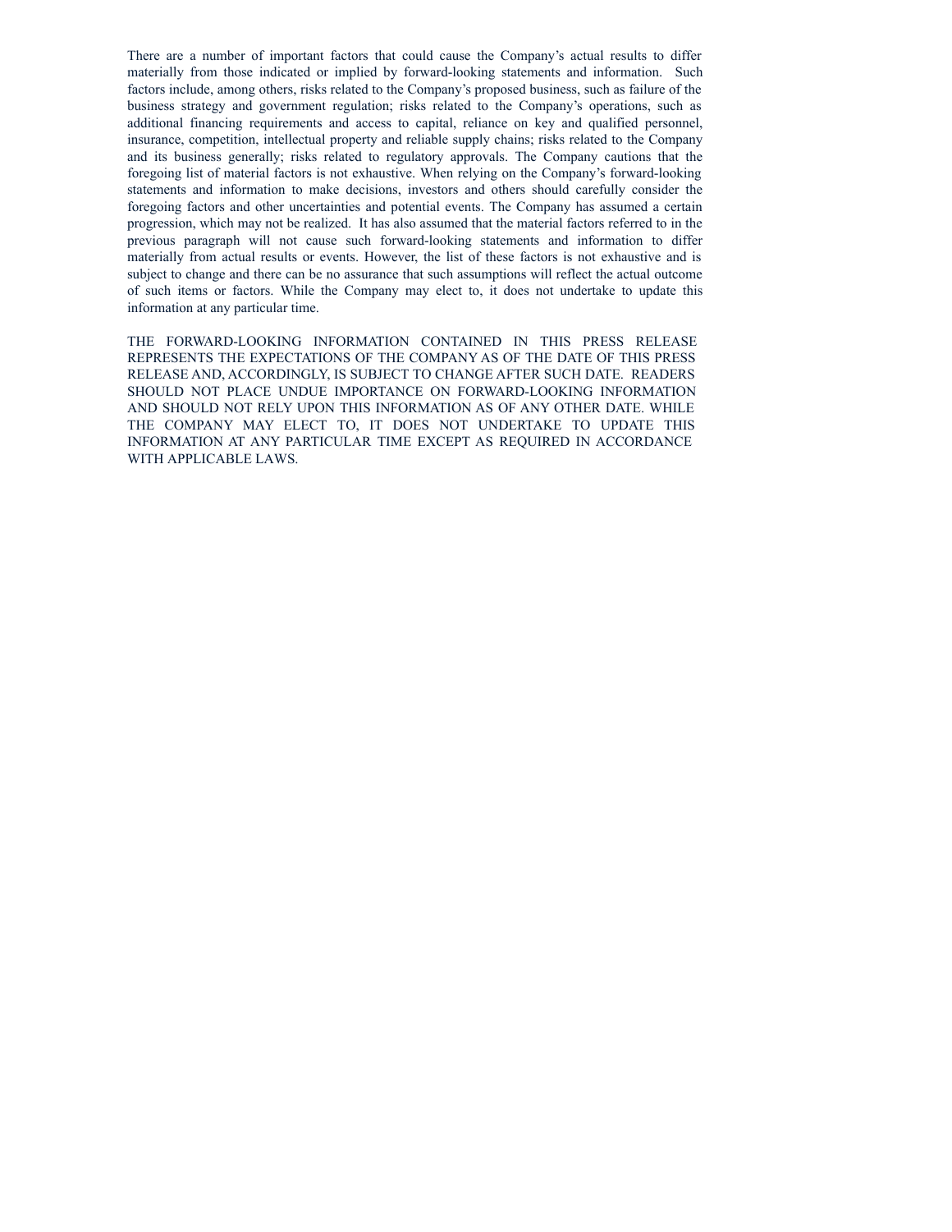There are a number of important factors that could cause the Company's actual results to differ materially from those indicated or implied by forward-looking statements and information. Such factors include, among others, risks related to the Company's proposed business, such as failure of the business strategy and government regulation; risks related to the Company's operations, such as additional financing requirements and access to capital, reliance on key and qualified personnel, insurance, competition, intellectual property and reliable supply chains; risks related to the Company and its business generally; risks related to regulatory approvals. The Company cautions that the foregoing list of material factors is not exhaustive. When relying on the Company's forward-looking statements and information to make decisions, investors and others should carefully consider the foregoing factors and other uncertainties and potential events. The Company has assumed a certain progression, which may not be realized. It has also assumed that the material factors referred to in the previous paragraph will not cause such forward-looking statements and information to differ materially from actual results or events. However, the list of these factors is not exhaustive and is subject to change and there can be no assurance that such assumptions will reflect the actual outcome of such items or factors. While the Company may elect to, it does not undertake to update this information at any particular time.

THE FORWARD-LOOKING INFORMATION CONTAINED IN THIS PRESS RELEASE REPRESENTS THE EXPECTATIONS OF THE COMPANY AS OF THE DATE OF THIS PRESS RELEASE AND, ACCORDINGLY, IS SUBJECT TO CHANGE AFTER SUCH DATE. READERS SHOULD NOT PLACE UNDUE IMPORTANCE ON FORWARD-LOOKING INFORMATION AND SHOULD NOT RELY UPON THIS INFORMATION AS OF ANY OTHER DATE. WHILE THE COMPANY MAY ELECT TO, IT DOES NOT UNDERTAKE TO UPDATE THIS INFORMATION AT ANY PARTICULAR TIME EXCEPT AS REQUIRED IN ACCORDANCE WITH APPLICABLE LAWS.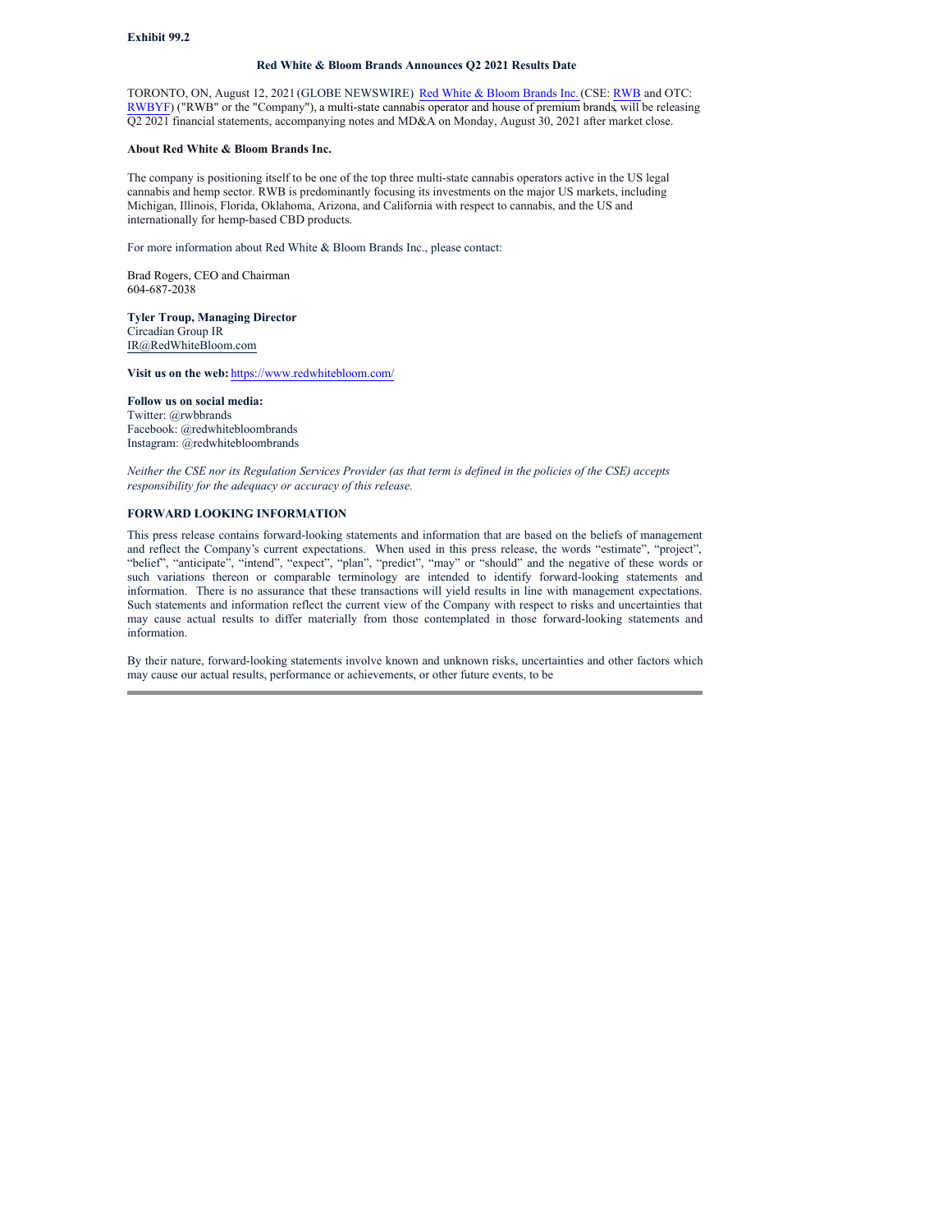#### <span id="page-6-0"></span>**Exhibit 99.2**

#### **Red White & Bloom Brands Announces Q2 2021 Results Date**

TORONTO, ON, August 12, 2021 (GLOBE NEWSWIRE) Red White & Bloom Brands Inc.(CSE: RWB and OTC: RWBYF) ("RWB" or the "Company"), a multi-state cannabis operator and house of premium brands, will be releasing Q2 2021 financial statements, accompanying notes and MD&A on Monday, August 30, 2021 after market close.

#### **About Red White & Bloom Brands Inc.**

The company is positioning itself to be one of the top three multi-state cannabis operators active in the US legal cannabis and hemp sector. RWB is predominantly focusing its investments on the major US markets, including Michigan, Illinois, Florida, Oklahoma, Arizona, and California with respect to cannabis, and the US and internationally for hemp-based CBD products.

For more information about Red White & Bloom Brands Inc., please contact:

Brad Rogers, CEO and Chairman 604-687-2038

**Tyler Troup, Managing Director** Circadian Group IR IR@RedWhiteBloom.com

**Visit us on the web:** https://www.redwhitebloom.com/

**Follow us on social media:** Twitter: @rwbbrands Facebook: @redwhitebloombrands Instagram: @redwhitebloombrands

Neither the CSE nor its Regulation Services Provider (as that term is defined in the policies of the CSE) accepts *responsibility for the adequacy or accuracy of this release.*

#### **FORWARD LOOKING INFORMATION**

This press release contains forward-looking statements and information that are based on the beliefs of management and reflect the Company's current expectations. When used in this press release, the words "estimate", "project", "belief", "anticipate", "intend", "expect", "plan", "predict", "may" or "should" and the negative of these words or such variations thereon or comparable terminology are intended to identify forward-looking statements and information. There is no assurance that these transactions will yield results in line with management expectations. Such statements and information reflect the current view of the Company with respect to risks and uncertainties that may cause actual results to differ materially from those contemplated in those forward-looking statements and information.

By their nature, forward-looking statements involve known and unknown risks, uncertainties and other factors which may cause our actual results, performance or achievements, or other future events, to be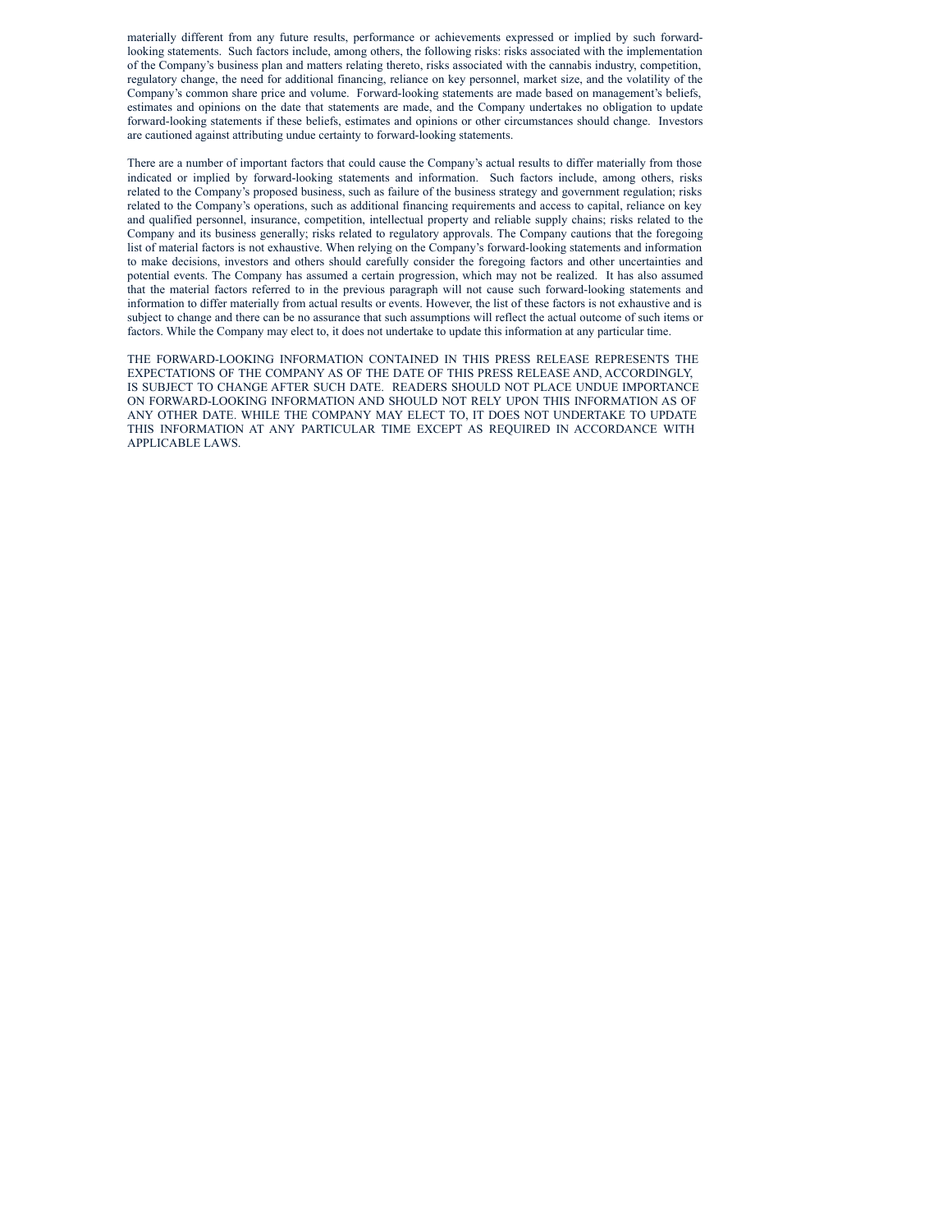materially different from any future results, performance or achievements expressed or implied by such forwardlooking statements. Such factors include, among others, the following risks: risks associated with the implementation of the Company's business plan and matters relating thereto, risks associated with the cannabis industry, competition, regulatory change, the need for additional financing, reliance on key personnel, market size, and the volatility of the Company's common share price and volume. Forward-looking statements are made based on management's beliefs, estimates and opinions on the date that statements are made, and the Company undertakes no obligation to update forward-looking statements if these beliefs, estimates and opinions or other circumstances should change. Investors are cautioned against attributing undue certainty to forward-looking statements.

There are a number of important factors that could cause the Company's actual results to differ materially from those indicated or implied by forward-looking statements and information. Such factors include, among others, risks related to the Company's proposed business, such as failure of the business strategy and government regulation; risks related to the Company's operations, such as additional financing requirements and access to capital, reliance on key and qualified personnel, insurance, competition, intellectual property and reliable supply chains; risks related to the Company and its business generally; risks related to regulatory approvals. The Company cautions that the foregoing list of material factors is not exhaustive. When relying on the Company's forward-looking statements and information to make decisions, investors and others should carefully consider the foregoing factors and other uncertainties and potential events. The Company has assumed a certain progression, which may not be realized. It has also assumed that the material factors referred to in the previous paragraph will not cause such forward-looking statements and information to differ materially from actual results or events. However, the list of these factors is not exhaustive and is subject to change and there can be no assurance that such assumptions will reflect the actual outcome of such items or factors. While the Company may elect to, it does not undertake to update this information at any particular time.

THE FORWARD-LOOKING INFORMATION CONTAINED IN THIS PRESS RELEASE REPRESENTS THE EXPECTATIONS OF THE COMPANY AS OF THE DATE OF THIS PRESS RELEASE AND, ACCORDINGLY, IS SUBJECT TO CHANGE AFTER SUCH DATE. READERS SHOULD NOT PLACE UNDUE IMPORTANCE ON FORWARD-LOOKING INFORMATION AND SHOULD NOT RELY UPON THIS INFORMATION AS OF ANY OTHER DATE. WHILE THE COMPANY MAY ELECT TO, IT DOES NOT UNDERTAKE TO UPDATE THIS INFORMATION AT ANY PARTICULAR TIME EXCEPT AS REQUIRED IN ACCORDANCE WITH APPLICABLE LAWS.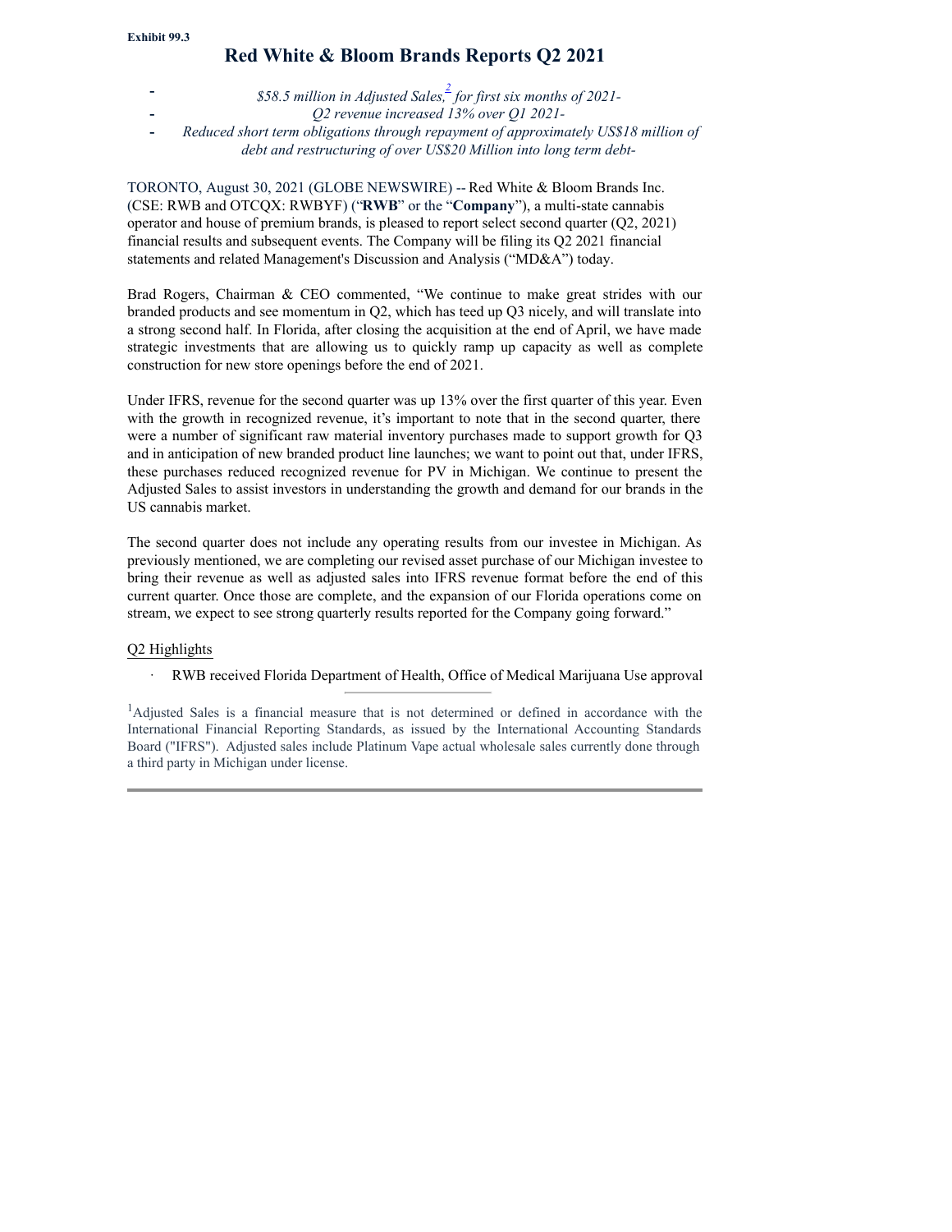**- -**

# **Red White & Bloom Brands Reports Q2 2021**

- *\$58.5 million in Adjusted Sales, 2 for first six months of 2021-*
	- *Q2 revenue increased 13% over Q1 2021-*
- *Reduced short term obligations through repayment of approximately US\$18 million of* **-**

*debt and restructuring of over US\$20 Million into long term debt-*

TORONTO, August 30, 2021 (GLOBE NEWSWIRE) -- Red White & Bloom Brands Inc. (CSE: RWB and OTCQX: RWBYF) ("**RWB**" or the "**Company**"), a multi-state cannabis operator and house of premium brands, is pleased to report select second quarter (Q2, 2021) financial results and subsequent events. The Company will be filing its Q2 2021 financial statements and related Management's Discussion and Analysis ("MD&A") today.

Brad Rogers, Chairman & CEO commented, "We continue to make great strides with our branded products and see momentum in Q2, which has teed up Q3 nicely, and will translate into a strong second half. In Florida, after closing the acquisition at the end of April, we have made strategic investments that are allowing us to quickly ramp up capacity as well as complete construction for new store openings before the end of 2021.

Under IFRS, revenue for the second quarter was up 13% over the first quarter of this year. Even with the growth in recognized revenue, it's important to note that in the second quarter, there were a number of significant raw material inventory purchases made to support growth for Q3 and in anticipation of new branded product line launches; we want to point out that, under IFRS, these purchases reduced recognized revenue for PV in Michigan. We continue to present the Adjusted Sales to assist investors in understanding the growth and demand for our brands in the US cannabis market.

The second quarter does not include any operating results from our investee in Michigan. As previously mentioned, we are completing our revised asset purchase of our Michigan investee to bring their revenue as well as adjusted sales into IFRS revenue format before the end of this current quarter. Once those are complete, and the expansion of our Florida operations come on stream, we expect to see strong quarterly results reported for the Company going forward."

## Q2 Highlights

RWB received Florida Department of Health, Office of Medical Marijuana Use approval ·

<sup>1</sup>Adjusted Sales is a financial measure that is not determined or defined in accordance with the International Financial Reporting Standards, as issued by the International Accounting Standards Board ("IFRS"). Adjusted sales include Platinum Vape actual wholesale sales currently done through a third party in Michigan under license.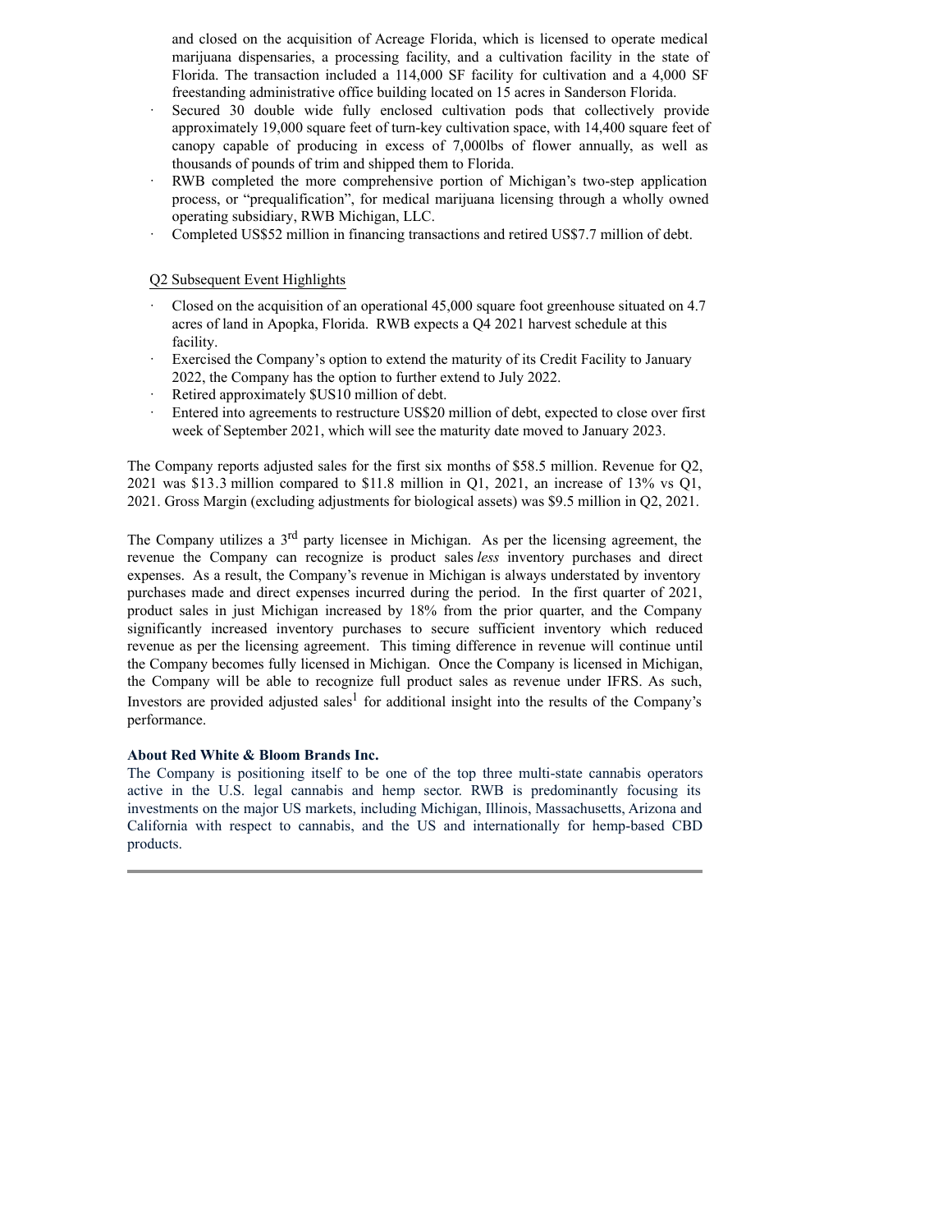<span id="page-9-0"></span>and closed on the acquisition of Acreage Florida, which is licensed to operate medical marijuana dispensaries, a processing facility, and a cultivation facility in the state of Florida. The transaction included a 114,000 SF facility for cultivation and a 4,000 SF freestanding administrative office building located on 15 acres in Sanderson Florida.

- Secured 30 double wide fully enclosed cultivation pods that collectively provide approximately 19,000 square feet of turn-key cultivation space, with 14,400 square feet of canopy capable of producing in excess of 7,000lbs of flower annually, as well as thousands of pounds of trim and shipped them to Florida. ·
- RWB completed the more comprehensive portion of Michigan's two-step application process, or "prequalification", for medical marijuana licensing through a wholly owned operating subsidiary, RWB Michigan, LLC. ·
- Completed US\$52 million in financing transactions and retired US\$7.7 million of debt. ·

Q2 Subsequent Event Highlights

- Closed on the acquisition of an operational 45,000 square foot greenhouse situated on 4.7 acres of land in Apopka, Florida. RWB expects a Q4 2021 harvest schedule at this facility. ·
- Exercised the Company's option to extend the maturity of its Credit Facility to January 2022, the Company has the option to further extend to July 2022. ·
- Retired approximately \$US10 million of debt. ·
- Entered into agreements to restructure US\$20 million of debt, expected to close over first week of September 2021, which will see the maturity date moved to January 2023. ·

The Company reports adjusted sales for the first six months of \$58.5 million. Revenue for Q2, 2021 was \$13.3 million compared to \$11.8 million in Q1, 2021, an increase of 13% vs Q1, 2021. Gross Margin (excluding adjustments for biological assets) was \$9.5 million in Q2, 2021.

The Company utilizes a 3<sup>rd</sup> party licensee in Michigan. As per the licensing agreement, the revenue the Company can recognize is product sales *less* inventory purchases and direct expenses. As a result, the Company's revenue in Michigan is always understated by inventory purchases made and direct expenses incurred during the period. In the first quarter of 2021, product sales in just Michigan increased by 18% from the prior quarter, and the Company significantly increased inventory purchases to secure sufficient inventory which reduced revenue as per the licensing agreement. This timing difference in revenue will continue until the Company becomes fully licensed in Michigan. Once the Company is licensed in Michigan, the Company will be able to recognize full product sales as revenue under IFRS. As such, Investors are provided adjusted sales<sup>1</sup> for additional insight into the results of the Company's performance.

## **About Red White & Bloom Brands Inc.**

The Company is positioning itself to be one of the top three multi-state cannabis operators active in the U.S. legal cannabis and hemp sector. RWB is predominantly focusing its investments on the major US markets, including Michigan, Illinois, Massachusetts, Arizona and California with respect to cannabis, and the US and internationally for hemp-based CBD products.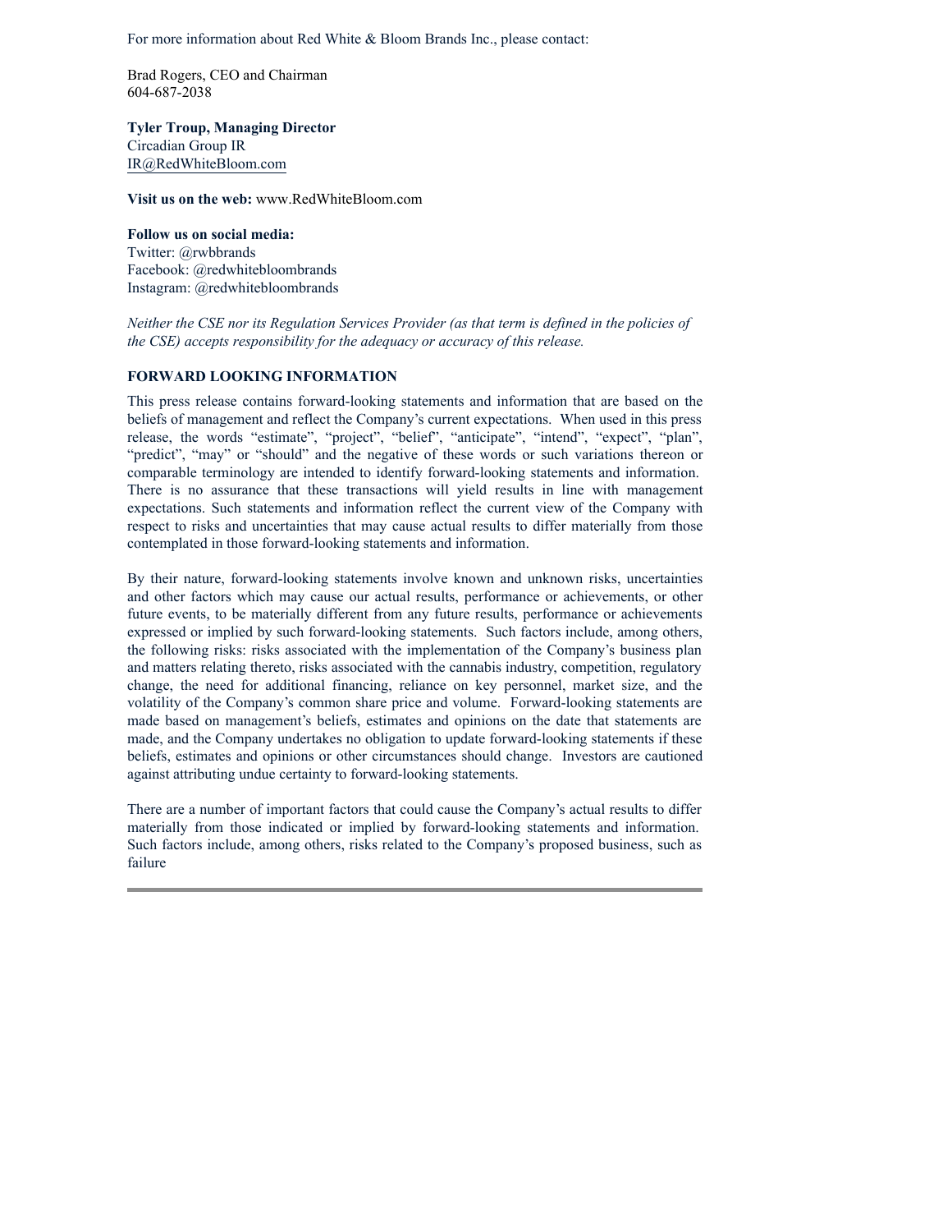For more information about Red White & Bloom Brands Inc., please contact:

Brad Rogers, CEO and Chairman 604-687-2038

**Tyler Troup, Managing Director** Circadian Group IR IR@RedWhiteBloom.com

**Visit us on the web:** www.RedWhiteBloom.com

## **Follow us on social media:**

Twitter: @rwbbrands Facebook: @redwhitebloombrands Instagram: @redwhitebloombrands

*Neither the CSE nor its Regulation Services Provider (as that term is defined in the policies of the CSE) accepts responsibility for the adequacy or accuracy of this release.*

## **FORWARD LOOKING INFORMATION**

This press release contains forward-looking statements and information that are based on the beliefs of management and reflect the Company's current expectations. When used in this press release, the words "estimate", "project", "belief", "anticipate", "intend", "expect", "plan", "predict", "may" or "should" and the negative of these words or such variations thereon or comparable terminology are intended to identify forward-looking statements and information. There is no assurance that these transactions will yield results in line with management expectations. Such statements and information reflect the current view of the Company with respect to risks and uncertainties that may cause actual results to differ materially from those contemplated in those forward-looking statements and information.

By their nature, forward-looking statements involve known and unknown risks, uncertainties and other factors which may cause our actual results, performance or achievements, or other future events, to be materially different from any future results, performance or achievements expressed or implied by such forward-looking statements. Such factors include, among others, the following risks: risks associated with the implementation of the Company's business plan and matters relating thereto, risks associated with the cannabis industry, competition, regulatory change, the need for additional financing, reliance on key personnel, market size, and the volatility of the Company's common share price and volume. Forward-looking statements are made based on management's beliefs, estimates and opinions on the date that statements are made, and the Company undertakes no obligation to update forward-looking statements if these beliefs, estimates and opinions or other circumstances should change. Investors are cautioned against attributing undue certainty to forward-looking statements.

There are a number of important factors that could cause the Company's actual results to differ materially from those indicated or implied by forward-looking statements and information. Such factors include, among others, risks related to the Company's proposed business, such as failure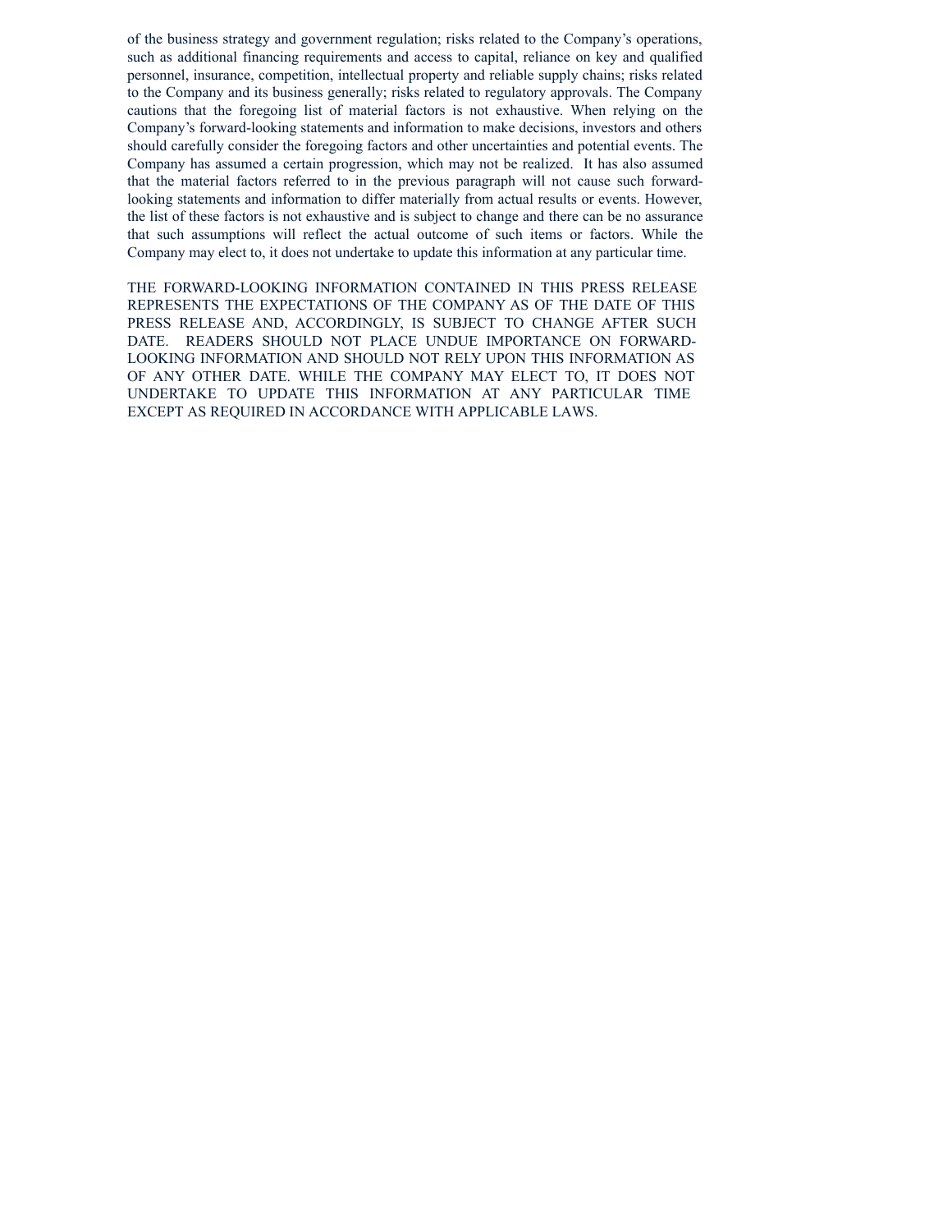of the business strategy and government regulation; risks related to the Company's operations, such as additional financing requirements and access to capital, reliance on key and qualified personnel, insurance, competition, intellectual property and reliable supply chains; risks related to the Company and its business generally; risks related to regulatory approvals. The Company cautions that the foregoing list of material factors is not exhaustive. When relying on the Company's forward-looking statements and information to make decisions, investors and others should carefully consider the foregoing factors and other uncertainties and potential events. The Company has assumed a certain progression, which may not be realized. It has also assumed that the material factors referred to in the previous paragraph will not cause such forwardlooking statements and information to differ materially from actual results or events. However, the list of these factors is not exhaustive and is subject to change and there can be no assurance that such assumptions will reflect the actual outcome of such items or factors. While the Company may elect to, it does not undertake to update this information at any particular time.

THE FORWARD-LOOKING INFORMATION CONTAINED IN THIS PRESS RELEASE REPRESENTS THE EXPECTATIONS OF THE COMPANY AS OF THE DATE OF THIS PRESS RELEASE AND, ACCORDINGLY, IS SUBJECT TO CHANGE AFTER SUCH DATE. READERS SHOULD NOT PLACE UNDUE IMPORTANCE ON FORWARD-LOOKING INFORMATION AND SHOULD NOT RELY UPON THIS INFORMATION AS OF ANY OTHER DATE. WHILE THE COMPANY MAY ELECT TO, IT DOES NOT UNDERTAKE TO UPDATE THIS INFORMATION AT ANY PARTICULAR TIME EXCEPT AS REQUIRED IN ACCORDANCE WITH APPLICABLE LAWS.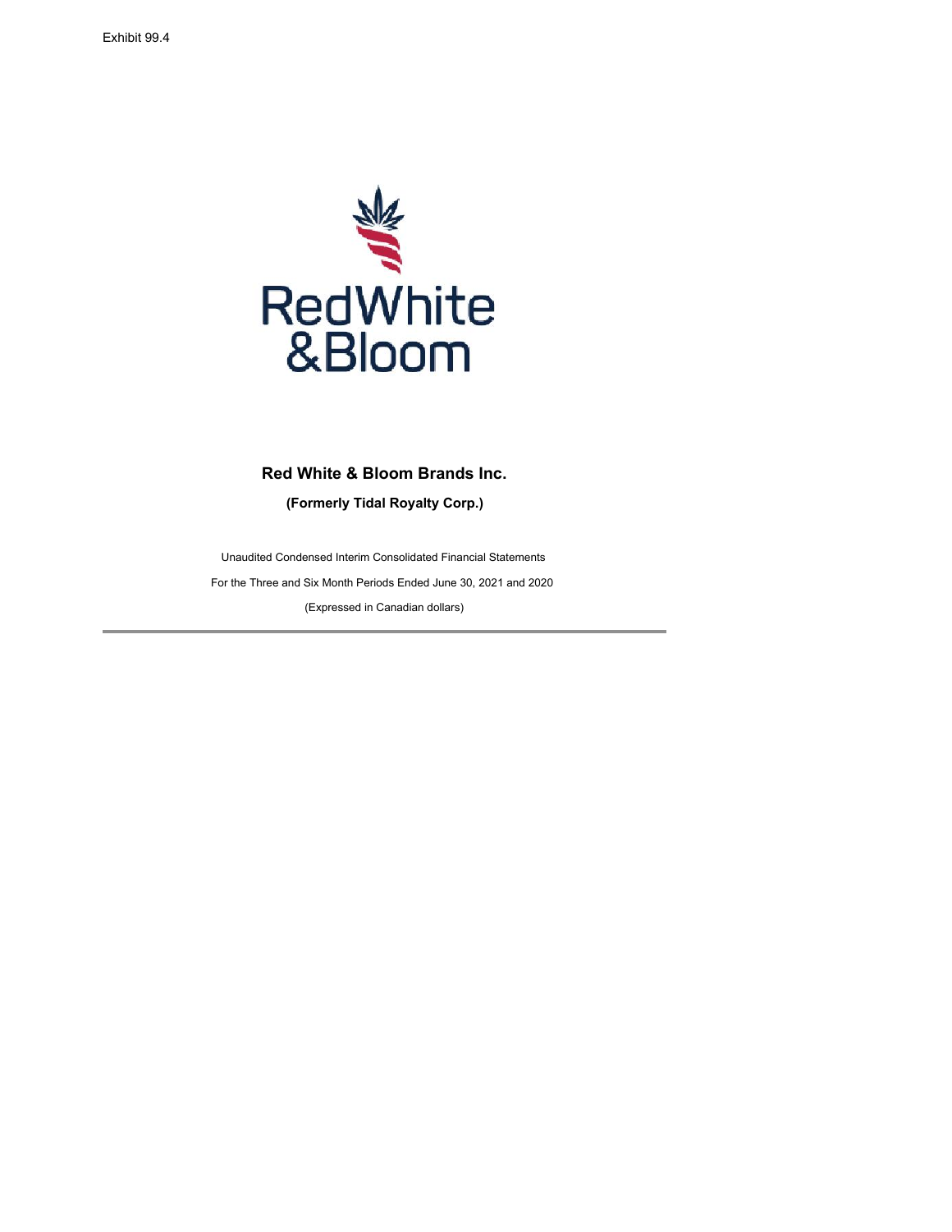

## **Red White & Bloom Brands Inc.**

**(Formerly Tidal Royalty Corp.)**

Unaudited Condensed Interim Consolidated Financial Statements For the Three and Six Month Periods Ended June 30, 2021 and 2020 (Expressed in Canadian dollars)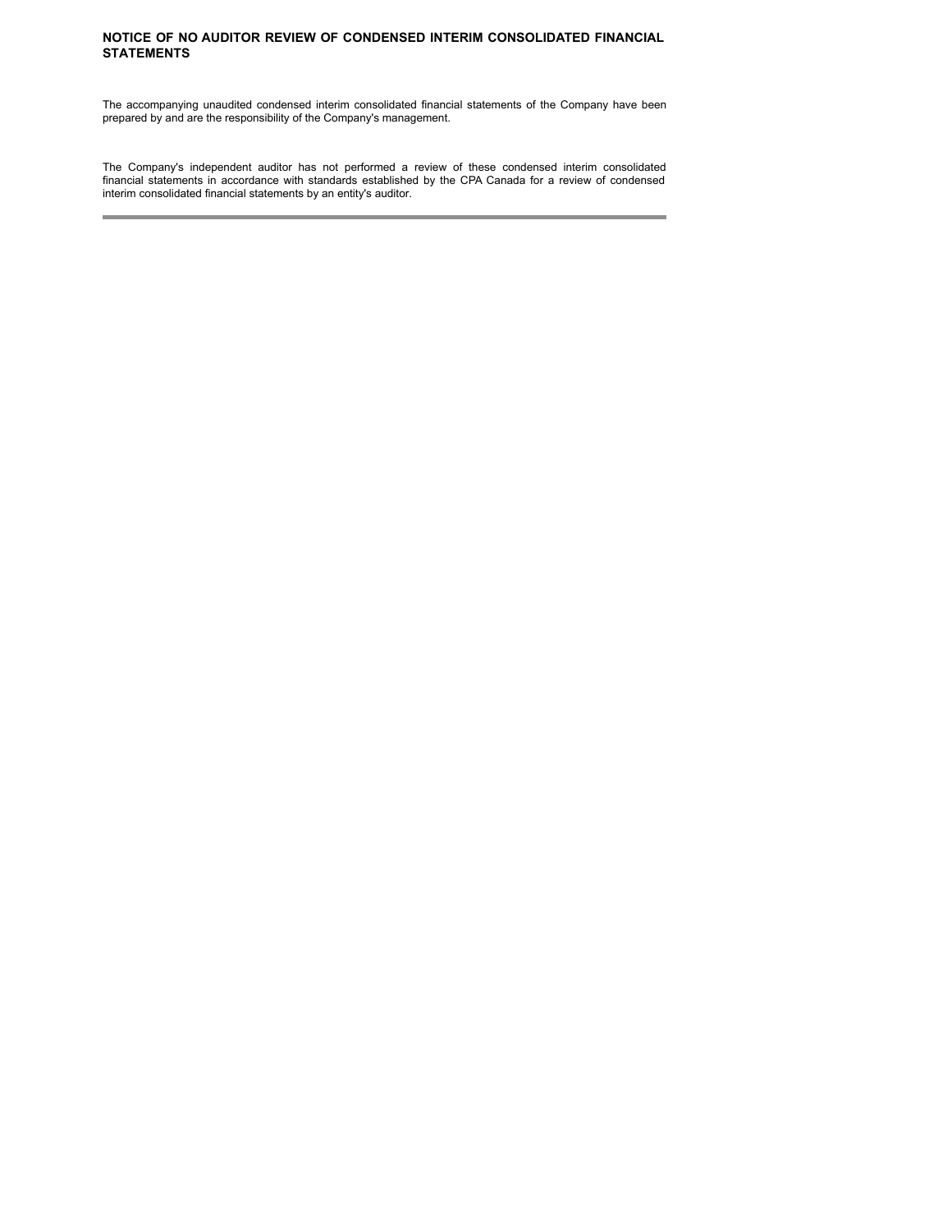## **NOTICE OF NO AUDITOR REVIEW OF CONDENSED INTERIM CONSOLIDATED FINANCIAL STATEMENTS**

The accompanying unaudited condensed interim consolidated financial statements of the Company have been prepared by and are the responsibility of the Company's management.

The Company's independent auditor has not performed a review of these condensed interim consolidated financial statements in accordance with standards established by the CPA Canada for a review of condensed interim consolidated financial statements by an entity's auditor.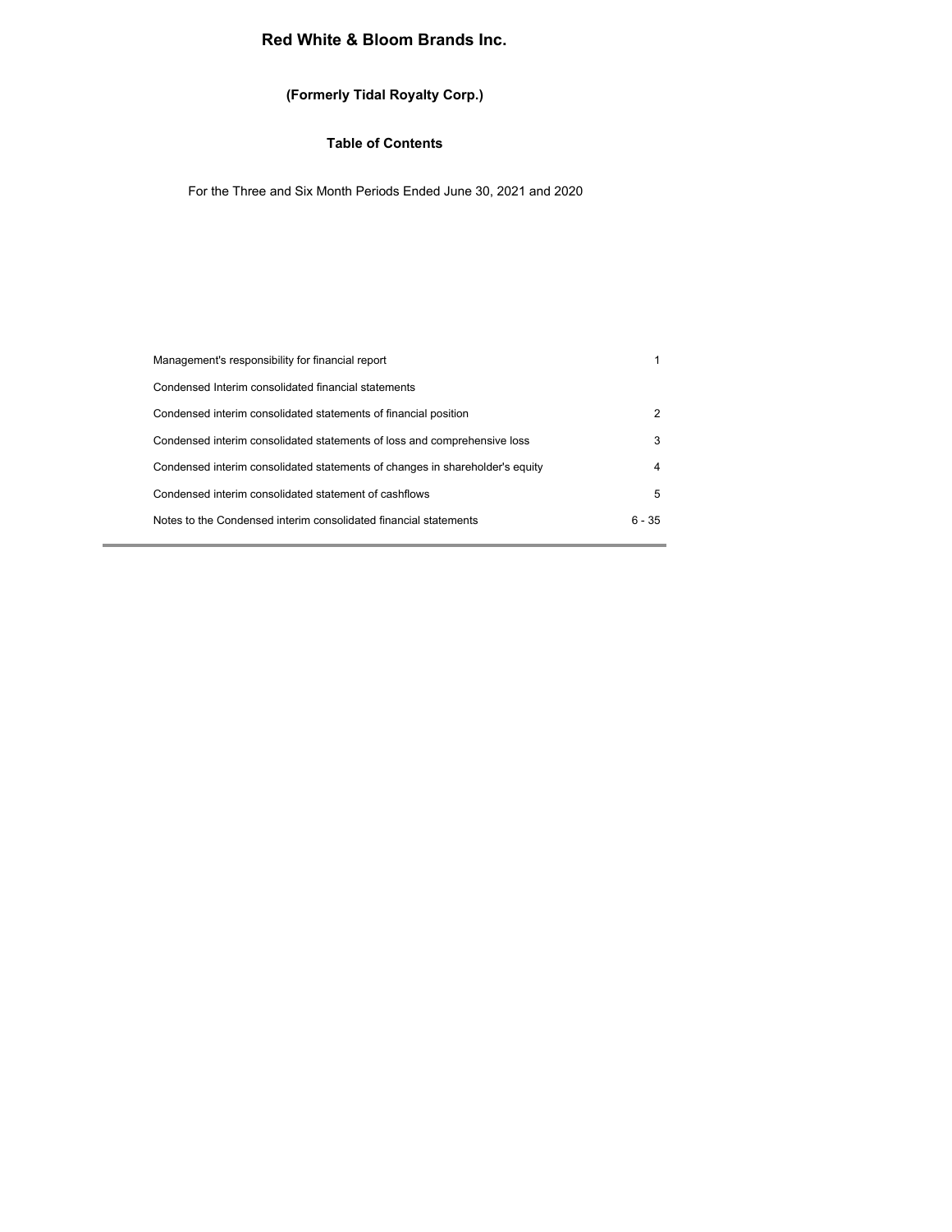## **Red White & Bloom Brands Inc.**

## **(Formerly Tidal Royalty Corp.)**

## **Table of Contents**

For the Three and Six Month Periods Ended June 30, 2021 and 2020

| Management's responsibility for financial report                             |          |
|------------------------------------------------------------------------------|----------|
| Condensed Interim consolidated financial statements                          |          |
| Condensed interim consolidated statements of financial position              | 2        |
| Condensed interim consolidated statements of loss and comprehensive loss     | 3        |
| Condensed interim consolidated statements of changes in shareholder's equity | 4        |
| Condensed interim consolidated statement of cashflows                        | 5        |
| Notes to the Condensed interim consolidated financial statements             | $6 - 35$ |
|                                                                              |          |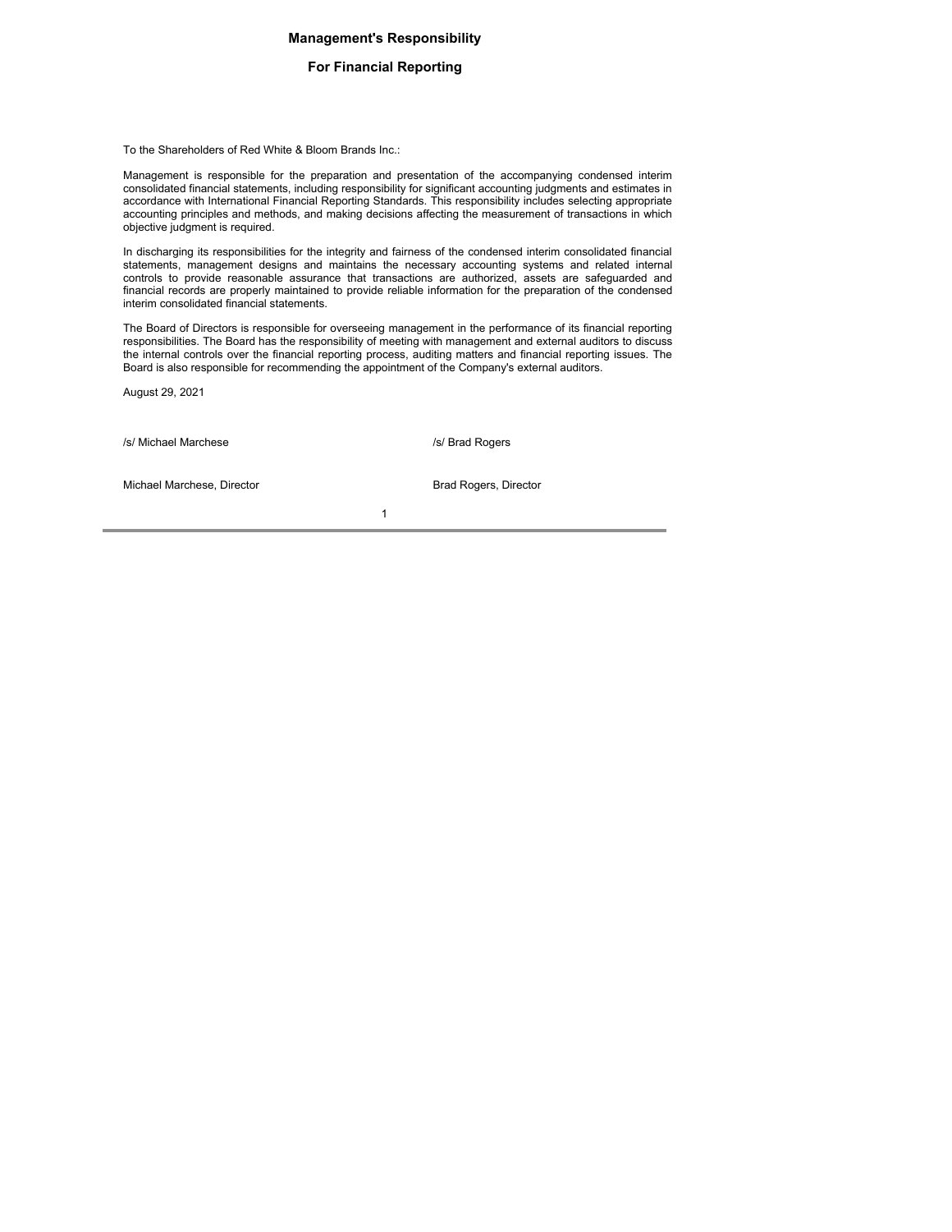## **Management's Responsibility**

## **For Financial Reporting**

To the Shareholders of Red White & Bloom Brands Inc.:

Management is responsible for the preparation and presentation of the accompanying condensed interim consolidated financial statements, including responsibility for significant accounting judgments and estimates in accordance with International Financial Reporting Standards. This responsibility includes selecting appropriate accounting principles and methods, and making decisions affecting the measurement of transactions in which objective judgment is required.

In discharging its responsibilities for the integrity and fairness of the condensed interim consolidated financial statements, management designs and maintains the necessary accounting systems and related internal controls to provide reasonable assurance that transactions are authorized, assets are safeguarded and financial records are properly maintained to provide reliable information for the preparation of the condensed interim consolidated financial statements.

The Board of Directors is responsible for overseeing management in the performance of its financial reporting responsibilities. The Board has the responsibility of meeting with management and external auditors to discuss the internal controls over the financial reporting process, auditing matters and financial reporting issues. The Board is also responsible for recommending the appointment of the Company's external auditors.

1

August 29, 2021

/s/ Michael Marchese

/s/ Brad Rogers

Michael Marchese, Director

Brad Rogers, Director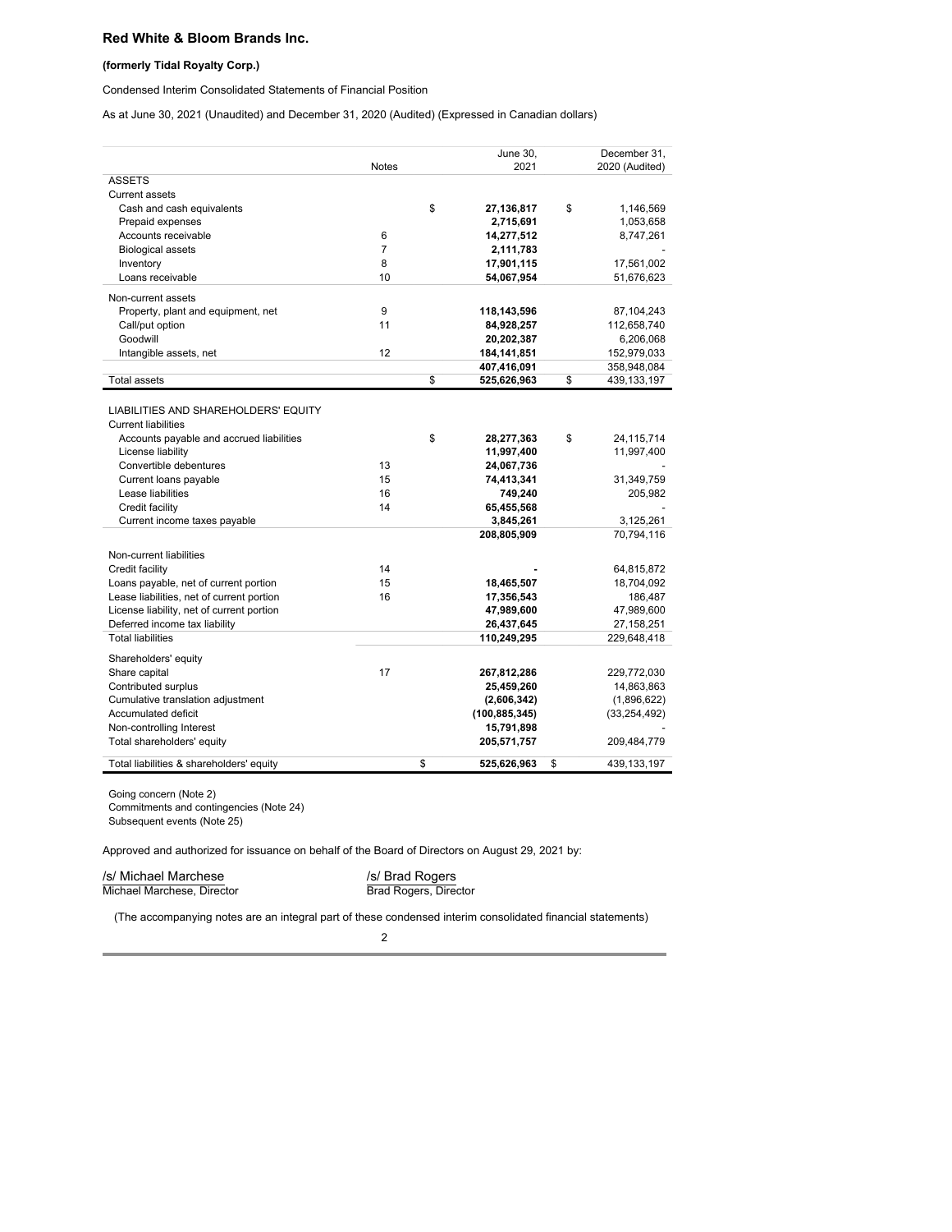## **Red White & Bloom Brands Inc.**

### **(formerly Tidal Royalty Corp.)**

Condensed Interim Consolidated Statements of Financial Position

As at June 30, 2021 (Unaudited) and December 31, 2020 (Audited) (Expressed in Canadian dollars)

|                                           |                | June 30,          | December 31,        |
|-------------------------------------------|----------------|-------------------|---------------------|
|                                           | <b>Notes</b>   | 2021              | 2020 (Audited)      |
| <b>ASSETS</b>                             |                |                   |                     |
| <b>Current assets</b>                     |                |                   |                     |
| Cash and cash equivalents                 |                | \$<br>27,136,817  | \$<br>1,146,569     |
| Prepaid expenses                          |                | 2,715,691         | 1,053,658           |
| Accounts receivable                       | 6              | 14,277,512        | 8,747,261           |
| <b>Biological assets</b>                  | $\overline{7}$ | 2,111,783         |                     |
| Inventory                                 | 8              | 17,901,115        | 17,561,002          |
| Loans receivable                          | 10             | 54,067,954        | 51,676,623          |
| Non-current assets                        |                |                   |                     |
| Property, plant and equipment, net        | 9              | 118,143,596       | 87,104,243          |
| Call/put option                           | 11             | 84,928,257        | 112,658,740         |
| Goodwill                                  |                | 20,202,387        | 6,206,068           |
| Intangible assets, net                    | 12             | 184,141,851       | 152,979,033         |
|                                           |                | 407,416,091       | 358,948,084         |
| <b>Total assets</b>                       |                | \$<br>525,626,963 | \$<br>439, 133, 197 |
|                                           |                |                   |                     |
| LIABILITIES AND SHAREHOLDERS' EQUITY      |                |                   |                     |
| <b>Current liabilities</b>                |                |                   |                     |
| Accounts payable and accrued liabilities  |                | \$<br>28,277,363  | \$<br>24,115,714    |
| License liability                         |                | 11,997,400        | 11,997,400          |
| Convertible debentures                    | 13             | 24,067,736        |                     |
| Current loans payable                     | 15             | 74,413,341        | 31,349,759          |
| Lease liabilities                         | 16             | 749,240           | 205,982             |
| Credit facility                           | 14             | 65,455,568        |                     |
| Current income taxes payable              |                | 3,845,261         | 3,125,261           |
|                                           |                | 208,805,909       | 70,794,116          |
|                                           |                |                   |                     |
| Non-current liabilities                   |                |                   |                     |
| Credit facility                           | 14             |                   | 64,815,872          |
| Loans payable, net of current portion     | 15             | 18,465,507        | 18,704,092          |
| Lease liabilities, net of current portion | 16             | 17,356,543        | 186,487             |
| License liability, net of current portion |                | 47,989,600        | 47,989,600          |
| Deferred income tax liability             |                | 26,437,645        | 27, 158, 251        |
| <b>Total liabilities</b>                  |                | 110,249,295       | 229,648,418         |
| Shareholders' equity                      |                |                   |                     |
| Share capital                             | 17             | 267,812,286       | 229,772,030         |
| Contributed surplus                       |                | 25,459,260        | 14,863,863          |
| Cumulative translation adjustment         |                | (2,606,342)       | (1,896,622)         |
| Accumulated deficit                       |                | (100,885,345)     | (33, 254, 492)      |
| Non-controlling Interest                  |                | 15,791,898        |                     |
| Total shareholders' equity                |                | 205,571,757       | 209,484,779         |
| Total liabilities & shareholders' equity  |                | \$<br>525,626,963 | \$<br>439, 133, 197 |

Going concern (Note 2) Commitments and contingencies (Note 24)

Subsequent events (Note 25)

Approved and authorized for issuance on behalf of the Board of Directors on August 29, 2021 by:

/s/ Michael Marchese Michael Marchese, Director /s/ Brad Rogers Brad Rogers, Director

(The accompanying notes are an integral part of these condensed interim consolidated financial statements)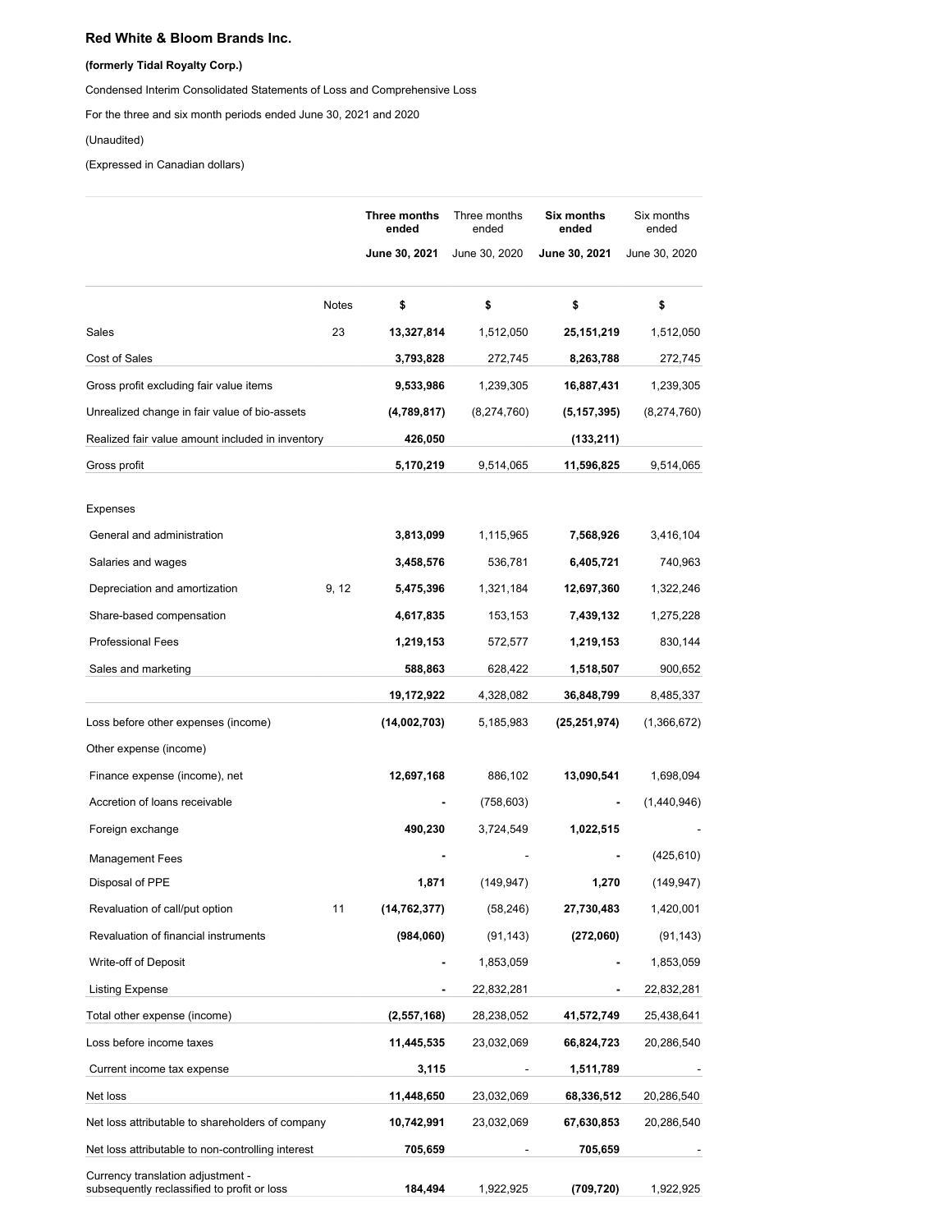## **Red White & Bloom Brands Inc.**

## **(formerly Tidal Royalty Corp.)**

Condensed Interim Consolidated Statements of Loss and Comprehensive Loss

For the three and six month periods ended June 30, 2021 and 2020

(Unaudited)

(Expressed in Canadian dollars)

|                                                                                  |              | Three months<br>Three months<br>ended<br>ended |               | Six months<br>ended | Six months<br>ended |
|----------------------------------------------------------------------------------|--------------|------------------------------------------------|---------------|---------------------|---------------------|
|                                                                                  |              | June 30, 2021                                  | June 30, 2020 | June 30, 2021       | June 30, 2020       |
|                                                                                  | <b>Notes</b> | \$                                             | \$            | \$                  | \$                  |
| Sales                                                                            | 23           | 13,327,814                                     | 1,512,050     | 25,151,219          | 1,512,050           |
| Cost of Sales                                                                    |              | 3,793,828                                      | 272,745       | 8,263,788           | 272,745             |
| Gross profit excluding fair value items                                          |              | 9,533,986                                      | 1,239,305     | 16,887,431          | 1,239,305           |
| Unrealized change in fair value of bio-assets                                    |              | (4,789,817)                                    | (8,274,760)   | (5, 157, 395)       | (8,274,760)         |
| Realized fair value amount included in inventory                                 |              | 426,050                                        |               | (133, 211)          |                     |
| Gross profit                                                                     |              | 5,170,219                                      | 9,514,065     | 11,596,825          | 9,514,065           |
| Expenses                                                                         |              |                                                |               |                     |                     |
| General and administration                                                       |              | 3,813,099                                      | 1,115,965     | 7,568,926           | 3,416,104           |
| Salaries and wages                                                               |              | 3,458,576                                      | 536,781       | 6,405,721           | 740,963             |
| Depreciation and amortization                                                    | 9, 12        | 5,475,396                                      | 1,321,184     | 12,697,360          | 1,322,246           |
| Share-based compensation                                                         |              | 4,617,835                                      | 153,153       | 7,439,132           | 1,275,228           |
| <b>Professional Fees</b>                                                         |              | 1,219,153                                      | 572,577       | 1,219,153           | 830,144             |
| Sales and marketing                                                              |              | 588,863                                        | 628,422       | 1,518,507           | 900,652             |
|                                                                                  |              | 19,172,922                                     | 4,328,082     | 36,848,799          | 8,485,337           |
| Loss before other expenses (income)                                              |              | (14,002,703)                                   | 5,185,983     | (25, 251, 974)      | (1,366,672)         |
| Other expense (income)                                                           |              |                                                |               |                     |                     |
| Finance expense (income), net                                                    |              | 12,697,168                                     | 886,102       | 13,090,541          | 1,698,094           |
| Accretion of loans receivable                                                    |              |                                                | (758, 603)    |                     | (1,440,946)         |
| Foreign exchange                                                                 |              | 490,230                                        | 3,724,549     | 1,022,515           |                     |
| <b>Management Fees</b>                                                           |              |                                                |               |                     | (425, 610)          |
| Disposal of PPE                                                                  |              | 1,871                                          | (149, 947)    | 1,270               | (149, 947)          |
| Revaluation of call/put option                                                   | 11           | (14, 762, 377)                                 | (58, 246)     | 27,730,483          | 1,420,001           |
| Revaluation of financial instruments                                             |              | (984,060)                                      | (91, 143)     | (272,060)           | (91, 143)           |
| Write-off of Deposit                                                             |              |                                                | 1,853,059     |                     | 1,853,059           |
| Listing Expense                                                                  |              |                                                | 22,832,281    |                     | 22,832,281          |
| Total other expense (income)                                                     |              | (2, 557, 168)                                  | 28,238,052    | 41,572,749          | 25,438,641          |
| Loss before income taxes                                                         |              | 11,445,535                                     | 23,032,069    | 66,824,723          | 20,286,540          |
| Current income tax expense                                                       |              | 3,115                                          |               | 1,511,789           |                     |
| Net loss                                                                         |              | 11,448,650                                     | 23,032,069    | 68,336,512          | 20,286,540          |
| Net loss attributable to shareholders of company                                 |              | 10,742,991                                     | 23,032,069    | 67,630,853          | 20,286,540          |
| Net loss attributable to non-controlling interest                                |              | 705,659                                        |               | 705,659             |                     |
| Currency translation adjustment -<br>subsequently reclassified to profit or loss |              | 184,494                                        | 1,922,925     | (709,720)           | 1,922,925           |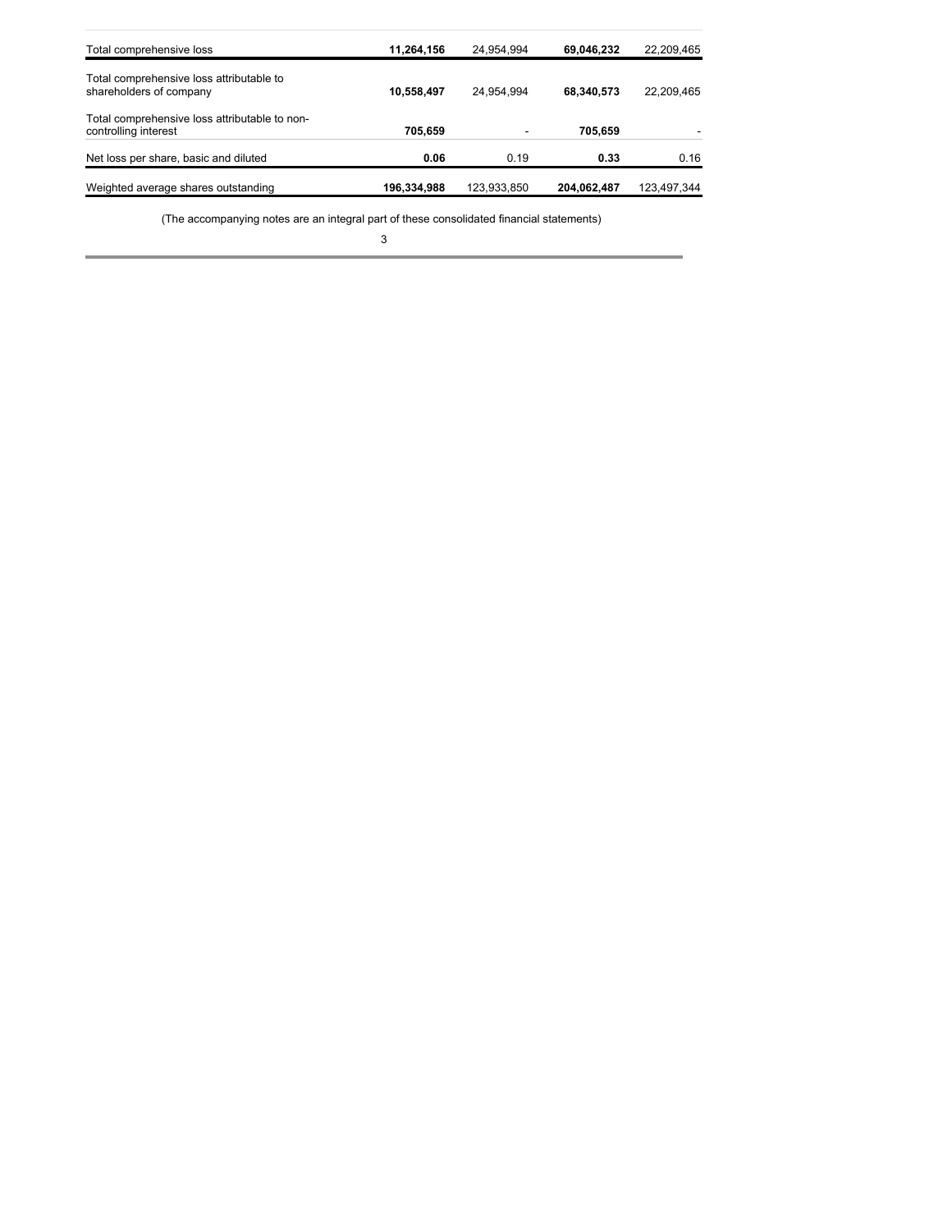| Total comprehensive loss                                              | 11,264,156  | 24,954,994  | 69,046,232  | 22,209,465  |
|-----------------------------------------------------------------------|-------------|-------------|-------------|-------------|
| Total comprehensive loss attributable to<br>shareholders of company   | 10,558,497  | 24,954,994  | 68.340.573  | 22,209,465  |
| Total comprehensive loss attributable to non-<br>controlling interest | 705.659     |             | 705.659     |             |
| Net loss per share, basic and diluted                                 | 0.06        | 0.19        | 0.33        | 0.16        |
| Weighted average shares outstanding                                   | 196,334,988 | 123,933,850 | 204,062,487 | 123,497,344 |

(The accompanying notes are an integral part of these consolidated financial statements)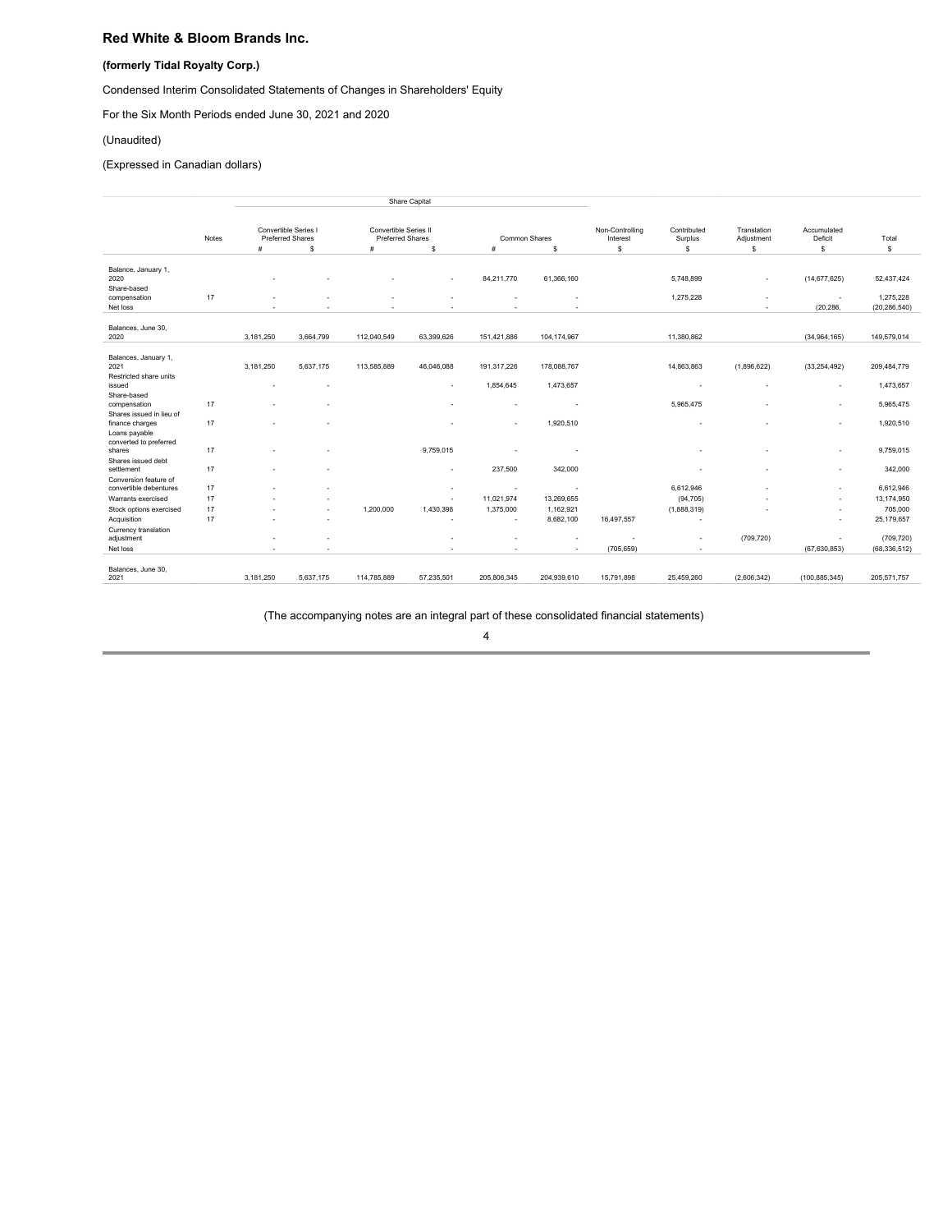## **Red White & Bloom Brands Inc.**

## **(formerly Tidal Royalty Corp.)**

Condensed Interim Consolidated Statements of Changes in Shareholders' Equity

For the Six Month Periods ended June 30, 2021 and 2020

## (Unaudited)

(Expressed in Canadian dollars)

|                                                 |       |           |                                                       |                                                       | Share Capital |                    |                          |                                   |                             |                                 |                             |                |
|-------------------------------------------------|-------|-----------|-------------------------------------------------------|-------------------------------------------------------|---------------|--------------------|--------------------------|-----------------------------------|-----------------------------|---------------------------------|-----------------------------|----------------|
|                                                 | Notes | #         | Convertible Series I<br><b>Preferred Shares</b><br>\$ | Convertible Series II<br><b>Preferred Shares</b><br># | s             | Common Shares<br># | \$                       | Non-Controlling<br>Interest<br>\$ | Contributed<br>Surplus<br>S | Translation<br>Adjustment<br>\$ | Accumulated<br>Deficit<br>s | Total<br>\$    |
|                                                 |       |           |                                                       |                                                       |               |                    |                          |                                   |                             |                                 |                             |                |
| Balance, January 1,<br>2020                     |       |           |                                                       |                                                       | ٠             | 84,211,770         | 61,366,160               |                                   | 5,748,899                   | ٠                               | (14, 677, 625)              | 52,437,424     |
| Share-based<br>compensation                     | 17    |           |                                                       |                                                       |               |                    |                          |                                   | 1,275,228                   |                                 | ٠                           | 1,275,228      |
| Net loss                                        |       |           |                                                       |                                                       |               |                    |                          |                                   |                             |                                 | (20, 286,                   | (20, 286, 540) |
| Balances, June 30,<br>2020                      |       | 3,181,250 | 3,664,799                                             | 112,040,549                                           | 63,399,626    | 151,421,886        | 104,174,967              |                                   | 11,380,862                  |                                 | (34, 964, 165)              | 149,579,014    |
|                                                 |       |           |                                                       |                                                       |               |                    |                          |                                   |                             |                                 |                             |                |
| Balances, January 1,<br>2021                    |       | 3,181,250 | 5,637,175                                             | 113,585,889                                           | 46,046,088    | 191,317,226        | 178,088,767              |                                   | 14,863,863                  | (1,896,622)                     | (33, 254, 492)              | 209,484,779    |
| Restricted share units<br>issued                |       |           | $\overline{\phantom{a}}$                              |                                                       | ٠             | 1,854,645          | 1,473,657                |                                   | $\overline{\phantom{a}}$    |                                 | ٠                           | 1,473,657      |
| Share-based<br>compensation                     | 17    |           |                                                       |                                                       |               |                    |                          |                                   | 5,965,475                   |                                 | ٠                           | 5,965,475      |
| Shares issued in lieu of<br>finance charges     | 17    |           |                                                       |                                                       |               | ٠                  | 1,920,510                |                                   |                             |                                 | ٠                           | 1,920,510      |
| Loans payable<br>converted to preferred         |       |           |                                                       |                                                       |               |                    |                          |                                   |                             |                                 |                             |                |
| shares                                          | 17    |           |                                                       |                                                       | 9,759,015     | ٠                  | ٠                        |                                   |                             |                                 | ٠                           | 9,759,015      |
| Shares issued debt<br>settlement                | 17    |           |                                                       |                                                       | ۰             | 237,500            | 342,000                  |                                   |                             |                                 | ۰                           | 342,000        |
| Conversion feature of<br>convertible debentures | 17    |           | $\overline{\phantom{a}}$                              |                                                       |               | ٠                  | ٠                        |                                   | 6,612,946                   |                                 | ٠                           | 6,612,946      |
| Warrants exercised                              | 17    |           |                                                       |                                                       |               | 11,021,974         | 13,269,655               |                                   | (94, 705)                   |                                 | ٠                           | 13,174,950     |
| Stock options exercised                         | 17    |           | $\sim$                                                | 1,200,000                                             | 1.430.398     | 1,375,000          | 1,162,921                |                                   | (1,888,319)                 |                                 | ٠                           | 705,000        |
| Acquisition                                     | 17    |           | $\sim$                                                |                                                       |               | ٠                  | 8,682,100                | 16,497,557                        |                             |                                 | ٠                           | 25,179,657     |
| Currency translation<br>adjustment              |       |           | $\overline{\phantom{a}}$                              |                                                       |               |                    | $\overline{\phantom{a}}$ | ٠                                 | $\overline{\phantom{a}}$    | (709, 720)                      | $\overline{\phantom{a}}$    | (709, 720)     |
| Net loss                                        |       | $\sim$    | $\sim$                                                |                                                       | $\sim$        | ٠                  | $\sim$                   | (705, 659)                        | $\sim$                      |                                 | (67, 630, 853)              | (68, 336, 512) |
|                                                 |       |           |                                                       |                                                       |               |                    |                          |                                   |                             |                                 |                             |                |
| Balances, June 30,<br>2021                      |       | 3.181.250 | 5,637,175                                             | 114,785,889                                           | 57,235,501    | 205,806,345        | 204,939,610              | 15,791,898                        | 25.459.260                  | (2,606,342)                     | (100, 885, 345)             | 205,571,757    |

(The accompanying notes are an integral part of these consolidated financial statements)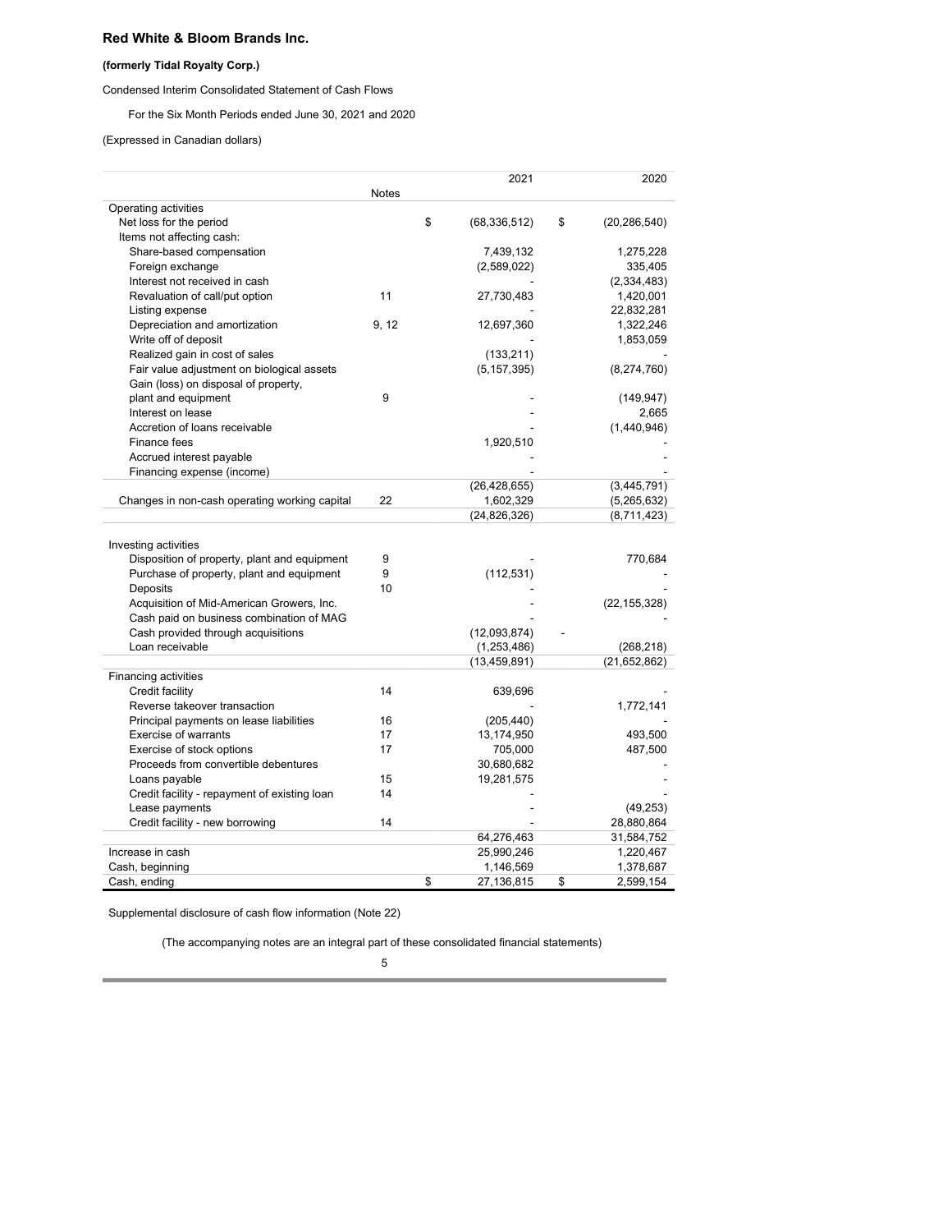## **Red White & Bloom Brands Inc.**

## **(formerly Tidal Royalty Corp.)**

Condensed Interim Consolidated Statement of Cash Flows

For the Six Month Periods ended June 30, 2021 and 2020

(Expressed in Canadian dollars)

|                                               |       | 2021                 | 2020                 |
|-----------------------------------------------|-------|----------------------|----------------------|
|                                               | Notes |                      |                      |
| Operating activities                          |       |                      |                      |
| Net loss for the period                       |       | \$<br>(68, 336, 512) | \$<br>(20, 286, 540) |
| Items not affecting cash:                     |       |                      |                      |
| Share-based compensation                      |       | 7,439,132            | 1,275,228            |
| Foreign exchange                              |       | (2,589,022)          | 335,405              |
| Interest not received in cash                 |       |                      | (2, 334, 483)        |
| Revaluation of call/put option                | 11    | 27,730,483           | 1,420,001            |
| Listing expense                               |       |                      | 22,832,281           |
| Depreciation and amortization                 | 9, 12 | 12,697,360           | 1,322,246            |
| Write off of deposit                          |       |                      | 1,853,059            |
| Realized gain in cost of sales                |       | (133, 211)           |                      |
| Fair value adjustment on biological assets    |       | (5, 157, 395)        | (8, 274, 760)        |
| Gain (loss) on disposal of property,          |       |                      |                      |
| plant and equipment                           | 9     |                      | (149, 947)           |
| Interest on lease                             |       |                      | 2,665                |
| Accretion of loans receivable                 |       |                      | (1,440,946)          |
| Finance fees                                  |       | 1,920,510            |                      |
| Accrued interest payable                      |       |                      |                      |
| Financing expense (income)                    |       |                      |                      |
|                                               |       | (26, 428, 655)       | (3,445,791)          |
| Changes in non-cash operating working capital | 22    | 1,602,329            | (5,265,632)          |
|                                               |       | (24, 826, 326)       | (8,711,423)          |
|                                               |       |                      |                      |
| Investing activities                          |       |                      |                      |
| Disposition of property, plant and equipment  | 9     |                      | 770,684              |
| Purchase of property, plant and equipment     | 9     | (112, 531)           |                      |
| Deposits                                      | 10    |                      |                      |
| Acquisition of Mid-American Growers, Inc.     |       |                      | (22, 155, 328)       |
| Cash paid on business combination of MAG      |       |                      |                      |
| Cash provided through acquisitions            |       | (12,093,874)         |                      |
| Loan receivable                               |       | (1,253,486)          | (268, 218)           |
|                                               |       | (13, 459, 891)       | (21, 652, 862)       |
| <b>Financing activities</b>                   |       |                      |                      |
| Credit facility                               | 14    | 639,696              |                      |
| Reverse takeover transaction                  |       |                      | 1,772,141            |
| Principal payments on lease liabilities       | 16    | (205, 440)           |                      |
| Exercise of warrants                          | 17    | 13,174,950           | 493,500              |
| Exercise of stock options                     | 17    | 705,000              | 487,500              |
| Proceeds from convertible debentures          |       | 30,680,682           |                      |
| Loans payable                                 | 15    | 19,281,575           |                      |
|                                               | 14    |                      |                      |
| Credit facility - repayment of existing loan  |       |                      |                      |
| Lease payments                                |       |                      | (49, 253)            |
| Credit facility - new borrowing               | 14    |                      | 28,880,864           |
|                                               |       | 64,276,463           | 31,584,752           |
| Increase in cash                              |       | 25,990,246           | 1,220,467            |
| Cash, beginning                               |       | 1,146,569            | 1,378,687            |
| Cash, ending                                  |       | \$<br>27,136,815     | \$<br>2,599,154      |

Supplemental disclosure of cash flow information (Note 22)

(The accompanying notes are an integral part of these consolidated financial statements)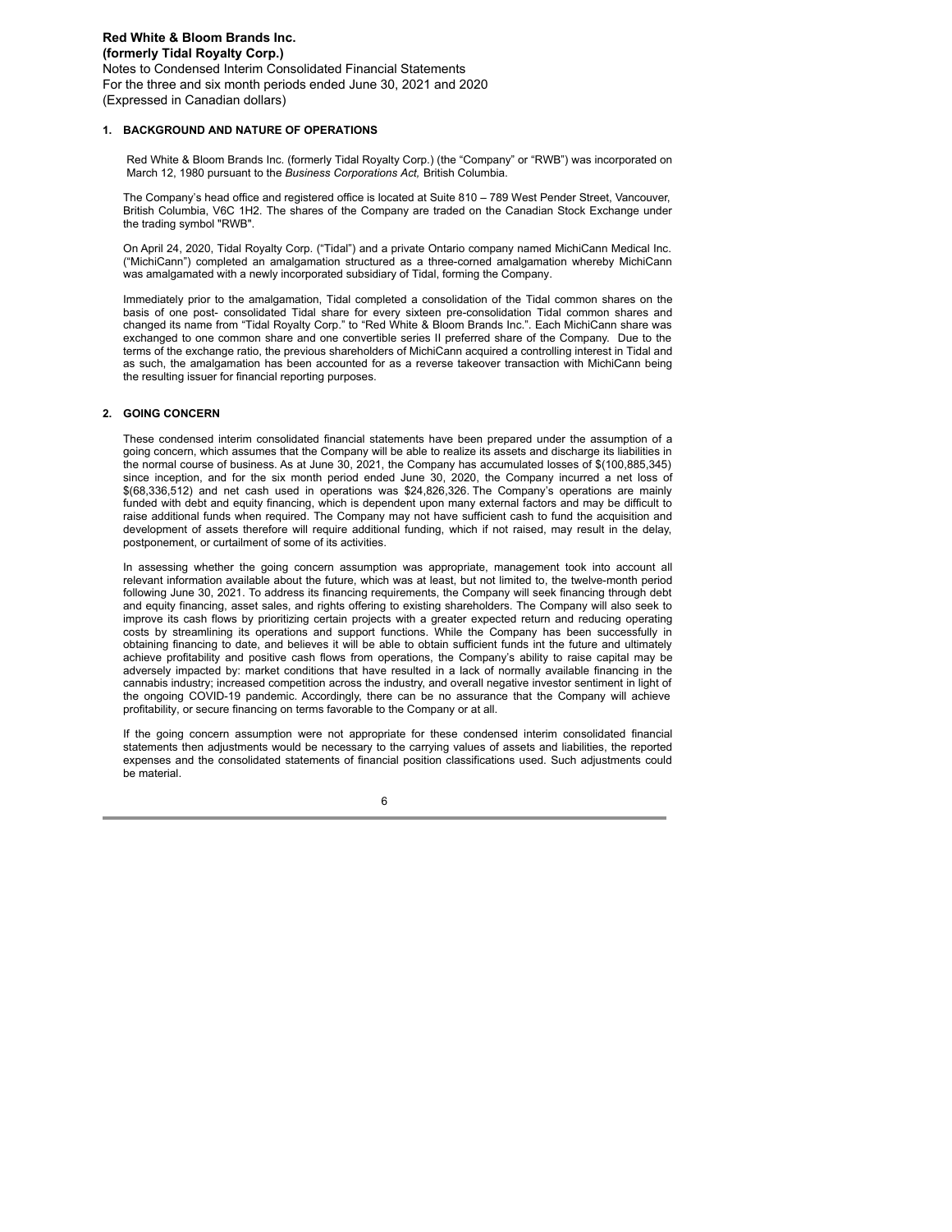### **BACKGROUND AND NATURE OF OPERATIONS 1.**

Red White & Bloom Brands Inc. (formerly Tidal Royalty Corp.) (the "Company" or "RWB") was incorporated on March 12, 1980 pursuant to the *Business Corporations Act,* British Columbia.

The Company's head office and registered office is located at Suite 810 – 789 West Pender Street, Vancouver, British Columbia, V6C 1H2. The shares of the Company are traded on the Canadian Stock Exchange under the trading symbol "RWB".

On April 24, 2020, Tidal Royalty Corp. ("Tidal") and a private Ontario company named MichiCann Medical Inc. ("MichiCann") completed an amalgamation structured as a three-corned amalgamation whereby MichiCann was amalgamated with a newly incorporated subsidiary of Tidal, forming the Company.

Immediately prior to the amalgamation, Tidal completed a consolidation of the Tidal common shares on the basis of one post- consolidated Tidal share for every sixteen pre-consolidation Tidal common shares and changed its name from "Tidal Royalty Corp." to "Red White & Bloom Brands Inc.". Each MichiCann share was exchanged to one common share and one convertible series II preferred share of the Company. Due to the terms of the exchange ratio, the previous shareholders of MichiCann acquired a controlling interest in Tidal and as such, the amalgamation has been accounted for as a reverse takeover transaction with MichiCann being the resulting issuer for financial reporting purposes.

#### **GOING CONCERN 2.**

These condensed interim consolidated financial statements have been prepared under the assumption of a going concern, which assumes that the Company will be able to realize its assets and discharge its liabilities in the normal course of business. As at June 30, 2021, the Company has accumulated losses of \$(100,885,345) since inception, and for the six month period ended June 30, 2020, the Company incurred a net loss of \$(68,336,512) and net cash used in operations was \$24,826,326. The Company's operations are mainly funded with debt and equity financing, which is dependent upon many external factors and may be difficult to raise additional funds when required. The Company may not have sufficient cash to fund the acquisition and development of assets therefore will require additional funding, which if not raised, may result in the delay, postponement, or curtailment of some of its activities.

In assessing whether the going concern assumption was appropriate, management took into account all relevant information available about the future, which was at least, but not limited to, the twelve-month period following June 30, 2021. To address its financing requirements, the Company will seek financing through debt and equity financing, asset sales, and rights offering to existing shareholders. The Company will also seek to improve its cash flows by prioritizing certain projects with a greater expected return and reducing operating costs by streamlining its operations and support functions. While the Company has been successfully in obtaining financing to date, and believes it will be able to obtain sufficient funds int the future and ultimately achieve profitability and positive cash flows from operations, the Company's ability to raise capital may be adversely impacted by: market conditions that have resulted in a lack of normally available financing in the cannabis industry; increased competition across the industry, and overall negative investor sentiment in light of the ongoing COVID-19 pandemic. Accordingly, there can be no assurance that the Company will achieve profitability, or secure financing on terms favorable to the Company or at all.

If the going concern assumption were not appropriate for these condensed interim consolidated financial statements then adjustments would be necessary to the carrying values of assets and liabilities, the reported expenses and the consolidated statements of financial position classifications used. Such adjustments could be material.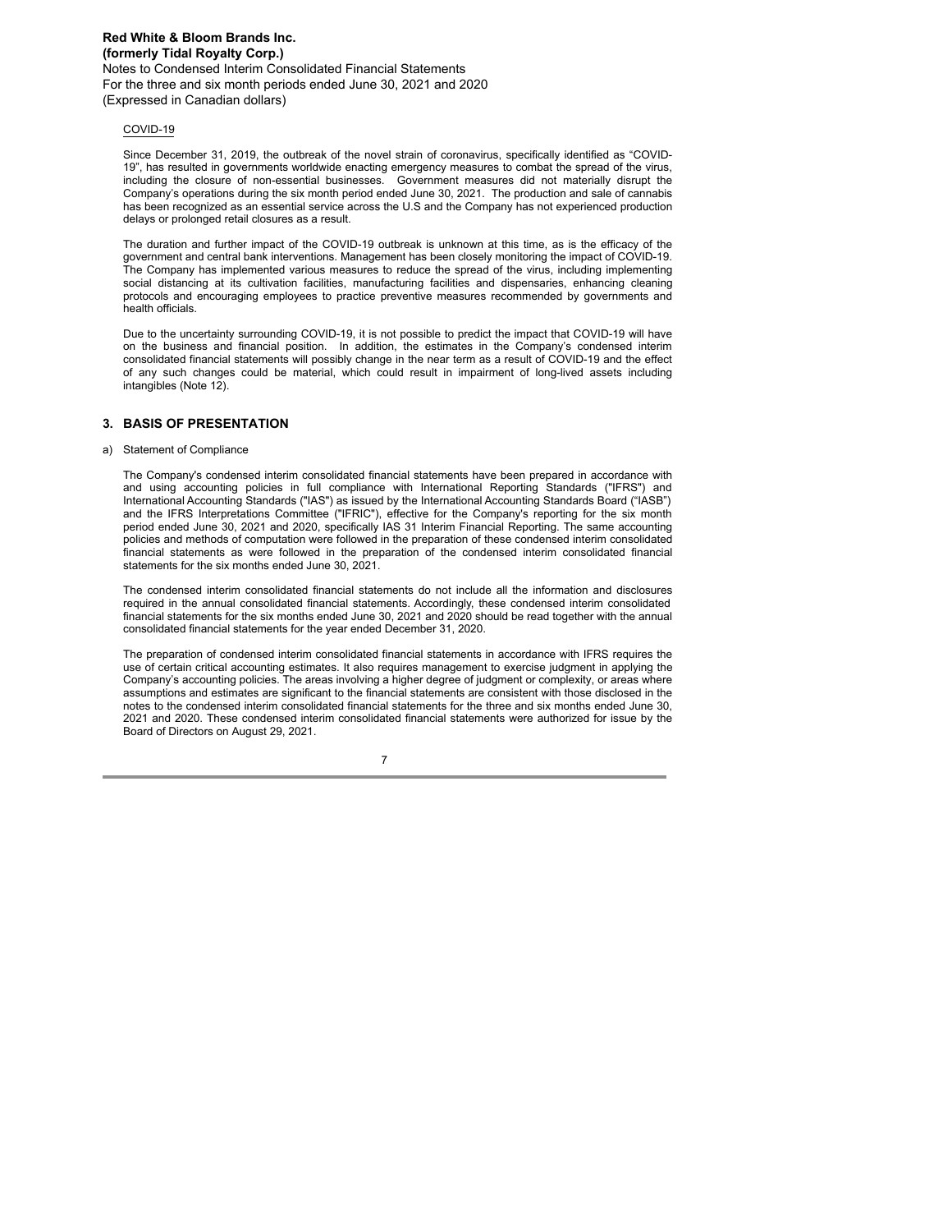(Expressed in Canadian dollars)

#### COVID-19

Since December 31, 2019, the outbreak of the novel strain of coronavirus, specifically identified as "COVID-19", has resulted in governments worldwide enacting emergency measures to combat the spread of the virus, including the closure of non-essential businesses. Government measures did not materially disrupt the Company's operations during the six month period ended June 30, 2021. The production and sale of cannabis has been recognized as an essential service across the U.S and the Company has not experienced production delays or prolonged retail closures as a result.

The duration and further impact of the COVID-19 outbreak is unknown at this time, as is the efficacy of the government and central bank interventions. Management has been closely monitoring the impact of COVID-19. The Company has implemented various measures to reduce the spread of the virus, including implementing social distancing at its cultivation facilities, manufacturing facilities and dispensaries, enhancing cleaning protocols and encouraging employees to practice preventive measures recommended by governments and health officials.

Due to the uncertainty surrounding COVID-19, it is not possible to predict the impact that COVID-19 will have on the business and financial position. In addition, the estimates in the Company's condensed interim consolidated financial statements will possibly change in the near term as a result of COVID-19 and the effect of any such changes could be material, which could result in impairment of long-lived assets including intangibles (Note 12).

## **BASIS OF PRESENTATION 3.**

#### a) Statement of Compliance

The Company's condensed interim consolidated financial statements have been prepared in accordance with and using accounting policies in full compliance with International Reporting Standards ("IFRS") and International Accounting Standards ("IAS") as issued by the International Accounting Standards Board ("IASB") and the IFRS Interpretations Committee ("IFRIC"), effective for the Company's reporting for the six month period ended June 30, 2021 and 2020, specifically IAS 31 Interim Financial Reporting. The same accounting policies and methods of computation were followed in the preparation of these condensed interim consolidated financial statements as were followed in the preparation of the condensed interim consolidated financial statements for the six months ended June 30, 2021.

The condensed interim consolidated financial statements do not include all the information and disclosures required in the annual consolidated financial statements. Accordingly, these condensed interim consolidated financial statements for the six months ended June 30, 2021 and 2020 should be read together with the annual consolidated financial statements for the year ended December 31, 2020.

The preparation of condensed interim consolidated financial statements in accordance with IFRS requires the use of certain critical accounting estimates. It also requires management to exercise judgment in applying the Company's accounting policies. The areas involving a higher degree of judgment or complexity, or areas where assumptions and estimates are significant to the financial statements are consistent with those disclosed in the notes to the condensed interim consolidated financial statements for the three and six months ended June 30, 2021 and 2020. These condensed interim consolidated financial statements were authorized for issue by the Board of Directors on August 29, 2021.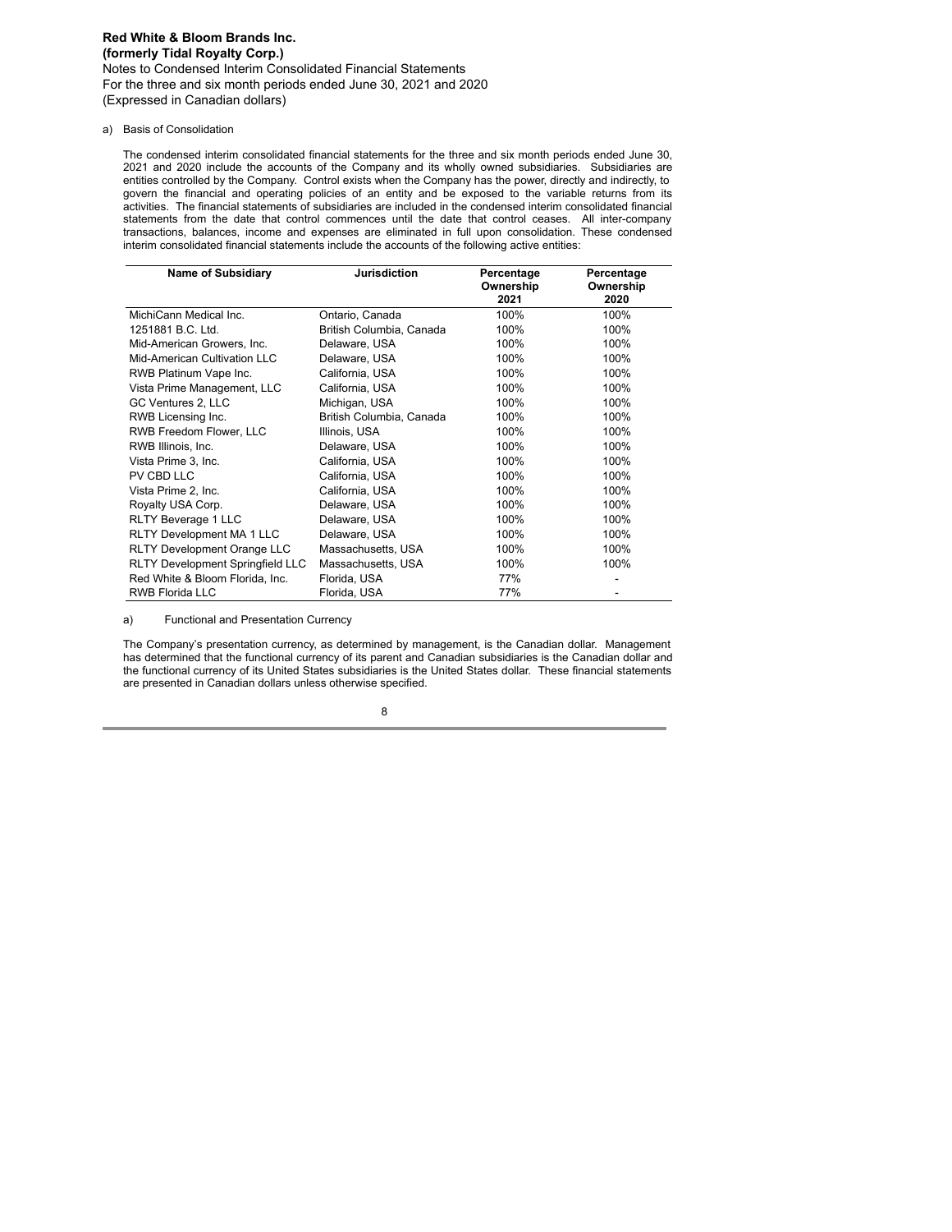(Expressed in Canadian dollars)

a) Basis of Consolidation

The condensed interim consolidated financial statements for the three and six month periods ended June 30, 2021 and 2020 include the accounts of the Company and its wholly owned subsidiaries. Subsidiaries are entities controlled by the Company. Control exists when the Company has the power, directly and indirectly, to govern the financial and operating policies of an entity and be exposed to the variable returns from its activities. The financial statements of subsidiaries are included in the condensed interim consolidated financial statements from the date that control commences until the date that control ceases. All inter-company transactions, balances, income and expenses are eliminated in full upon consolidation. These condensed interim consolidated financial statements include the accounts of the following active entities:

| <b>Name of Subsidiary</b>               | Jurisdiction             | Percentage<br>Ownership<br>2021 | Percentage<br>Ownership<br>2020 |
|-----------------------------------------|--------------------------|---------------------------------|---------------------------------|
| MichiCann Medical Inc.                  | Ontario, Canada          | 100%                            | 100%                            |
| 1251881 B.C. Ltd.                       | British Columbia, Canada | 100%                            | 100%                            |
| Mid-American Growers, Inc.              | Delaware, USA            | 100%                            | 100%                            |
| Mid-American Cultivation LLC            | Delaware, USA            | 100%                            | 100%                            |
| RWB Platinum Vape Inc.                  | California, USA          | 100%                            | 100%                            |
| Vista Prime Management, LLC             | California, USA          | 100%                            | 100%                            |
| GC Ventures 2, LLC                      | Michigan, USA            | 100%                            | 100%                            |
| RWB Licensing Inc.                      | British Columbia, Canada | 100%                            | 100%                            |
| RWB Freedom Flower, LLC                 | Illinois, USA            | 100%                            | 100%                            |
| RWB Illinois, Inc.                      | Delaware, USA            | 100%                            | 100%                            |
| Vista Prime 3, Inc.                     | California, USA          | 100%                            | 100%                            |
| PV CBD LLC                              | California, USA          | 100%                            | 100%                            |
| Vista Prime 2, Inc.                     | California, USA          | 100%                            | 100%                            |
| Royalty USA Corp.                       | Delaware, USA            | 100%                            | 100%                            |
| RLTY Beverage 1 LLC                     | Delaware, USA            | 100%                            | 100%                            |
| <b>RLTY Development MA 1 LLC</b>        | Delaware, USA            | 100%                            | 100%                            |
| <b>RLTY Development Orange LLC</b>      | Massachusetts, USA       | 100%                            | 100%                            |
| <b>RLTY Development Springfield LLC</b> | Massachusetts, USA       | 100%                            | 100%                            |
| Red White & Bloom Florida, Inc.         | Florida, USA             | 77%                             |                                 |
| <b>RWB Florida LLC</b>                  | Florida, USA             | 77%                             |                                 |

Functional and Presentation Currency a)

The Company's presentation currency, as determined by management, is the Canadian dollar. Management has determined that the functional currency of its parent and Canadian subsidiaries is the Canadian dollar and the functional currency of its United States subsidiaries is the United States dollar. These financial statements are presented in Canadian dollars unless otherwise specified.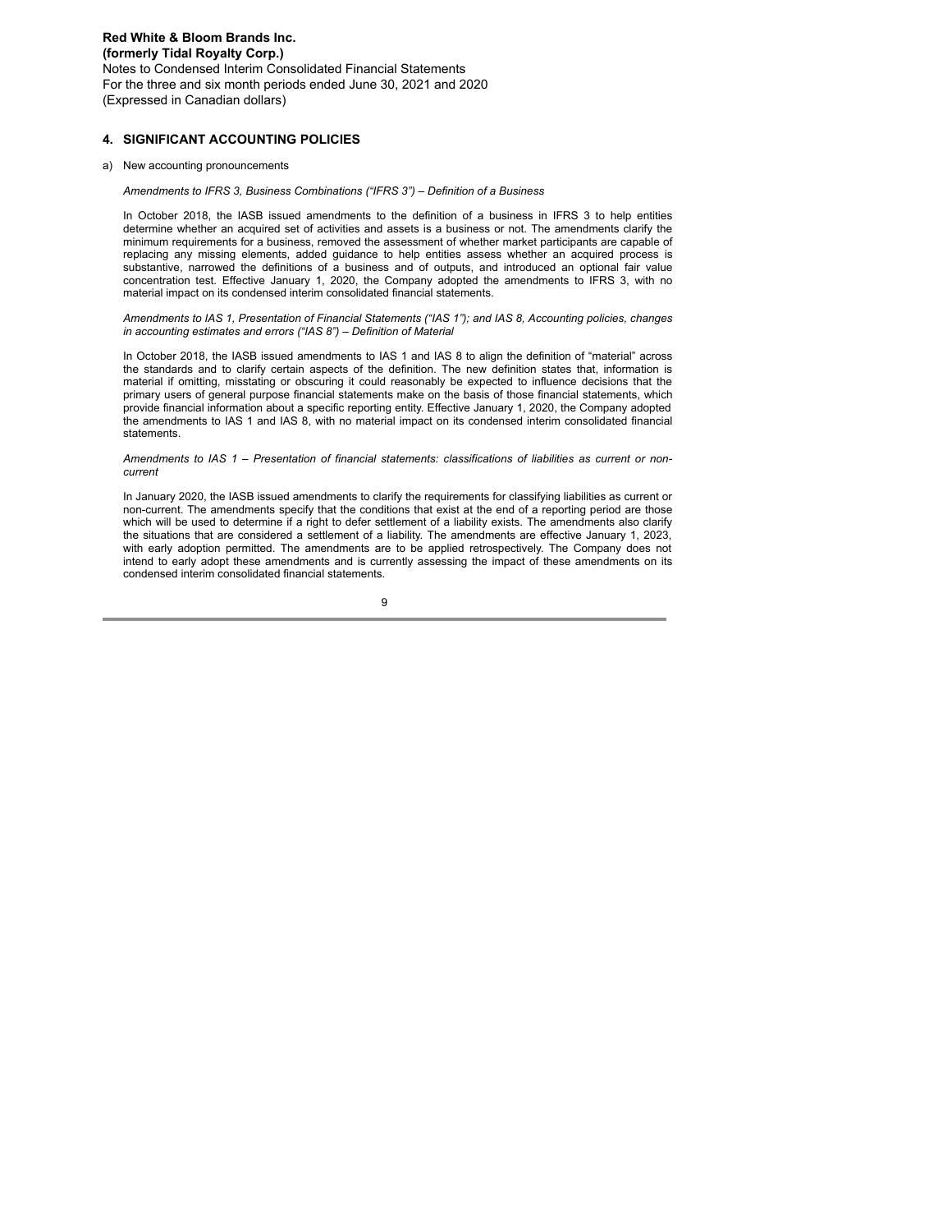## **SIGNIFICANT ACCOUNTING POLICIES 4.**

a) New accounting pronouncements

*Amendments to IFRS 3, Business Combinations ("IFRS 3") – Definition of a Business*

In October 2018, the IASB issued amendments to the definition of a business in IFRS 3 to help entities determine whether an acquired set of activities and assets is a business or not. The amendments clarify the minimum requirements for a business, removed the assessment of whether market participants are capable of replacing any missing elements, added guidance to help entities assess whether an acquired process is substantive, narrowed the definitions of a business and of outputs, and introduced an optional fair value concentration test. Effective January 1, 2020, the Company adopted the amendments to IFRS 3, with no material impact on its condensed interim consolidated financial statements.

*Amendments to IAS 1, Presentation of Financial Statements ("IAS 1"); and IAS 8, Accounting policies, changes in accounting estimates and errors ("IAS 8") – Definition of Material*

In October 2018, the IASB issued amendments to IAS 1 and IAS 8 to align the definition of "material" across the standards and to clarify certain aspects of the definition. The new definition states that, information is material if omitting, misstating or obscuring it could reasonably be expected to influence decisions that the primary users of general purpose financial statements make on the basis of those financial statements, which provide financial information about a specific reporting entity. Effective January 1, 2020, the Company adopted the amendments to IAS 1 and IAS 8, with no material impact on its condensed interim consolidated financial **statements** 

*Amendments to IAS 1 – Presentation of financial statements: classifications of liabilities as current or noncurrent*

In January 2020, the IASB issued amendments to clarify the requirements for classifying liabilities as current or non-current. The amendments specify that the conditions that exist at the end of a reporting period are those which will be used to determine if a right to defer settlement of a liability exists. The amendments also clarify the situations that are considered a settlement of a liability. The amendments are effective January 1, 2023, with early adoption permitted. The amendments are to be applied retrospectively. The Company does not intend to early adopt these amendments and is currently assessing the impact of these amendments on its condensed interim consolidated financial statements.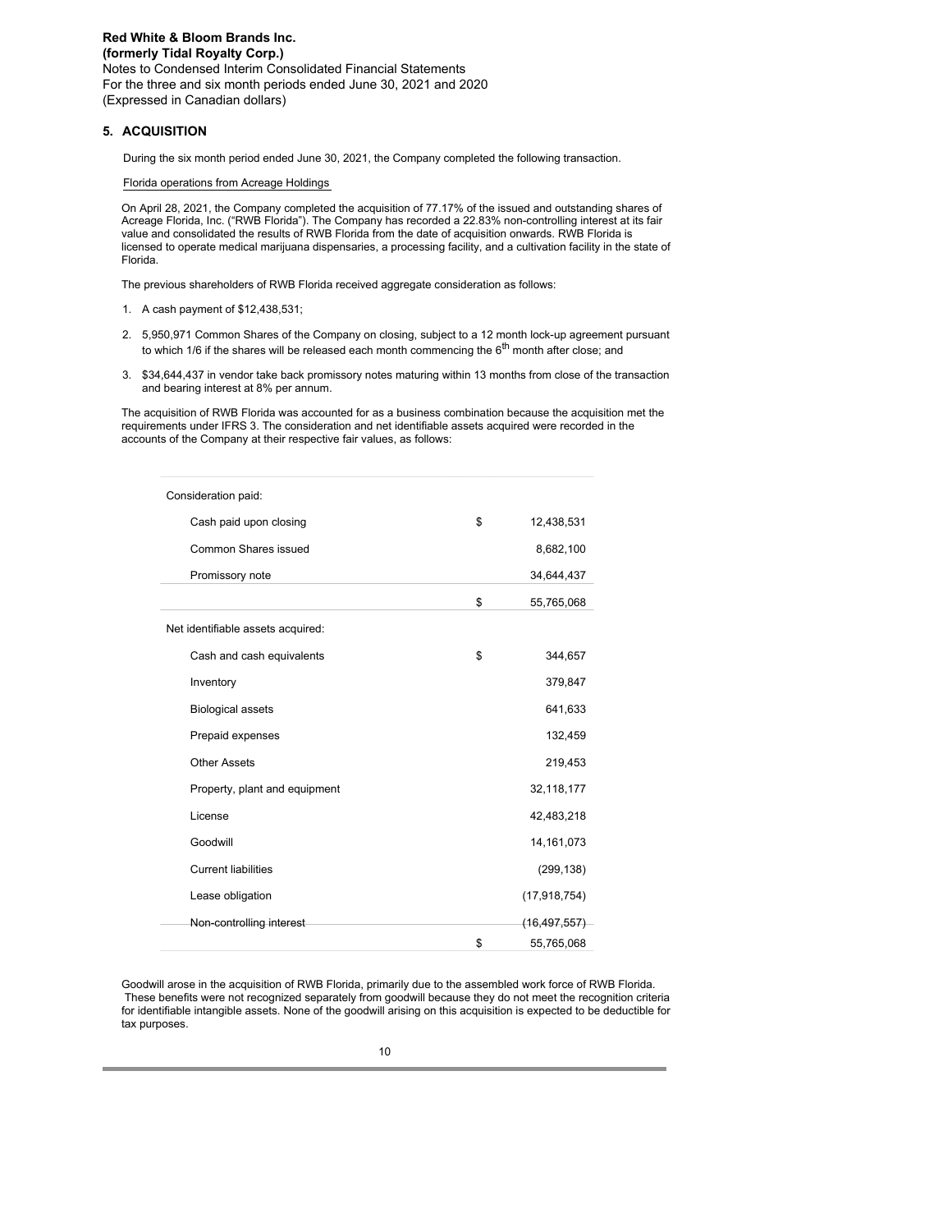## **ACQUISITION 5.**

During the six month period ended June 30, 2021, the Company completed the following transaction.

Florida operations from Acreage Holdings

On April 28, 2021, the Company completed the acquisition of 77.17% of the issued and outstanding shares of Acreage Florida, Inc. ("RWB Florida"). The Company has recorded a 22.83% non-controlling interest at its fair value and consolidated the results of RWB Florida from the date of acquisition onwards. RWB Florida is licensed to operate medical marijuana dispensaries, a processing facility, and a cultivation facility in the state of Florida.

The previous shareholders of RWB Florida received aggregate consideration as follows:

- A cash payment of \$12,438,531; 1.
- 2. 5,950,971 Common Shares of the Company on closing, subject to a 12 month lock-up agreement pursuant to which 1/6 if the shares will be released each month commencing the 6<sup>th</sup> month after close; and
- \$34,644,437 in vendor take back promissory notes maturing within 13 months from close of the transaction 3.and bearing interest at 8% per annum.

The acquisition of RWB Florida was accounted for as a business combination because the acquisition met the requirements under IFRS 3. The consideration and net identifiable assets acquired were recorded in the accounts of the Company at their respective fair values, as follows:

| Consideration paid:               |                  |
|-----------------------------------|------------------|
| Cash paid upon closing            | \$<br>12,438,531 |
| Common Shares issued              | 8,682,100        |
| Promissory note                   | 34,644,437       |
|                                   | \$<br>55,765,068 |
| Net identifiable assets acquired: |                  |
| Cash and cash equivalents         | \$<br>344,657    |
| Inventory                         | 379,847          |
| <b>Biological assets</b>          | 641,633          |
| Prepaid expenses                  | 132,459          |
| <b>Other Assets</b>               | 219,453          |
| Property, plant and equipment     | 32,118,177       |
| License                           | 42,483,218       |
| Goodwill                          | 14, 161, 073     |
| <b>Current liabilities</b>        | (299, 138)       |
| Lease obligation                  | (17, 918, 754)   |
| Non-controlling interest          | (16, 497, 557)   |
|                                   | \$<br>55,765,068 |

Goodwill arose in the acquisition of RWB Florida, primarily due to the assembled work force of RWB Florida. These benefits were not recognized separately from goodwill because they do not meet the recognition criteria for identifiable intangible assets. None of the goodwill arising on this acquisition is expected to be deductible for tax purposes.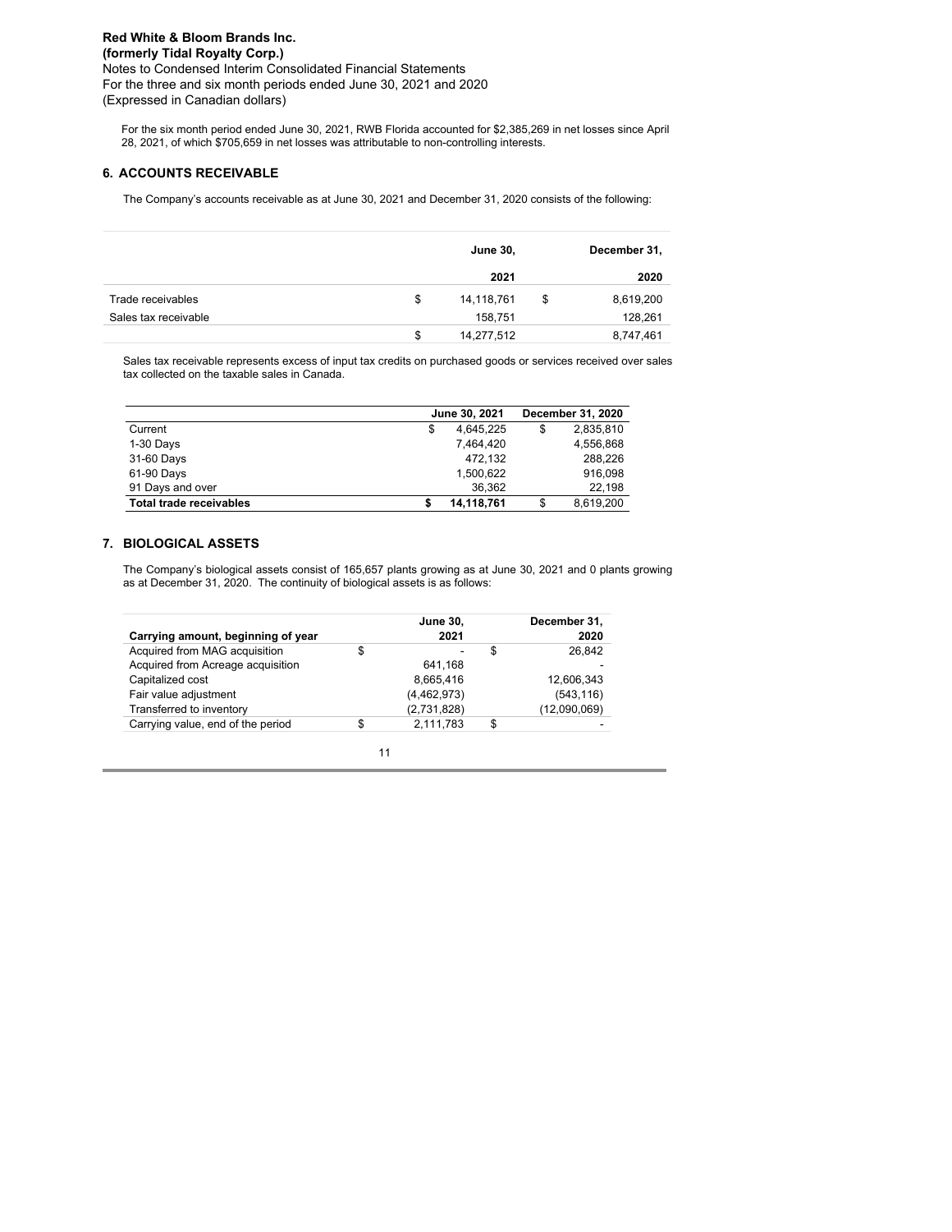For the six month period ended June 30, 2021, RWB Florida accounted for \$2,385,269 in net losses since April 28, 2021, of which \$705,659 in net losses was attributable to non-controlling interests.

## **ACCOUNTS RECEIVABLE 6.**

The Company's accounts receivable as at June 30, 2021 and December 31, 2020 consists of the following:

| June 30,         | December 31,    |
|------------------|-----------------|
| 2021             | 2020            |
| \$<br>14,118,761 | \$<br>8,619,200 |
| 158,751          | 128,261         |
| \$<br>14,277,512 | 8,747,461       |
|                  |                 |

Sales tax receivable represents excess of input tax credits on purchased goods or services received over sales tax collected on the taxable sales in Canada.

|                                | June 30, 2021   | December 31, 2020 |
|--------------------------------|-----------------|-------------------|
| Current                        | \$<br>4.645.225 | \$<br>2,835,810   |
| $1-30$ Days                    | 7,464,420       | 4,556,868         |
| 31-60 Days                     | 472.132         | 288.226           |
| 61-90 Days                     | 1,500,622       | 916.098           |
| 91 Days and over               | 36.362          | 22.198            |
| <b>Total trade receivables</b> | 14,118,761      | \$<br>8.619.200   |

### **BIOLOGICAL ASSETS 7.**

The Company's biological assets consist of 165,657 plants growing as at June 30, 2021 and 0 plants growing as at December 31, 2020. The continuity of biological assets is as follows:

|                                    | <b>June 30,</b> | December 31, |
|------------------------------------|-----------------|--------------|
| Carrying amount, beginning of year | 2021            | 2020         |
| Acquired from MAG acquisition      | \$              | 26.842       |
| Acquired from Acreage acquisition  | 641.168         |              |
| Capitalized cost                   | 8.665.416       | 12.606.343   |
| Fair value adjustment              | (4, 462, 973)   | (543, 116)   |
| Transferred to inventory           | (2,731,828)     | (12,090,069) |
| Carrying value, end of the period  | \$<br>2,111,783 | \$           |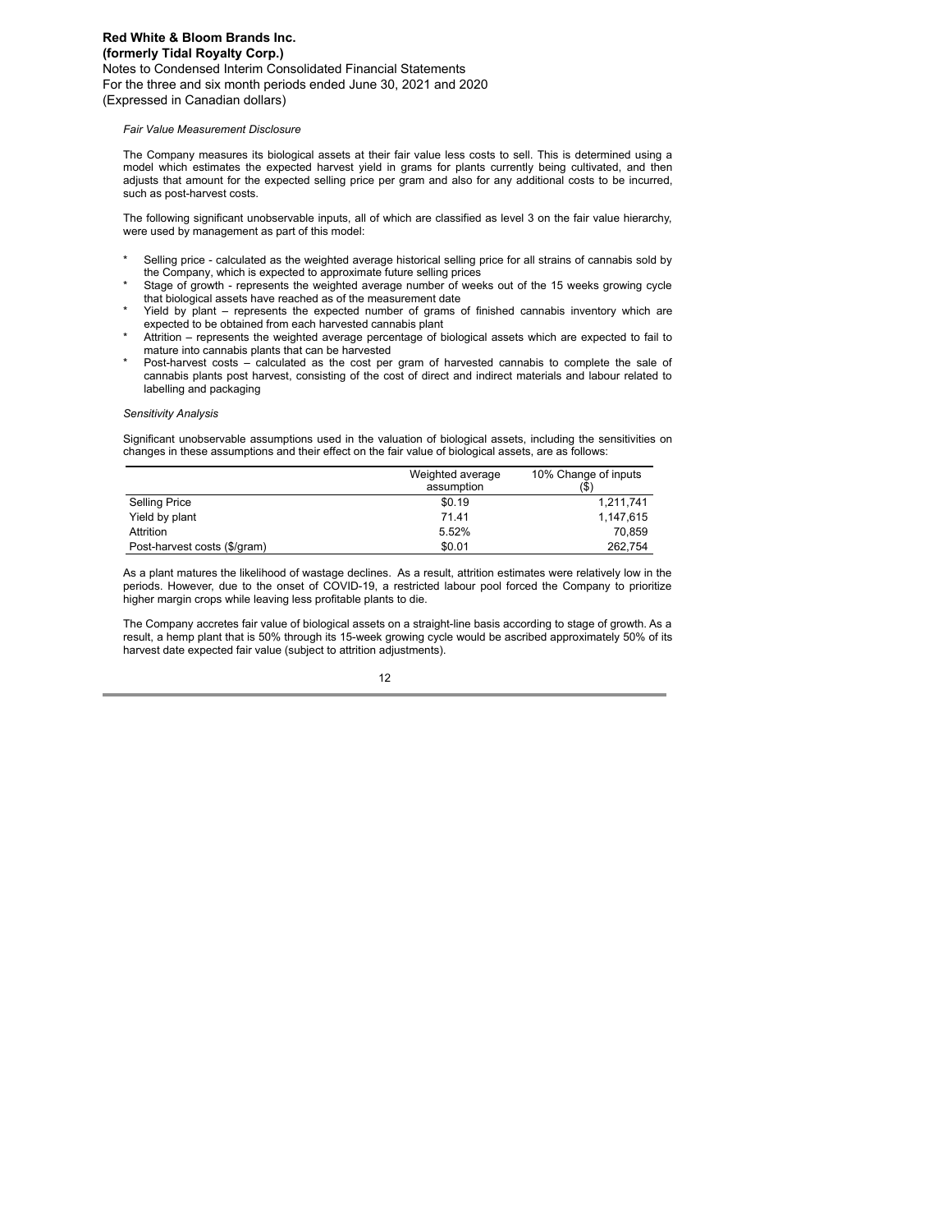(Expressed in Canadian dollars)

#### *Fair Value Measurement Disclosure*

The Company measures its biological assets at their fair value less costs to sell. This is determined using a model which estimates the expected harvest yield in grams for plants currently being cultivated, and then adjusts that amount for the expected selling price per gram and also for any additional costs to be incurred, such as post-harvest costs.

The following significant unobservable inputs, all of which are classified as level 3 on the fair value hierarchy, were used by management as part of this model:

- Selling price calculated as the weighted average historical selling price for all strains of cannabis sold by the Company, which is expected to approximate future selling prices \*
- Stage of growth represents the weighted average number of weeks out of the 15 weeks growing cycle that biological assets have reached as of the measurement date \*
- Yield by plant represents the expected number of grams of finished cannabis inventory which are expected to be obtained from each harvested cannabis plant \*
- Attrition represents the weighted average percentage of biological assets which are expected to fail to mature into cannabis plants that can be harvested \*
- Post-harvest costs calculated as the cost per gram of harvested cannabis to complete the sale of cannabis plants post harvest, consisting of the cost of direct and indirect materials and labour related to labelling and packaging \*

#### *Sensitivity Analysis*

Significant unobservable assumptions used in the valuation of biological assets, including the sensitivities on changes in these assumptions and their effect on the fair value of biological assets, are as follows:

|                              | Weighted average<br>assumption | 10% Change of inputs<br>(\$) |
|------------------------------|--------------------------------|------------------------------|
| <b>Selling Price</b>         | \$0.19                         | 1,211,741                    |
| Yield by plant               | 71.41                          | 1,147,615                    |
| Attrition                    | 5.52%                          | 70.859                       |
| Post-harvest costs (\$/gram) | \$0.01                         | 262,754                      |

As a plant matures the likelihood of wastage declines. As a result, attrition estimates were relatively low in the periods. However, due to the onset of COVID-19, a restricted labour pool forced the Company to prioritize higher margin crops while leaving less profitable plants to die.

The Company accretes fair value of biological assets on a straight-line basis according to stage of growth. As a result, a hemp plant that is 50% through its 15-week growing cycle would be ascribed approximately 50% of its harvest date expected fair value (subject to attrition adjustments).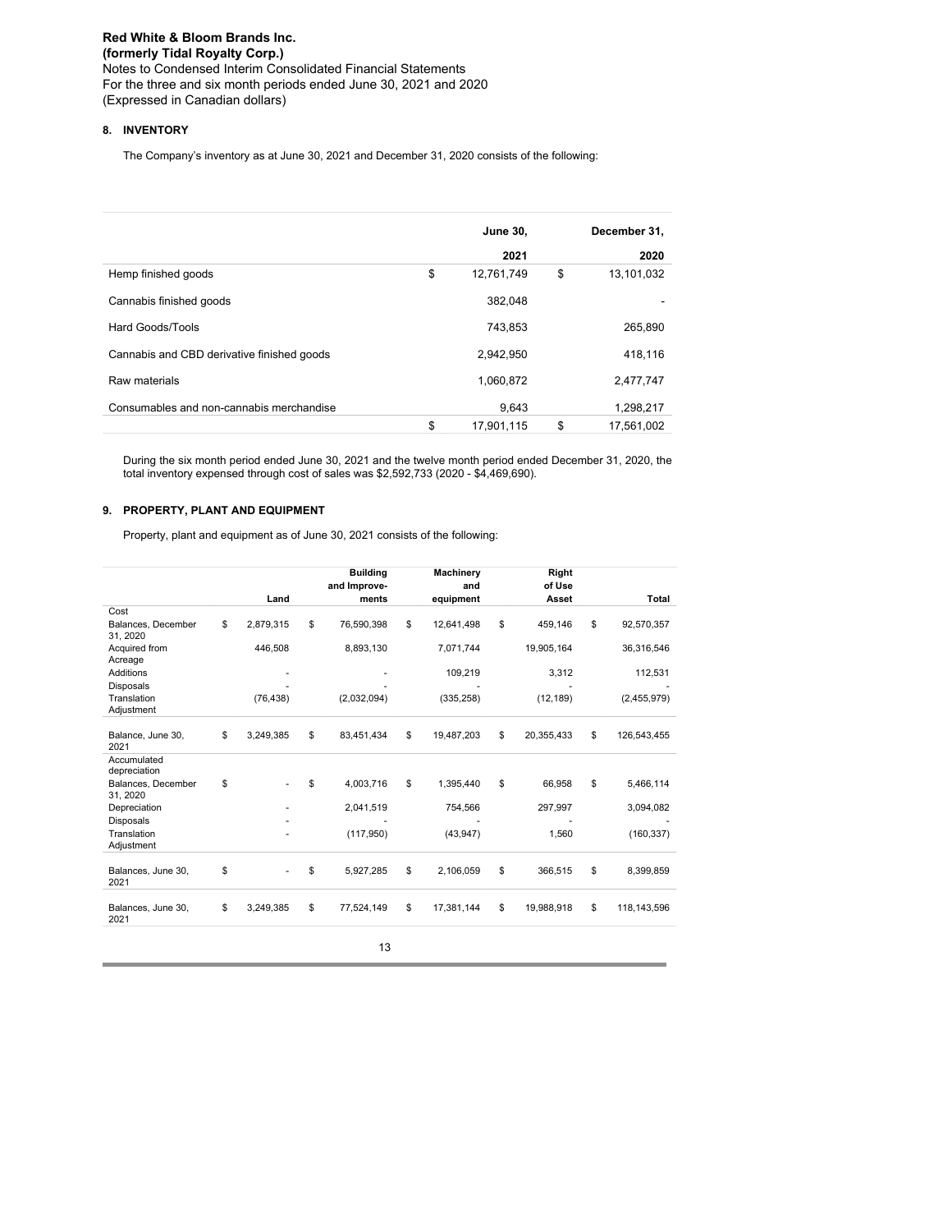## **INVENTORY 8.**

The Company's inventory as at June 30, 2021 and December 31, 2020 consists of the following:

|                                            | <b>June 30,</b>  | December 31,     |
|--------------------------------------------|------------------|------------------|
|                                            | 2021             | 2020             |
| Hemp finished goods                        | \$<br>12,761,749 | \$<br>13,101,032 |
| Cannabis finished goods                    | 382.048          |                  |
| Hard Goods/Tools                           | 743,853          | 265,890          |
| Cannabis and CBD derivative finished goods | 2,942,950        | 418,116          |
| Raw materials                              | 1,060,872        | 2,477,747        |
| Consumables and non-cannabis merchandise   | 9.643            | 1,298,217        |
|                                            | \$<br>17.901.115 | \$<br>17.561.002 |

During the six month period ended June 30, 2021 and the twelve month period ended December 31, 2020, the total inventory expensed through cost of sales was \$2,592,733 (2020 - \$4,469,690).

### **PROPERTY, PLANT AND EQUIPMENT 9.**

Property, plant and equipment as of June 30, 2021 consists of the following:

|                                |                 | <b>Building</b>  | Machinery        | Right            |                   |
|--------------------------------|-----------------|------------------|------------------|------------------|-------------------|
|                                |                 | and Improve-     | and              | of Use           |                   |
|                                | Land            | ments            | equipment        | Asset            | Total             |
| Cost                           |                 |                  |                  |                  |                   |
| Balances, December<br>31, 2020 | \$<br>2.879.315 | \$<br>76,590,398 | \$<br>12,641,498 | \$<br>459.146    | \$<br>92,570,357  |
| Acquired from<br>Acreage       | 446,508         | 8,893,130        | 7,071,744        | 19,905,164       | 36,316,546        |
| <b>Additions</b>               |                 |                  | 109,219          | 3,312            | 112,531           |
| <b>Disposals</b>               |                 |                  |                  |                  |                   |
| Translation<br>Adjustment      | (76, 438)       | (2,032,094)      | (335, 258)       | (12, 189)        | (2,455,979)       |
|                                |                 |                  |                  |                  |                   |
| Balance, June 30,<br>2021      | \$<br>3.249.385 | \$<br>83,451,434 | \$<br>19.487.203 | \$<br>20,355,433 | \$<br>126,543,455 |
| Accumulated<br>depreciation    |                 |                  |                  |                  |                   |
| Balances, December<br>31, 2020 | \$              | \$<br>4,003,716  | \$<br>1,395,440  | \$<br>66,958     | \$<br>5,466,114   |
| Depreciation                   |                 | 2,041,519        | 754,566          | 297,997          | 3,094,082         |
| <b>Disposals</b>               |                 |                  |                  |                  |                   |
| Translation<br>Adjustment      |                 | (117, 950)       | (43, 947)        | 1,560            | (160, 337)        |
| Balances, June 30,<br>2021     | \$              | \$<br>5,927,285  | \$<br>2,106,059  | \$<br>366,515    | \$<br>8,399,859   |
| Balances, June 30,<br>2021     | \$<br>3,249,385 | \$<br>77,524,149 | \$<br>17,381,144 | \$<br>19,988,918 | \$<br>118,143,596 |
|                                |                 |                  |                  |                  |                   |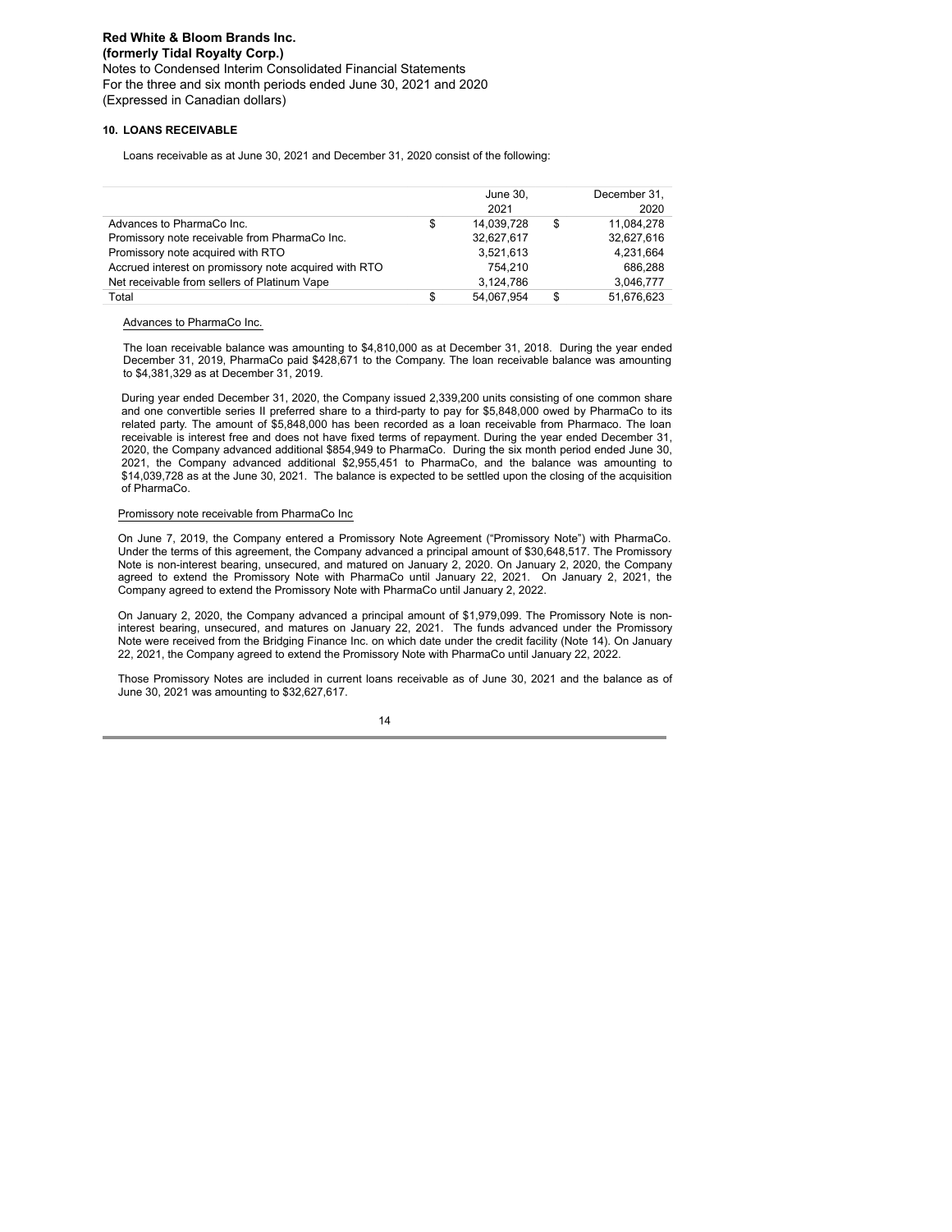### **LOANS RECEIVABLE 10.**

Loans receivable as at June 30, 2021 and December 31, 2020 consist of the following:

|                                                       | June 30.         |    | December 31. |
|-------------------------------------------------------|------------------|----|--------------|
|                                                       | 2021             |    | 2020         |
| Advances to PharmaCo Inc.                             | \$<br>14.039.728 | \$ | 11.084.278   |
| Promissory note receivable from PharmaCo Inc.         | 32,627,617       |    | 32,627,616   |
| Promissory note acquired with RTO                     | 3,521,613        |    | 4,231,664    |
| Accrued interest on promissory note acquired with RTO | 754.210          |    | 686.288      |
| Net receivable from sellers of Platinum Vape          | 3,124,786        |    | 3,046,777    |
| Total                                                 | \$<br>54.067.954 | S  | 51.676.623   |

#### Advances to PharmaCo Inc.

The loan receivable balance was amounting to \$4,810,000 as at December 31, 2018. During the year ended December 31, 2019, PharmaCo paid \$428,671 to the Company. The loan receivable balance was amounting to \$4,381,329 as at December 31, 2019.

During year ended December 31, 2020, the Company issued 2,339,200 units consisting of one common share and one convertible series II preferred share to a third-party to pay for \$5,848,000 owed by PharmaCo to its related party. The amount of \$5,848,000 has been recorded as a loan receivable from Pharmaco. The loan receivable is interest free and does not have fixed terms of repayment. During the year ended December 31, 2020, the Company advanced additional \$854,949 to PharmaCo. During the six month period ended June 30, 2021, the Company advanced additional \$2,955,451 to PharmaCo, and the balance was amounting to \$14,039,728 as at the June 30, 2021. The balance is expected to be settled upon the closing of the acquisition of PharmaCo.

### Promissory note receivable from PharmaCo Inc

On June 7, 2019, the Company entered a Promissory Note Agreement ("Promissory Note") with PharmaCo. Under the terms of this agreement, the Company advanced a principal amount of \$30,648,517. The Promissory Note is non-interest bearing, unsecured, and matured on January 2, 2020. On January 2, 2020, the Company agreed to extend the Promissory Note with PharmaCo until January 22, 2021. On January 2, 2021, the Company agreed to extend the Promissory Note with PharmaCo until January 2, 2022.

On January 2, 2020, the Company advanced a principal amount of \$1,979,099. The Promissory Note is noninterest bearing, unsecured, and matures on January 22, 2021. The funds advanced under the Promissory Note were received from the Bridging Finance Inc. on which date under the credit facility (Note 14). On January 22, 2021, the Company agreed to extend the Promissory Note with PharmaCo until January 22, 2022.

Those Promissory Notes are included in current loans receivable as of June 30, 2021 and the balance as of June 30, 2021 was amounting to \$32,627,617.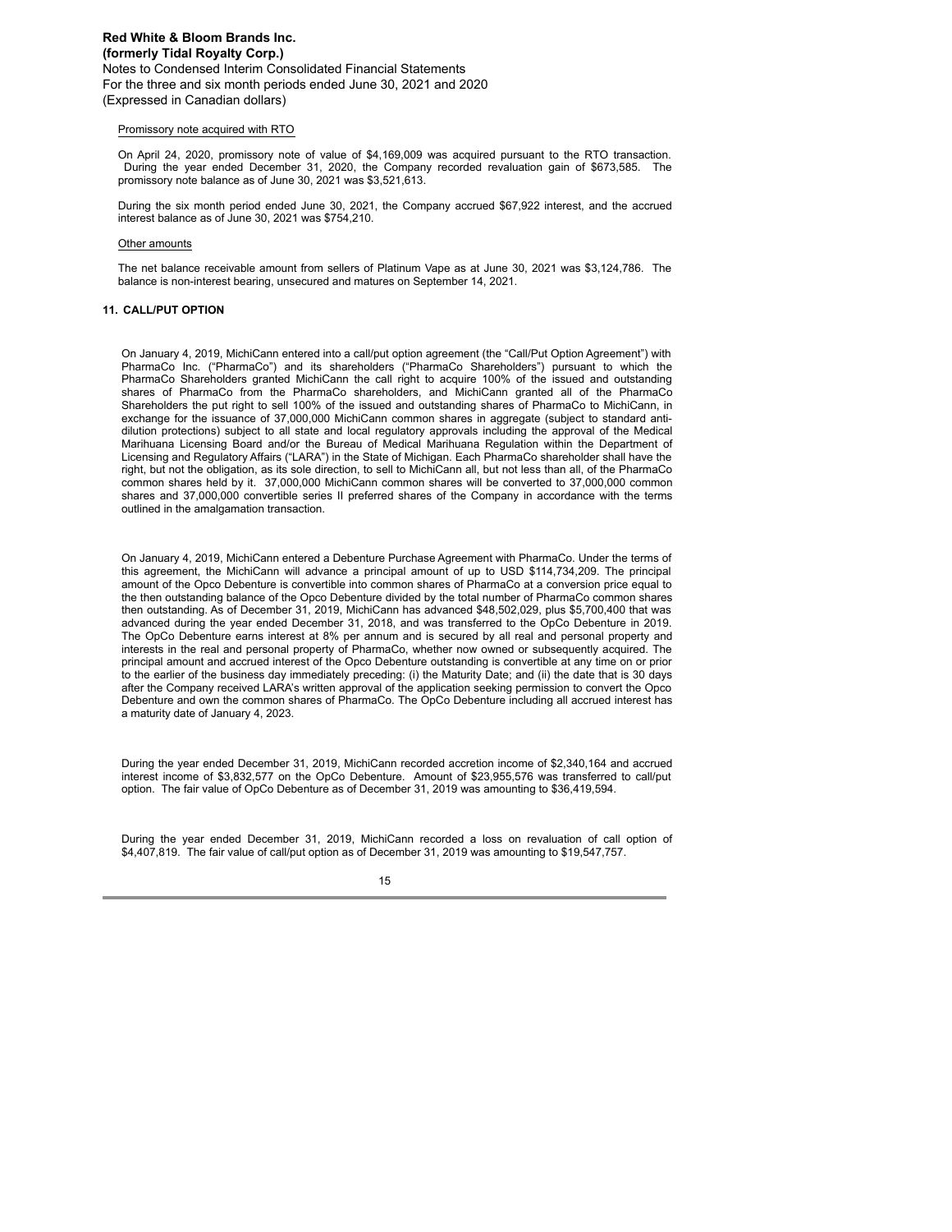#### Promissory note acquired with RTO

On April 24, 2020, promissory note of value of \$4,169,009 was acquired pursuant to the RTO transaction. During the year ended December 31, 2020, the Company recorded revaluation gain of \$673,585. The promissory note balance as of June 30, 2021 was \$3,521,613.

During the six month period ended June 30, 2021, the Company accrued \$67,922 interest, and the accrued interest balance as of June 30, 2021 was \$754,210.

#### Other amounts

The net balance receivable amount from sellers of Platinum Vape as at June 30, 2021 was \$3,124,786. The balance is non-interest bearing, unsecured and matures on September 14, 2021.

#### **CALL/PUT OPTION 11.**

On January 4, 2019, MichiCann entered into a call/put option agreement (the "Call/Put Option Agreement") with PharmaCo Inc. ("PharmaCo") and its shareholders ("PharmaCo Shareholders") pursuant to which the PharmaCo Shareholders granted MichiCann the call right to acquire 100% of the issued and outstanding shares of PharmaCo from the PharmaCo shareholders, and MichiCann granted all of the PharmaCo Shareholders the put right to sell 100% of the issued and outstanding shares of PharmaCo to MichiCann, in exchange for the issuance of 37,000,000 MichiCann common shares in aggregate (subject to standard antidilution protections) subject to all state and local regulatory approvals including the approval of the Medical Marihuana Licensing Board and/or the Bureau of Medical Marihuana Regulation within the Department of Licensing and Regulatory Affairs ("LARA") in the State of Michigan. Each PharmaCo shareholder shall have the right, but not the obligation, as its sole direction, to sell to MichiCann all, but not less than all, of the PharmaCo common shares held by it. 37,000,000 MichiCann common shares will be converted to 37,000,000 common shares and 37,000,000 convertible series II preferred shares of the Company in accordance with the terms outlined in the amalgamation transaction.

On January 4, 2019, MichiCann entered a Debenture Purchase Agreement with PharmaCo. Under the terms of this agreement, the MichiCann will advance a principal amount of up to USD \$114,734,209. The principal amount of the Opco Debenture is convertible into common shares of PharmaCo at a conversion price equal to the then outstanding balance of the Opco Debenture divided by the total number of PharmaCo common shares then outstanding. As of December 31, 2019, MichiCann has advanced \$48,502,029, plus \$5,700,400 that was advanced during the year ended December 31, 2018, and was transferred to the OpCo Debenture in 2019. The OpCo Debenture earns interest at 8% per annum and is secured by all real and personal property and interests in the real and personal property of PharmaCo, whether now owned or subsequently acquired. The principal amount and accrued interest of the Opco Debenture outstanding is convertible at any time on or prior to the earlier of the business day immediately preceding: (i) the Maturity Date; and (ii) the date that is 30 days after the Company received LARA's written approval of the application seeking permission to convert the Opco Debenture and own the common shares of PharmaCo. The OpCo Debenture including all accrued interest has a maturity date of January 4, 2023.

During the year ended December 31, 2019, MichiCann recorded accretion income of \$2,340,164 and accrued interest income of \$3,832,577 on the OpCo Debenture. Amount of \$23,955,576 was transferred to call/put option. The fair value of OpCo Debenture as of December 31, 2019 was amounting to \$36,419,594.

During the year ended December 31, 2019, MichiCann recorded a loss on revaluation of call option of \$4,407,819. The fair value of call/put option as of December 31, 2019 was amounting to \$19,547,757.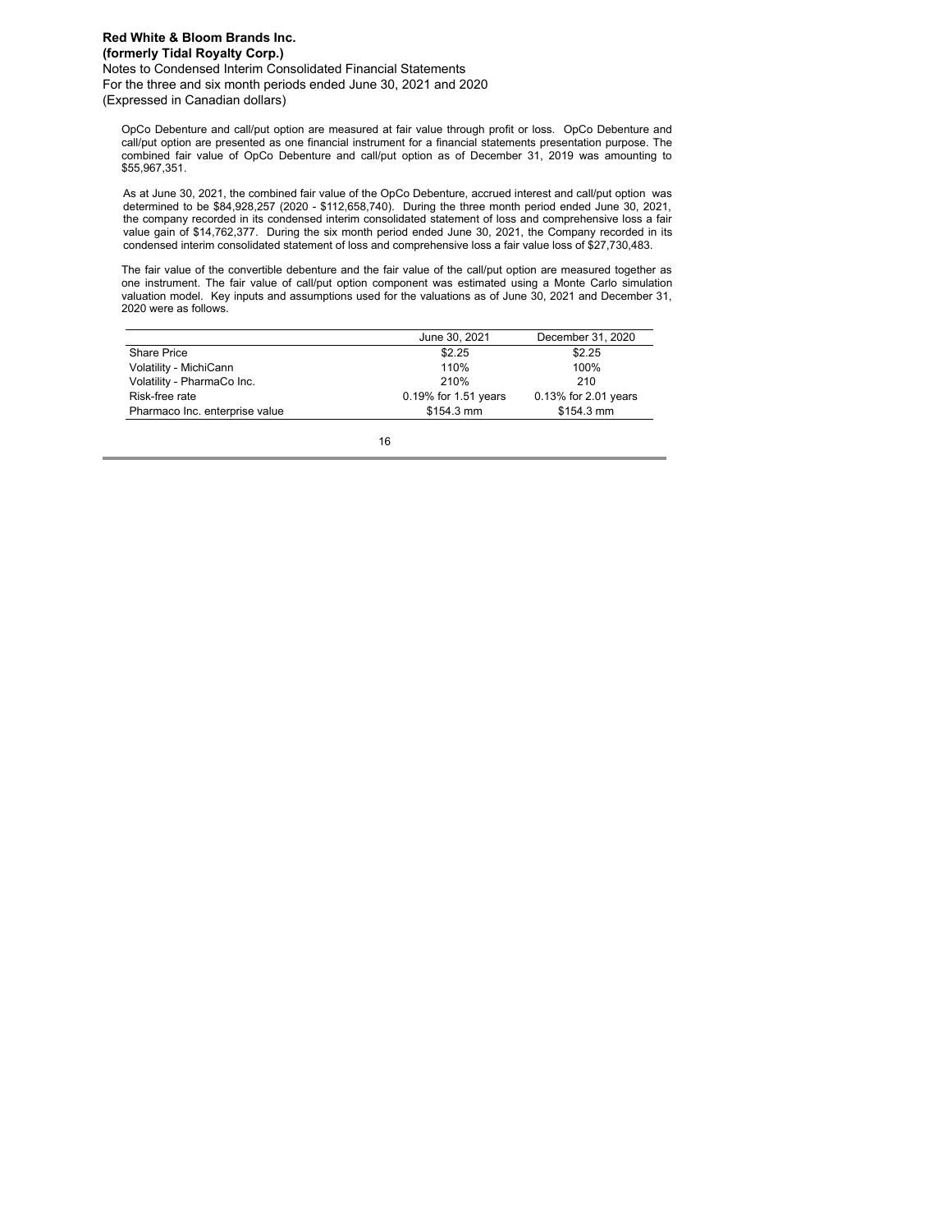<span id="page-31-0"></span>OpCo Debenture and call/put option are measured at fair value through profit or loss. OpCo Debenture and call/put option are presented as one financial instrument for a financial statements presentation purpose. The combined fair value of OpCo Debenture and call/put option as of December 31, 2019 was amounting to \$55,967,351.

As at June 30, 2021, the combined fair value of the OpCo Debenture, accrued interest and call/put option was determined to be \$84,928,257 (2020 - \$112,658,740). During the three month period ended June 30, 2021, the company recorded in its condensed interim consolidated statement of loss and comprehensive loss a fair value gain of \$14,762,377. During the six month period ended June 30, 2021, the Company recorded in its condensed interim consolidated statement of loss and comprehensive loss a fair value loss of \$27,730,483.

The fair value of the convertible debenture and the fair value of the call/put option are measured together as one instrument. The fair value of call/put option component was estimated using a Monte Carlo simulation valuation model. Key inputs and assumptions used for the valuations as of June 30, 2021 and December 31, 2020 were as follows.

|                                | June 30, 2021        | December 31, 2020    |
|--------------------------------|----------------------|----------------------|
| <b>Share Price</b>             | \$2.25               | \$2.25               |
| Volatility - MichiCann         | 110%                 | 100%                 |
| Volatility - PharmaCo Inc.     | 210%                 | 210                  |
| Risk-free rate                 | 0.19% for 1.51 years | 0.13% for 2.01 years |
| Pharmaco Inc. enterprise value | \$154.3 mm           | \$154.3 mm           |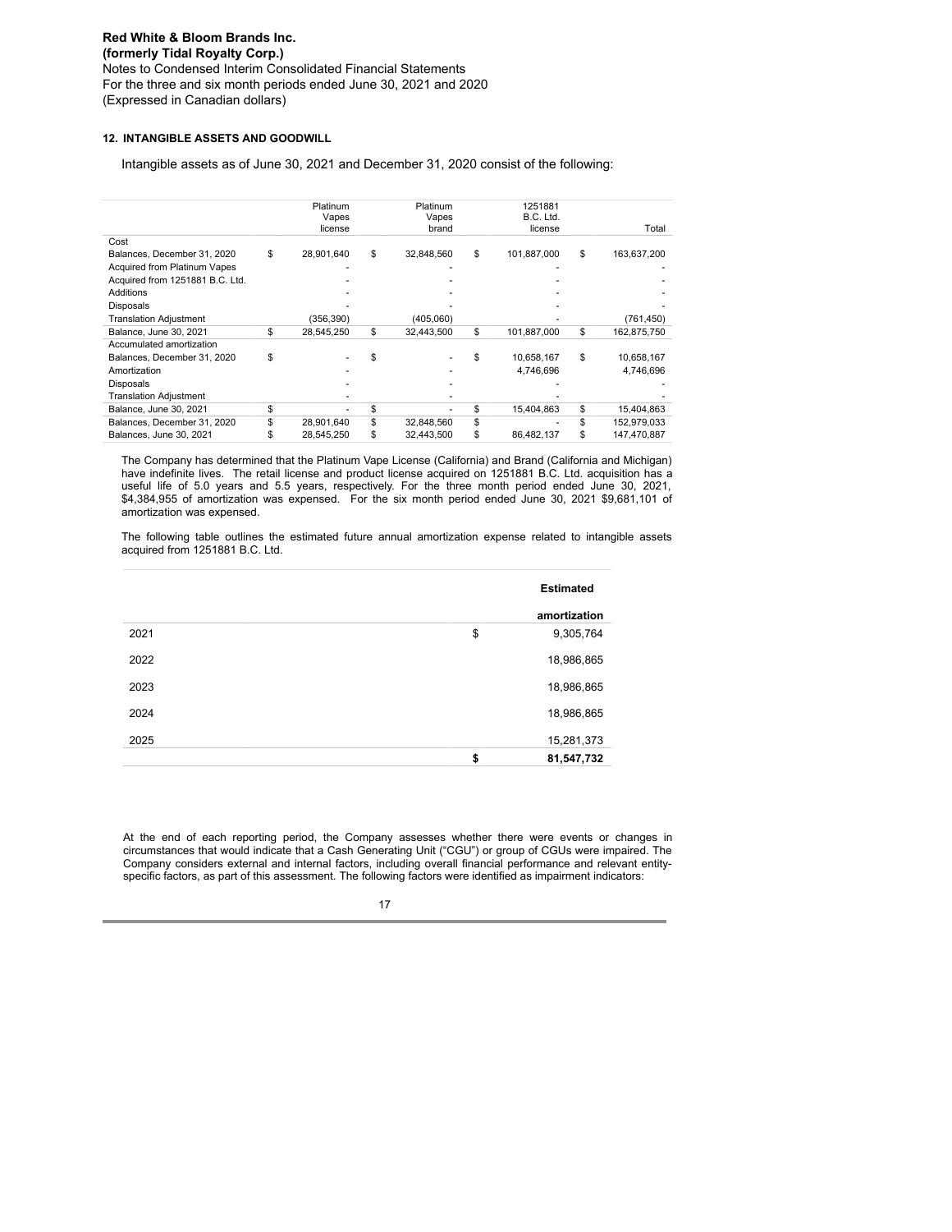### **INTANGIBLE ASSETS AND GOODWILL 12.**

Intangible assets as of June 30, 2021 and December 31, 2020 consist of the following:

|                                 | Platinum         | Platinum         |    | 1251881     |     |             |
|---------------------------------|------------------|------------------|----|-------------|-----|-------------|
|                                 | Vapes            | Vapes            |    | B.C. Ltd.   |     |             |
|                                 | license          | brand            |    | license     |     | Total       |
| Cost                            |                  |                  |    |             |     |             |
| Balances, December 31, 2020     | \$<br>28.901.640 | \$<br>32.848.560 | \$ | 101.887.000 | \$  | 163,637,200 |
| Acquired from Platinum Vapes    |                  |                  |    |             |     |             |
| Acquired from 1251881 B.C. Ltd. |                  |                  |    |             |     |             |
| Additions                       |                  |                  |    |             |     |             |
| <b>Disposals</b>                |                  |                  |    |             |     |             |
| <b>Translation Adjustment</b>   | (356,390)        | (405,060)        |    |             |     | (761, 450)  |
| Balance, June 30, 2021          | \$<br>28.545.250 | \$<br>32,443,500 | \$ | 101,887,000 | \$  | 162,875,750 |
| Accumulated amortization        |                  |                  |    |             |     |             |
| Balances, December 31, 2020     | \$               |                  |    | 10.658.167  | \$  | 10,658,167  |
| Amortization                    |                  |                  |    | 4,746,696   |     | 4,746,696   |
| Disposals                       |                  |                  |    |             |     |             |
| <b>Translation Adjustment</b>   |                  |                  |    |             |     |             |
| Balance, June 30, 2021          | \$               | \$               | S  | 15,404,863  | \$. | 15,404,863  |
| Balances, December 31, 2020     | \$<br>28,901,640 | \$<br>32,848,560 | \$ |             |     | 152,979,033 |
| Balances, June 30, 2021         | 28.545.250       | 32.443.500       |    | 86.482.137  |     | 147.470.887 |

The Company has determined that the Platinum Vape License (California) and Brand (California and Michigan) have indefinite lives. The retail license and product license acquired on 1251881 B.C. Ltd. acquisition has a useful life of 5.0 years and 5.5 years, respectively. For the three month period ended June 30, 2021, \$4,384,955 of amortization was expensed. For the six month period ended June 30, 2021 \$9,681,101 of amortization was expensed.

The following table outlines the estimated future annual amortization expense related to intangible assets acquired from 1251881 B.C. Ltd.

|      | <b>Estimated</b> |
|------|------------------|
|      | amortization     |
| 2021 | \$<br>9,305,764  |
| 2022 | 18,986,865       |
| 2023 | 18,986,865       |
| 2024 | 18,986,865       |
| 2025 | 15,281,373       |
|      | \$<br>81,547,732 |

At the end of each reporting period, the Company assesses whether there were events or changes in circumstances that would indicate that a Cash Generating Unit ("CGU") or group of CGUs were impaired. The Company considers external and internal factors, including overall financial performance and relevant entityspecific factors, as part of this assessment. The following factors were identified as impairment indicators: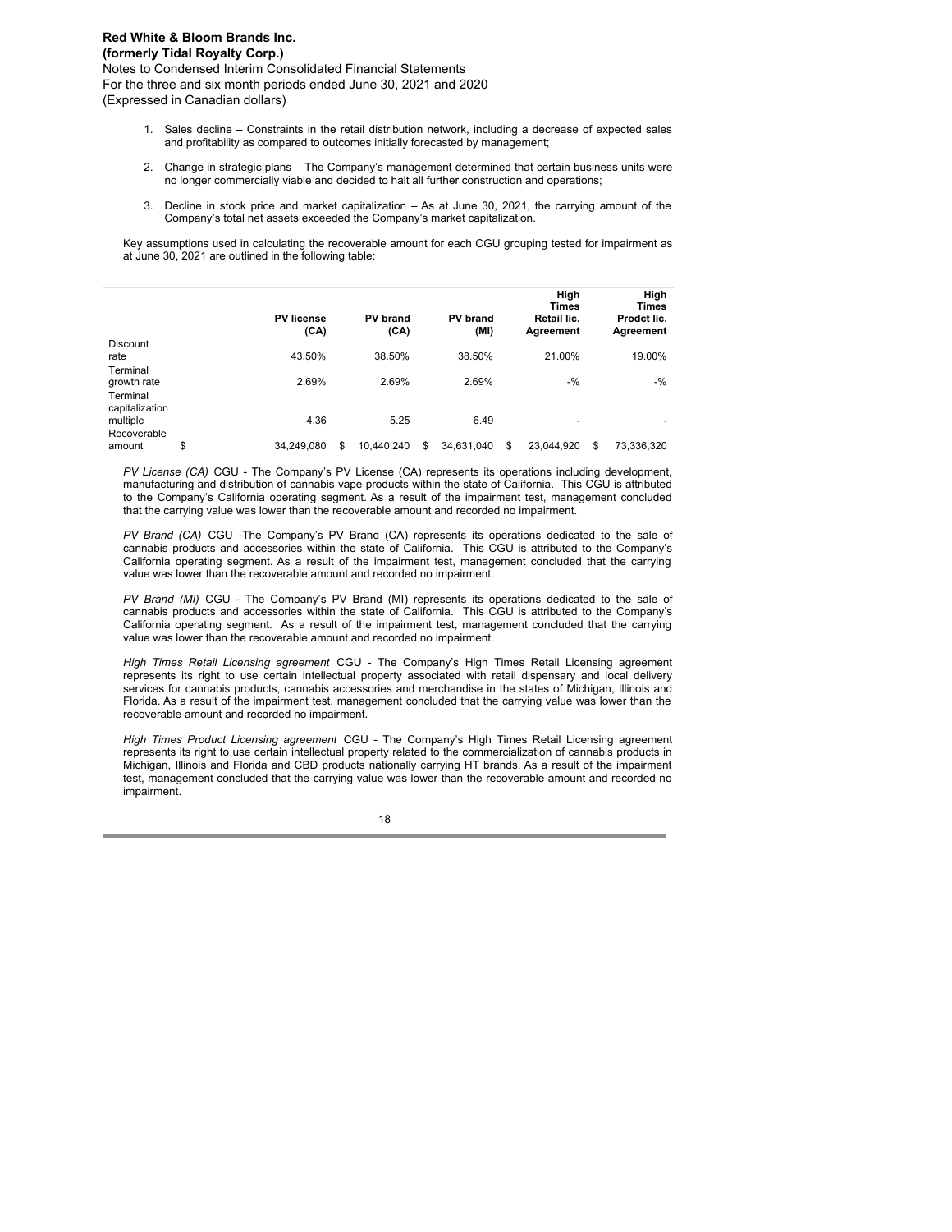## **Red White & Bloom Brands Inc. (formerly Tidal Royalty Corp.)**

Notes to Condensed Interim Consolidated Financial Statements For the three and six month periods ended June 30, 2021 and 2020 (Expressed in Canadian dollars)

- 1. Sales decline Constraints in the retail distribution network, including a decrease of expected sales and profitability as compared to outcomes initially forecasted by management;
- Change in strategic plans The Company's management determined that certain business units were 2. no longer commercially viable and decided to halt all further construction and operations;
- Decline in stock price and market capitalization As at June 30, 2021, the carrying amount of the Company's total net assets exceeded the Company's market capitalization. 3.

Key assumptions used in calculating the recoverable amount for each CGU grouping tested for impairment as at June 30, 2021 are outlined in the following table:

|                | <b>PV</b> license<br>(CA) | <b>PV</b> brand<br>(CA) | PV brand<br>(MI) |   | High<br><b>Times</b><br>Retail lic.<br>Agreement | High<br><b>Times</b><br>Prodct lic.<br>Agreement |
|----------------|---------------------------|-------------------------|------------------|---|--------------------------------------------------|--------------------------------------------------|
| Discount       |                           |                         |                  |   |                                                  |                                                  |
| rate           | 43.50%                    | 38.50%                  | 38.50%           |   | 21.00%                                           | 19.00%                                           |
| Terminal       |                           |                         |                  |   |                                                  |                                                  |
| growth rate    | 2.69%                     | 2.69%                   | 2.69%            |   | $-$ %                                            | $-$ %                                            |
| Terminal       |                           |                         |                  |   |                                                  |                                                  |
| capitalization |                           |                         |                  |   |                                                  |                                                  |
| multiple       | 4.36                      | 5.25                    | 6.49             |   | $\overline{\phantom{a}}$                         |                                                  |
| Recoverable    |                           |                         |                  |   |                                                  |                                                  |
| amount         | \$<br>34.249.080          | \$<br>10.440.240        | \$<br>34.631.040 | S | 23.044.920                                       | \$<br>73,336,320                                 |

*PV License (CA)* CGU - The Company's PV License (CA) represents its operations including development, manufacturing and distribution of cannabis vape products within the state of California. This CGU is attributed to the Company's California operating segment. As a result of the impairment test, management concluded that the carrying value was lower than the recoverable amount and recorded no impairment.

*PV Brand (CA)* CGU -The Company's PV Brand (CA) represents its operations dedicated to the sale of cannabis products and accessories within the state of California. This CGU is attributed to the Company's California operating segment. As a result of the impairment test, management concluded that the carrying value was lower than the recoverable amount and recorded no impairment.

*PV Brand (MI)* CGU - The Company's PV Brand (MI) represents its operations dedicated to the sale of cannabis products and accessories within the state of California. This CGU is attributed to the Company's California operating segment. As a result of the impairment test, management concluded that the carrying value was lower than the recoverable amount and recorded no impairment.

*High Times Retail Licensing agreement* CGU - The Company's High Times Retail Licensing agreement represents its right to use certain intellectual property associated with retail dispensary and local delivery services for cannabis products, cannabis accessories and merchandise in the states of Michigan, Illinois and Florida. As a result of the impairment test, management concluded that the carrying value was lower than the recoverable amount and recorded no impairment.

*High Times Product Licensing agreement* CGU - The Company's High Times Retail Licensing agreement represents its right to use certain intellectual property related to the commercialization of cannabis products in Michigan, Illinois and Florida and CBD products nationally carrying HT brands. As a result of the impairment test, management concluded that the carrying value was lower than the recoverable amount and recorded no impairment.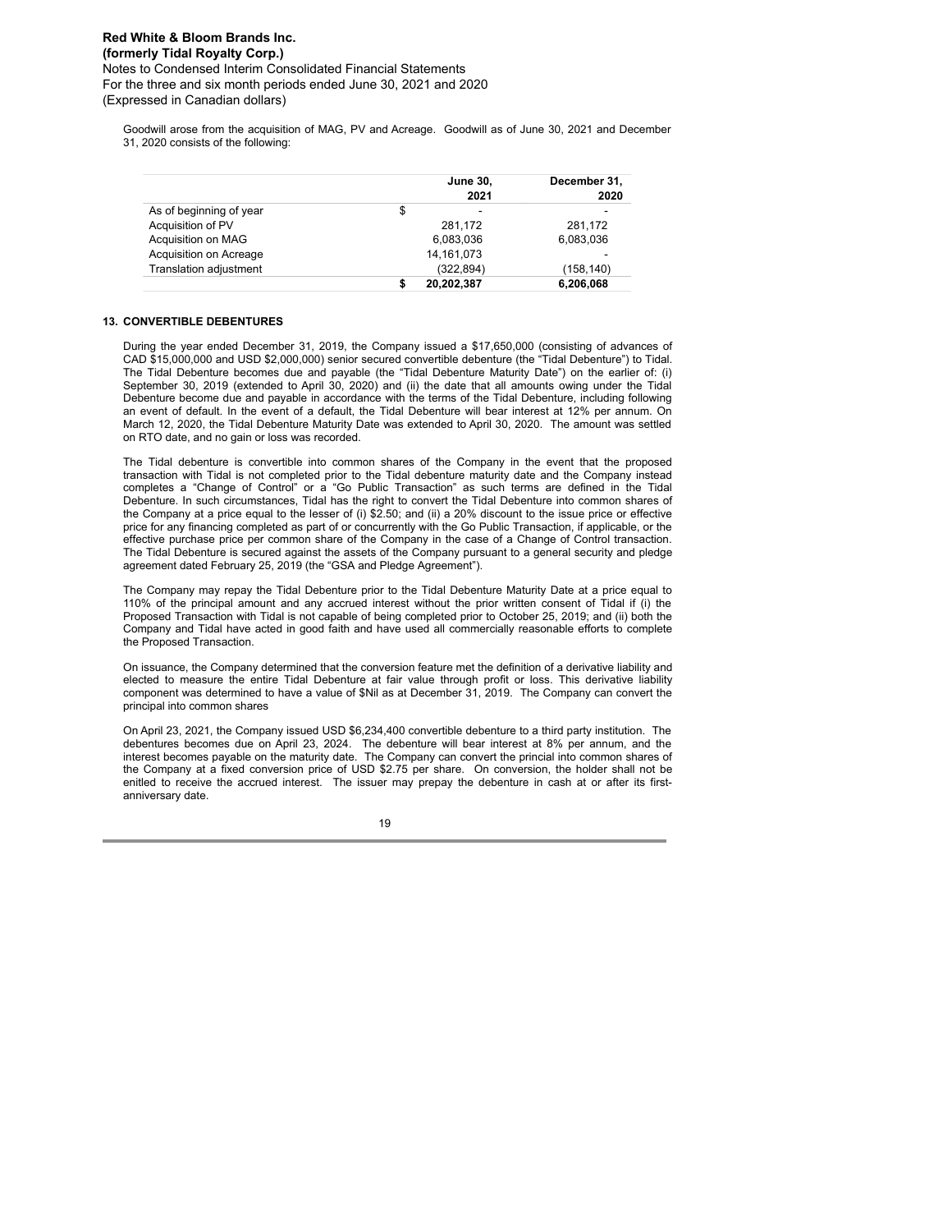Goodwill arose from the acquisition of MAG, PV and Acreage. Goodwill as of June 30, 2021 and December 31, 2020 consists of the following:

|                               |    | <b>June 30,</b> | December 31, |
|-------------------------------|----|-----------------|--------------|
|                               |    | 2021            | 2020         |
| As of beginning of year       | \$ | -               |              |
| Acquisition of PV             |    | 281.172         | 281.172      |
| Acquisition on MAG            |    | 6,083,036       | 6,083,036    |
| Acquisition on Acreage        |    | 14, 161, 073    |              |
| <b>Translation adjustment</b> |    | (322, 894)      | (158, 140)   |
|                               | S  | 20.202.387      | 6.206.068    |

#### **CONVERTIBLE DEBENTURES 13.**

During the year ended December 31, 2019, the Company issued a \$17,650,000 (consisting of advances of CAD \$15,000,000 and USD \$2,000,000) senior secured convertible debenture (the "Tidal Debenture") to Tidal. The Tidal Debenture becomes due and payable (the "Tidal Debenture Maturity Date") on the earlier of: (i) September 30, 2019 (extended to April 30, 2020) and (ii) the date that all amounts owing under the Tidal Debenture become due and payable in accordance with the terms of the Tidal Debenture, including following an event of default. In the event of a default, the Tidal Debenture will bear interest at 12% per annum. On March 12, 2020, the Tidal Debenture Maturity Date was extended to April 30, 2020. The amount was settled on RTO date, and no gain or loss was recorded.

The Tidal debenture is convertible into common shares of the Company in the event that the proposed transaction with Tidal is not completed prior to the Tidal debenture maturity date and the Company instead completes a "Change of Control" or a "Go Public Transaction" as such terms are defined in the Tidal Debenture. In such circumstances, Tidal has the right to convert the Tidal Debenture into common shares of the Company at a price equal to the lesser of (i) \$2.50; and (ii) a 20% discount to the issue price or effective price for any financing completed as part of or concurrently with the Go Public Transaction, if applicable, or the effective purchase price per common share of the Company in the case of a Change of Control transaction. The Tidal Debenture is secured against the assets of the Company pursuant to a general security and pledge agreement dated February 25, 2019 (the "GSA and Pledge Agreement").

The Company may repay the Tidal Debenture prior to the Tidal Debenture Maturity Date at a price equal to 110% of the principal amount and any accrued interest without the prior written consent of Tidal if (i) the Proposed Transaction with Tidal is not capable of being completed prior to October 25, 2019; and (ii) both the Company and Tidal have acted in good faith and have used all commercially reasonable efforts to complete the Proposed Transaction.

On issuance, the Company determined that the conversion feature met the definition of a derivative liability and elected to measure the entire Tidal Debenture at fair value through profit or loss. This derivative liability component was determined to have a value of \$Nil as at December 31, 2019. The Company can convert the principal into common shares

On April 23, 2021, the Company issued USD \$6,234,400 convertible debenture to a third party institution. The debentures becomes due on April 23, 2024. The debenture will bear interest at 8% per annum, and the interest becomes payable on the maturity date. The Company can convert the princial into common shares of the Company at a fixed conversion price of USD \$2.75 per share. On conversion, the holder shall not be enitled to receive the accrued interest. The issuer may prepay the debenture in cash at or after its firstanniversary date.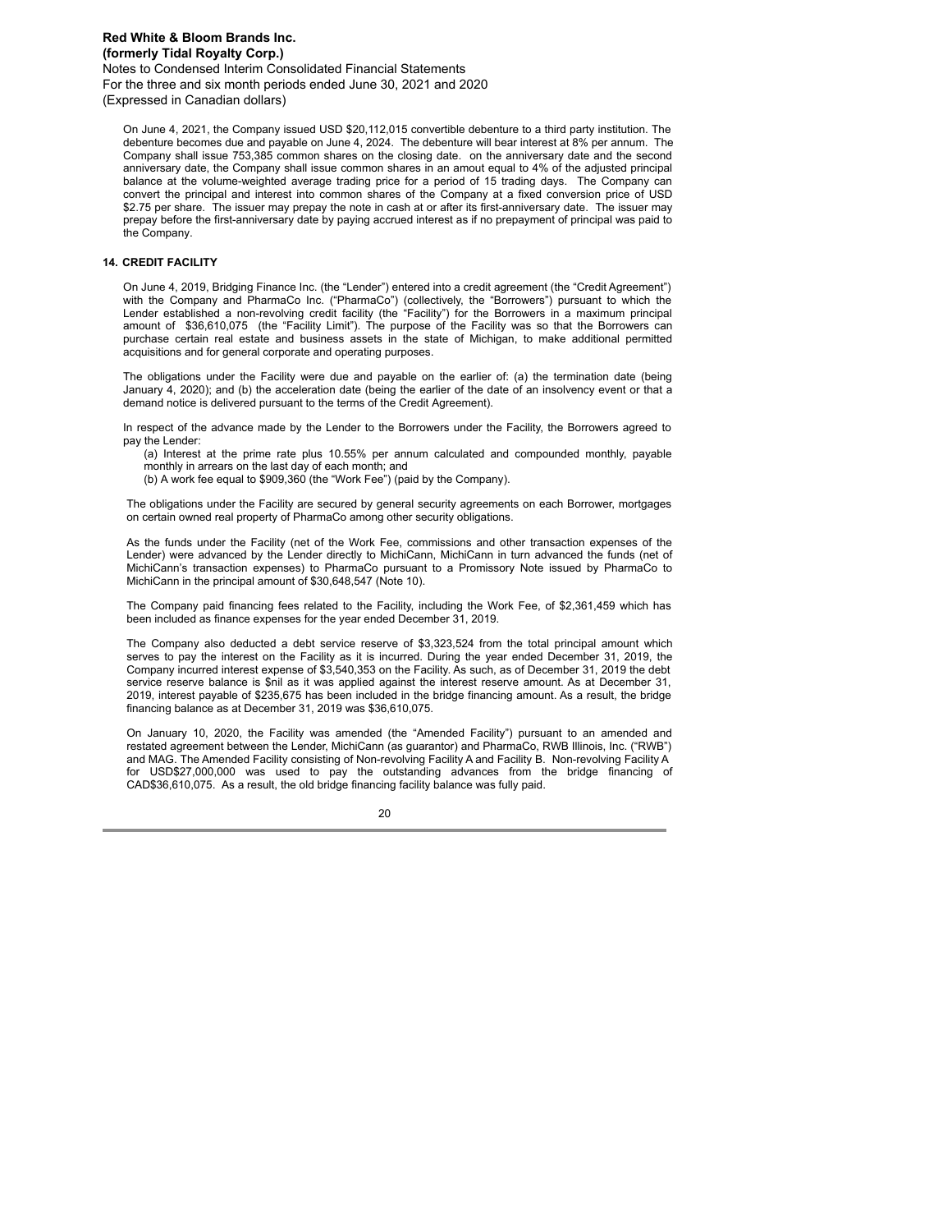On June 4, 2021, the Company issued USD \$20,112,015 convertible debenture to a third party institution. The debenture becomes due and payable on June 4, 2024. The debenture will bear interest at 8% per annum. The Company shall issue 753,385 common shares on the closing date. on the anniversary date and the second anniversary date, the Company shall issue common shares in an amout equal to 4% of the adjusted principal balance at the volume-weighted average trading price for a period of 15 trading days. The Company can convert the principal and interest into common shares of the Company at a fixed conversion price of USD \$2.75 per share. The issuer may prepay the note in cash at or after its first-anniversary date. The issuer may prepay before the first-anniversary date by paying accrued interest as if no prepayment of principal was paid to the Company.

#### **CREDIT FACILITY 14.**

On June 4, 2019, Bridging Finance Inc. (the "Lender") entered into a credit agreement (the "Credit Agreement") with the Company and PharmaCo Inc. ("PharmaCo") (collectively, the "Borrowers") pursuant to which the Lender established a non-revolving credit facility (the "Facility") for the Borrowers in a maximum principal amount of \$36,610,075 (the "Facility Limit"). The purpose of the Facility was so that the Borrowers can purchase certain real estate and business assets in the state of Michigan, to make additional permitted acquisitions and for general corporate and operating purposes.

The obligations under the Facility were due and payable on the earlier of: (a) the termination date (being January 4, 2020); and (b) the acceleration date (being the earlier of the date of an insolvency event or that a demand notice is delivered pursuant to the terms of the Credit Agreement).

In respect of the advance made by the Lender to the Borrowers under the Facility, the Borrowers agreed to pay the Lender:

(a) Interest at the prime rate plus 10.55% per annum calculated and compounded monthly, payable monthly in arrears on the last day of each month; and

(b) A work fee equal to \$909,360 (the "Work Fee") (paid by the Company).

The obligations under the Facility are secured by general security agreements on each Borrower, mortgages on certain owned real property of PharmaCo among other security obligations.

As the funds under the Facility (net of the Work Fee, commissions and other transaction expenses of the Lender) were advanced by the Lender directly to MichiCann, MichiCann in turn advanced the funds (net of MichiCann's transaction expenses) to PharmaCo pursuant to a Promissory Note issued by PharmaCo to MichiCann in the principal amount of \$30,648,547 (Note 10).

The Company paid financing fees related to the Facility, including the Work Fee, of \$2,361,459 which has been included as finance expenses for the year ended December 31, 2019.

The Company also deducted a debt service reserve of \$3,323,524 from the total principal amount which serves to pay the interest on the Facility as it is incurred. During the year ended December 31, 2019, the Company incurred interest expense of \$3,540,353 on the Facility. As such, as of December 31, 2019 the debt service reserve balance is \$nil as it was applied against the interest reserve amount. As at December 31, 2019, interest payable of \$235,675 has been included in the bridge financing amount. As a result, the bridge financing balance as at December 31, 2019 was \$36,610,075.

On January 10, 2020, the Facility was amended (the "Amended Facility") pursuant to an amended and restated agreement between the Lender, MichiCann (as guarantor) and PharmaCo, RWB Illinois, Inc. ("RWB") and MAG. The Amended Facility consisting of Non-revolving Facility A and Facility B. Non-revolving Facility A for USD\$27,000,000 was used to pay the outstanding advances from the bridge financing of CAD\$36,610,075. As a result, the old bridge financing facility balance was fully paid.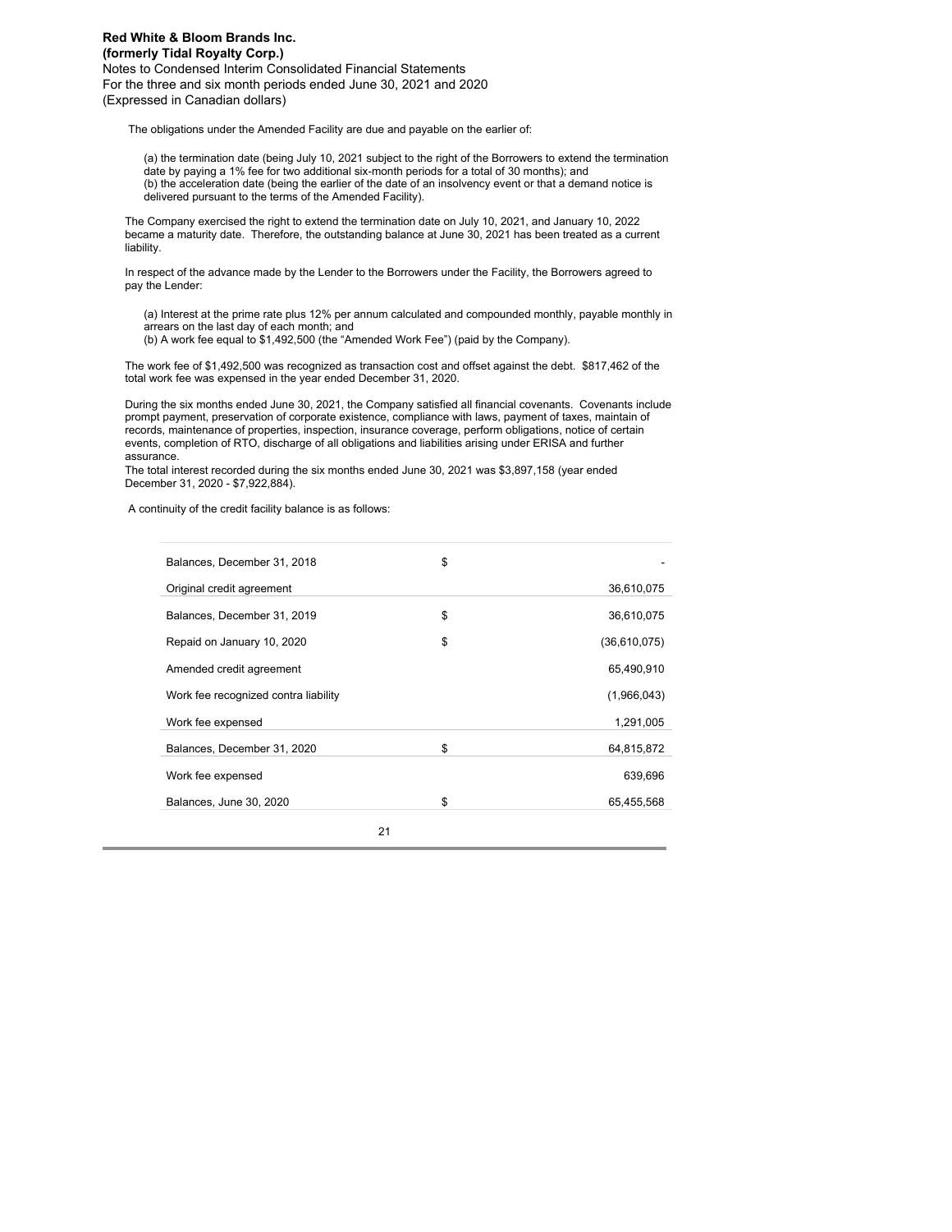The obligations under the Amended Facility are due and payable on the earlier of:

(a) the termination date (being July 10, 2021 subject to the right of the Borrowers to extend the termination date by paying a 1% fee for two additional six-month periods for a total of 30 months); and (b) the acceleration date (being the earlier of the date of an insolvency event or that a demand notice is delivered pursuant to the terms of the Amended Facility).

The Company exercised the right to extend the termination date on July 10, 2021, and January 10, 2022 became a maturity date. Therefore, the outstanding balance at June 30, 2021 has been treated as a current liability.

In respect of the advance made by the Lender to the Borrowers under the Facility, the Borrowers agreed to pay the Lender:

(a) Interest at the prime rate plus 12% per annum calculated and compounded monthly, payable monthly in arrears on the last day of each month; and

(b) A work fee equal to \$1,492,500 (the "Amended Work Fee") (paid by the Company).

The work fee of \$1,492,500 was recognized as transaction cost and offset against the debt. \$817,462 of the total work fee was expensed in the year ended December 31, 2020.

During the six months ended June 30, 2021, the Company satisfied all financial covenants. Covenants include prompt payment, preservation of corporate existence, compliance with laws, payment of taxes, maintain of records, maintenance of properties, inspection, insurance coverage, perform obligations, notice of certain events, completion of RTO, discharge of all obligations and liabilities arising under ERISA and further assurance.

The total interest recorded during the six months ended June 30, 2021 was \$3,897,158 (year ended December 31, 2020 - \$7,922,884).

A continuity of the credit facility balance is as follows:

| Balances, December 31, 2018          | \$ |              |
|--------------------------------------|----|--------------|
| Original credit agreement            |    | 36,610,075   |
| Balances, December 31, 2019          | \$ | 36,610,075   |
| Repaid on January 10, 2020           | \$ | (36,610,075) |
| Amended credit agreement             |    | 65,490,910   |
| Work fee recognized contra liability |    | (1,966,043)  |
| Work fee expensed                    |    | 1,291,005    |
| Balances, December 31, 2020          | \$ | 64,815,872   |
| Work fee expensed                    |    | 639,696      |
| Balances, June 30, 2020              | \$ | 65,455,568   |
|                                      | 21 |              |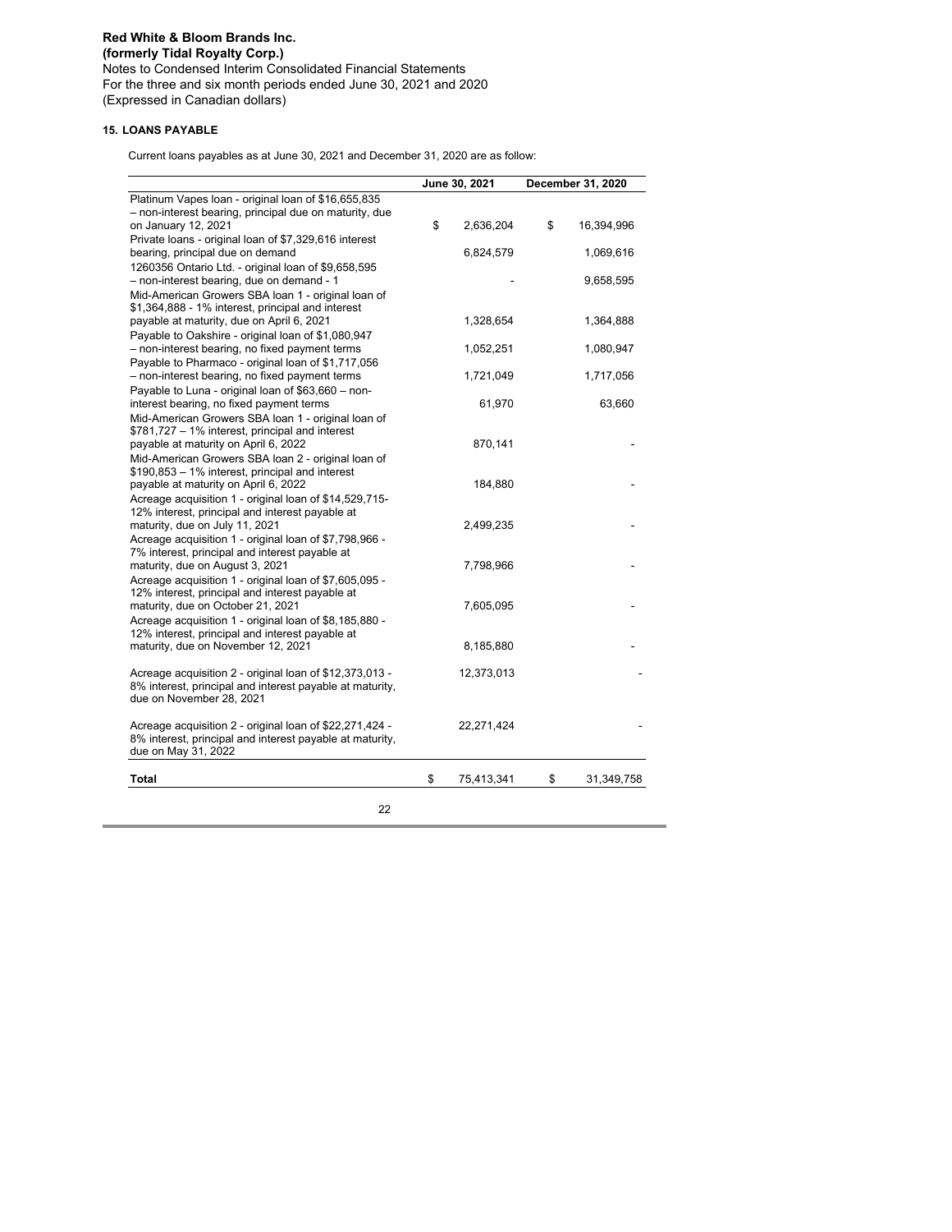## **LOANS PAYABLE 15.**

Current loans payables as at June 30, 2021 and December 31, 2020 are as follow:

|                                                                                                       | June 30, 2021    | December 31, 2020 |
|-------------------------------------------------------------------------------------------------------|------------------|-------------------|
| Platinum Vapes Ioan - original Ioan of \$16,655,835                                                   |                  |                   |
| - non-interest bearing, principal due on maturity, due                                                |                  |                   |
| on January 12, 2021                                                                                   | \$<br>2,636,204  | \$<br>16,394,996  |
| Private loans - original loan of \$7,329,616 interest<br>bearing, principal due on demand             | 6,824,579        | 1,069,616         |
| 1260356 Ontario Ltd. - original loan of \$9,658,595                                                   |                  |                   |
| - non-interest bearing, due on demand - 1                                                             |                  | 9,658,595         |
| Mid-American Growers SBA loan 1 - original loan of                                                    |                  |                   |
| \$1,364,888 - 1% interest, principal and interest                                                     |                  |                   |
| payable at maturity, due on April 6, 2021                                                             | 1,328,654        | 1,364,888         |
| Payable to Oakshire - original loan of \$1,080,947                                                    |                  |                   |
| - non-interest bearing, no fixed payment terms                                                        | 1,052,251        | 1,080,947         |
| Payable to Pharmaco - original loan of \$1,717,056<br>- non-interest bearing, no fixed payment terms  | 1,721,049        | 1,717,056         |
| Payable to Luna - original loan of \$63,660 - non-                                                    |                  |                   |
| interest bearing, no fixed payment terms                                                              | 61,970           | 63,660            |
| Mid-American Growers SBA loan 1 - original loan of                                                    |                  |                   |
| \$781,727 - 1% interest, principal and interest                                                       |                  |                   |
| payable at maturity on April 6, 2022                                                                  | 870,141          |                   |
| Mid-American Growers SBA loan 2 - original loan of<br>\$190,853 - 1% interest, principal and interest |                  |                   |
| payable at maturity on April 6, 2022                                                                  | 184,880          |                   |
| Acreage acquisition 1 - original loan of \$14,529,715-                                                |                  |                   |
| 12% interest, principal and interest payable at                                                       |                  |                   |
| maturity, due on July 11, 2021                                                                        | 2,499,235        |                   |
| Acreage acquisition 1 - original loan of \$7,798,966 -                                                |                  |                   |
| 7% interest, principal and interest payable at<br>maturity, due on August 3, 2021                     | 7,798,966        |                   |
| Acreage acquisition 1 - original loan of \$7,605,095 -                                                |                  |                   |
| 12% interest, principal and interest payable at                                                       |                  |                   |
| maturity, due on October 21, 2021                                                                     | 7,605,095        |                   |
| Acreage acquisition 1 - original loan of \$8,185,880 -                                                |                  |                   |
| 12% interest, principal and interest payable at                                                       |                  |                   |
| maturity, due on November 12, 2021                                                                    | 8,185,880        |                   |
| Acreage acquisition 2 - original loan of \$12,373,013 -                                               | 12,373,013       |                   |
| 8% interest, principal and interest payable at maturity,                                              |                  |                   |
| due on November 28, 2021                                                                              |                  |                   |
|                                                                                                       |                  |                   |
| Acreage acquisition 2 - original loan of \$22,271,424 -                                               | 22,271,424       |                   |
| 8% interest, principal and interest payable at maturity,<br>due on May 31, 2022                       |                  |                   |
|                                                                                                       |                  |                   |
| Total                                                                                                 | \$<br>75,413,341 | \$<br>31,349,758  |
|                                                                                                       |                  |                   |
| 22                                                                                                    |                  |                   |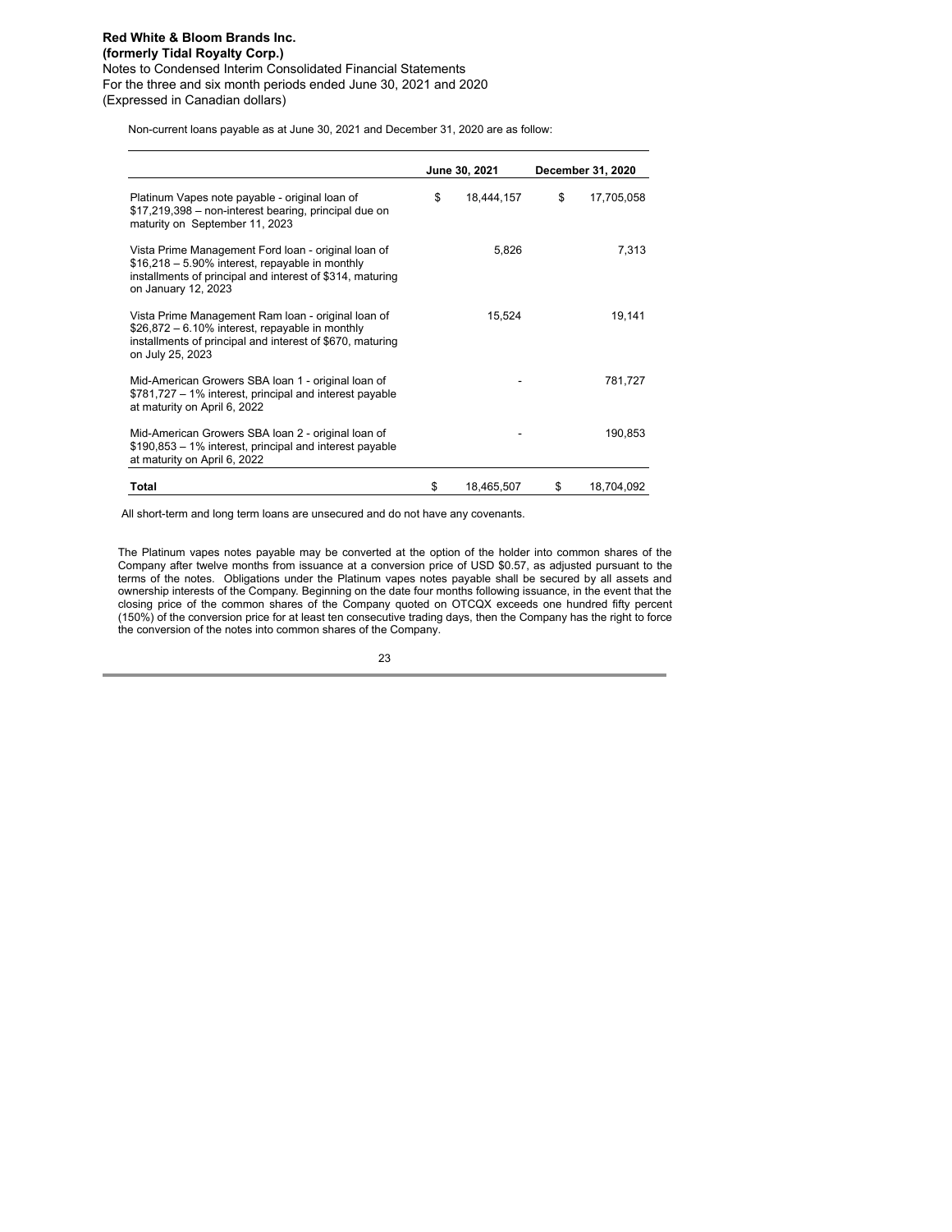Non-current loans payable as at June 30, 2021 and December 31, 2020 are as follow:

|                                                                                                                                                                                              | June 30, 2021    | December 31, 2020 |            |  |
|----------------------------------------------------------------------------------------------------------------------------------------------------------------------------------------------|------------------|-------------------|------------|--|
| Platinum Vapes note payable - original loan of<br>\$17,219,398 – non-interest bearing, principal due on<br>maturity on September 11, 2023                                                    | \$<br>18,444,157 | \$                | 17,705,058 |  |
| Vista Prime Management Ford Ioan - original Ioan of<br>$$16,218 - 5.90\%$ interest, repayable in monthly<br>installments of principal and interest of \$314, maturing<br>on January 12, 2023 | 5,826            |                   | 7,313      |  |
| Vista Prime Management Ram Ioan - original Ioan of<br>$$26,872 - 6.10\%$ interest, repayable in monthly<br>installments of principal and interest of \$670, maturing<br>on July 25, 2023     | 15,524           |                   | 19,141     |  |
| Mid-American Growers SBA loan 1 - original loan of<br>\$781,727 – 1% interest, principal and interest payable<br>at maturity on April 6, 2022                                                |                  |                   | 781.727    |  |
| Mid-American Growers SBA loan 2 - original loan of<br>\$190,853 – 1% interest, principal and interest payable<br>at maturity on April 6, 2022                                                |                  |                   | 190,853    |  |
| Total                                                                                                                                                                                        | \$<br>18,465,507 | \$                | 18,704,092 |  |

All short-term and long term loans are unsecured and do not have any covenants.

The Platinum vapes notes payable may be converted at the option of the holder into common shares of the Company after twelve months from issuance at a conversion price of USD \$0.57, as adjusted pursuant to the terms of the notes. Obligations under the Platinum vapes notes payable shall be secured by all assets and ownership interests of the Company. Beginning on the date four months following issuance, in the event that the closing price of the common shares of the Company quoted on OTCQX exceeds one hundred fifty percent (150%) of the conversion price for at least ten consecutive trading days, then the Company has the right to force the conversion of the notes into common shares of the Company.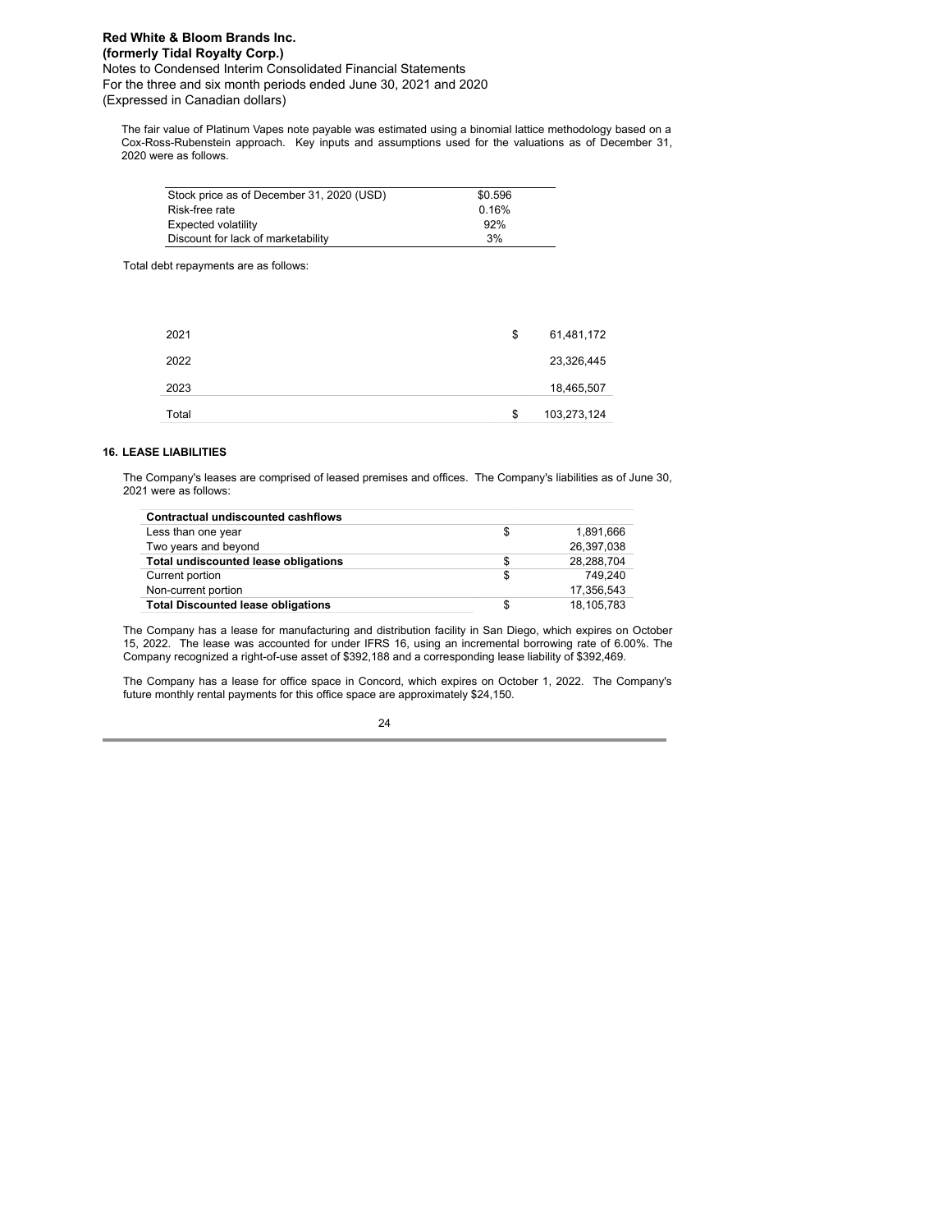The fair value of Platinum Vapes note payable was estimated using a binomial lattice methodology based on a Cox-Ross-Rubenstein approach. Key inputs and assumptions used for the valuations as of December 31, 2020 were as follows.

| Stock price as of December 31, 2020 (USD) | \$0.596 |
|-------------------------------------------|---------|
| Risk-free rate                            | 0.16%   |
| <b>Expected volatility</b>                | 92%     |
| Discount for lack of marketability        | 3%      |

Total debt repayments are as follows:

| 2023 | 18,465,507       |
|------|------------------|
| 2022 | 23,326,445       |
| 2021 | \$<br>61,481,172 |

#### **LEASE LIABILITIES 16.**

The Company's leases are comprised of leased premises and offices. The Company's liabilities as of June 30, 2021 were as follows:

| <b>Contractual undiscounted cashflows</b> |   |            |
|-------------------------------------------|---|------------|
| Less than one year                        |   | 1,891,666  |
| Two years and beyond                      |   | 26,397,038 |
| Total undiscounted lease obligations      | S | 28,288,704 |
| Current portion                           |   | 749.240    |
| Non-current portion                       |   | 17,356,543 |
| <b>Total Discounted lease obligations</b> |   | 18,105,783 |

The Company has a lease for manufacturing and distribution facility in San Diego, which expires on October 15, 2022. The lease was accounted for under IFRS 16, using an incremental borrowing rate of 6.00%. The Company recognized a right-of-use asset of \$392,188 and a corresponding lease liability of \$392,469.

The Company has a lease for office space in Concord, which expires on October 1, 2022. The Company's future monthly rental payments for this office space are approximately \$24,150.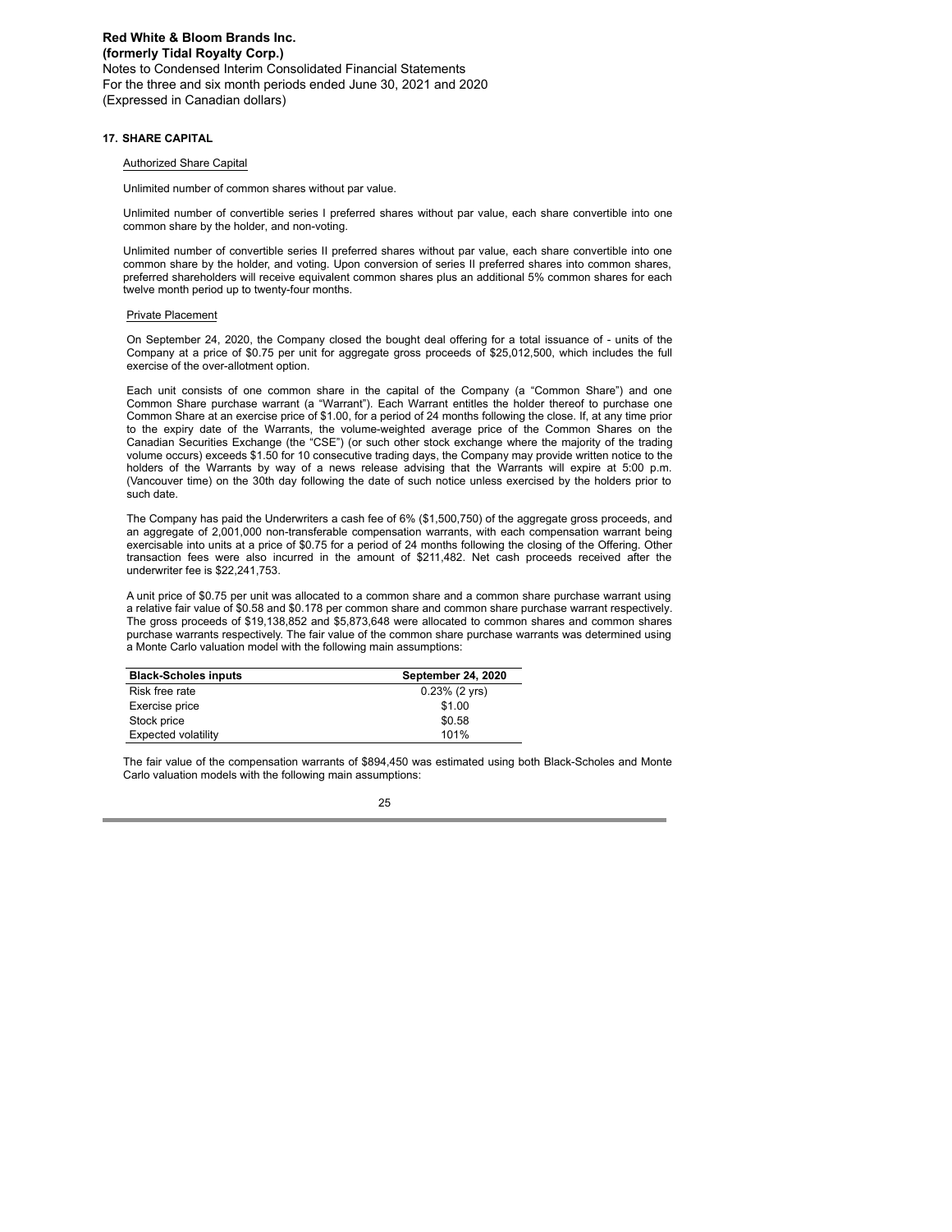#### **SHARE CAPITAL 17.**

#### Authorized Share Capital

Unlimited number of common shares without par value.

Unlimited number of convertible series I preferred shares without par value, each share convertible into one common share by the holder, and non-voting.

Unlimited number of convertible series II preferred shares without par value, each share convertible into one common share by the holder, and voting. Upon conversion of series II preferred shares into common shares, preferred shareholders will receive equivalent common shares plus an additional 5% common shares for each twelve month period up to twenty-four months.

#### Private Placement

On September 24, 2020, the Company closed the bought deal offering for a total issuance of - units of the Company at a price of \$0.75 per unit for aggregate gross proceeds of \$25,012,500, which includes the full exercise of the over-allotment option.

Each unit consists of one common share in the capital of the Company (a "Common Share") and one Common Share purchase warrant (a "Warrant"). Each Warrant entitles the holder thereof to purchase one Common Share at an exercise price of \$1.00, for a period of 24 months following the close. If, at any time prior to the expiry date of the Warrants, the volume-weighted average price of the Common Shares on the Canadian Securities Exchange (the "CSE") (or such other stock exchange where the majority of the trading volume occurs) exceeds \$1.50 for 10 consecutive trading days, the Company may provide written notice to the holders of the Warrants by way of a news release advising that the Warrants will expire at 5:00 p.m. (Vancouver time) on the 30th day following the date of such notice unless exercised by the holders prior to such date.

The Company has paid the Underwriters a cash fee of 6% (\$1,500,750) of the aggregate gross proceeds, and an aggregate of 2,001,000 non-transferable compensation warrants, with each compensation warrant being exercisable into units at a price of \$0.75 for a period of 24 months following the closing of the Offering. Other transaction fees were also incurred in the amount of \$211,482. Net cash proceeds received after the underwriter fee is \$22,241,753.

A unit price of \$0.75 per unit was allocated to a common share and a common share purchase warrant using a relative fair value of \$0.58 and \$0.178 per common share and common share purchase warrant respectively. The gross proceeds of \$19,138,852 and \$5,873,648 were allocated to common shares and common shares purchase warrants respectively. The fair value of the common share purchase warrants was determined using a Monte Carlo valuation model with the following main assumptions:

| <b>Black-Scholes inputs</b> | <b>September 24, 2020</b> |
|-----------------------------|---------------------------|
| Risk free rate              | $0.23\%$ (2 yrs)          |
| Exercise price              | \$1.00                    |
| Stock price                 | \$0.58                    |
| <b>Expected volatility</b>  | 101%                      |

The fair value of the compensation warrants of \$894,450 was estimated using both Black-Scholes and Monte Carlo valuation models with the following main assumptions: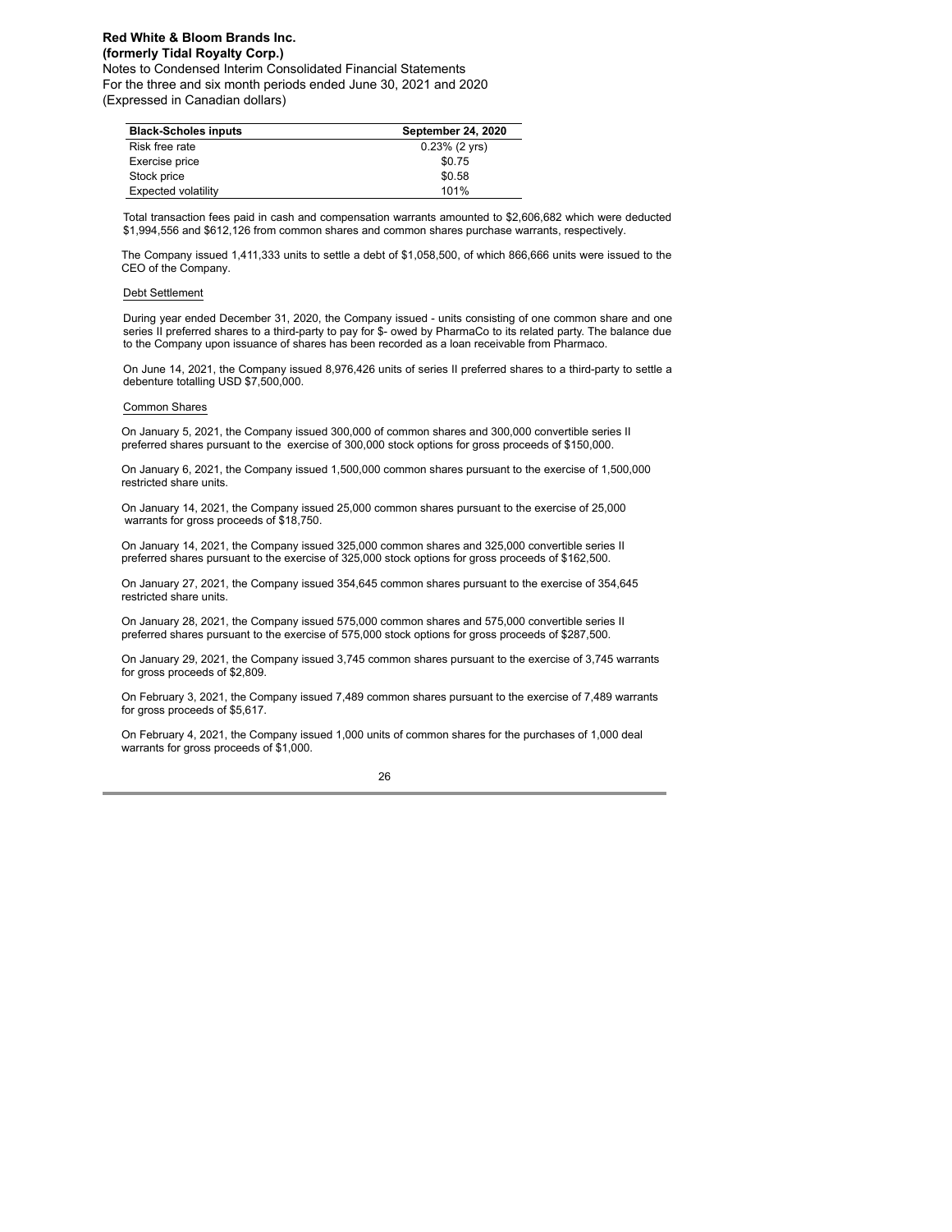## **Red White & Bloom Brands Inc. (formerly Tidal Royalty Corp.)**

Notes to Condensed Interim Consolidated Financial Statements For the three and six month periods ended June 30, 2021 and 2020 (Expressed in Canadian dollars)

| <b>Black-Scholes inputs</b> | <b>September 24, 2020</b> |
|-----------------------------|---------------------------|
| Risk free rate              | $0.23\%$ (2 yrs)          |
| Exercise price              | \$0.75                    |
| Stock price                 | \$0.58                    |
| Expected volatility         | 101%                      |

Total transaction fees paid in cash and compensation warrants amounted to \$2,606,682 which were deducted \$1,994,556 and \$612,126 from common shares and common shares purchase warrants, respectively.

The Company issued 1,411,333 units to settle a debt of \$1,058,500, of which 866,666 units were issued to the CEO of the Company.

#### Debt Settlement

During year ended December 31, 2020, the Company issued - units consisting of one common share and one series II preferred shares to a third-party to pay for \$- owed by PharmaCo to its related party. The balance due to the Company upon issuance of shares has been recorded as a loan receivable from Pharmaco.

On June 14, 2021, the Company issued 8,976,426 units of series II preferred shares to a third-party to settle a debenture totalling USD \$7,500,000.

#### Common Shares

On January 5, 2021, the Company issued 300,000 of common shares and 300,000 convertible series II preferred shares pursuant to the exercise of 300,000 stock options for gross proceeds of \$150,000.

On January 6, 2021, the Company issued 1,500,000 common shares pursuant to the exercise of 1,500,000 restricted share units.

On January 14, 2021, the Company issued 25,000 common shares pursuant to the exercise of 25,000 warrants for gross proceeds of \$18,750.

On January 14, 2021, the Company issued 325,000 common shares and 325,000 convertible series II preferred shares pursuant to the exercise of 325,000 stock options for gross proceeds of \$162,500.

On January 27, 2021, the Company issued 354,645 common shares pursuant to the exercise of 354,645 restricted share units.

On January 28, 2021, the Company issued 575,000 common shares and 575,000 convertible series II preferred shares pursuant to the exercise of 575,000 stock options for gross proceeds of \$287,500.

On January 29, 2021, the Company issued 3,745 common shares pursuant to the exercise of 3,745 warrants for gross proceeds of \$2,809.

On February 3, 2021, the Company issued 7,489 common shares pursuant to the exercise of 7,489 warrants for gross proceeds of \$5,617.

On February 4, 2021, the Company issued 1,000 units of common shares for the purchases of 1,000 deal warrants for gross proceeds of \$1,000.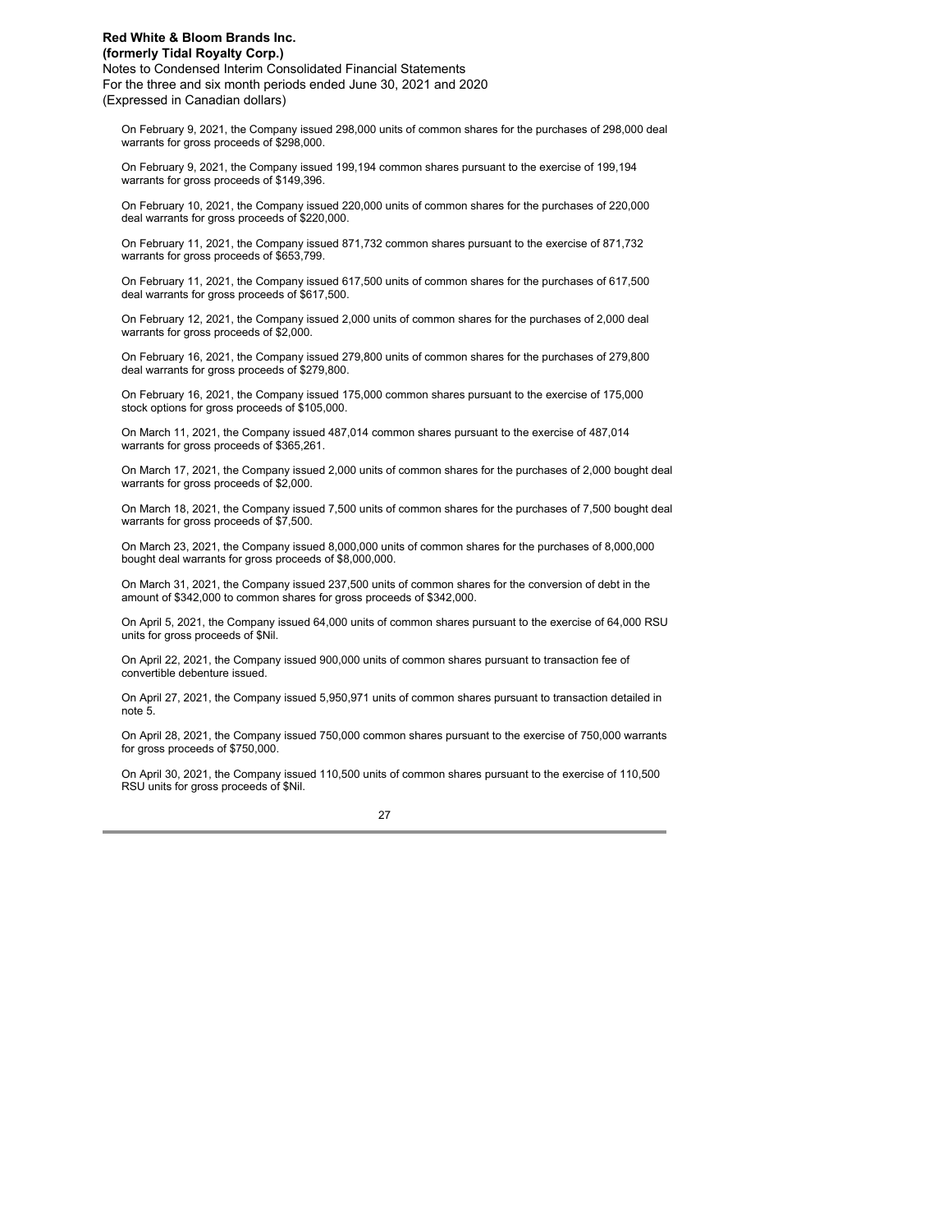# **Red White & Bloom Brands Inc. (formerly Tidal Royalty Corp.)**

Notes to Condensed Interim Consolidated Financial Statements For the three and six month periods ended June 30, 2021 and 2020 (Expressed in Canadian dollars)

On February 9, 2021, the Company issued 298,000 units of common shares for the purchases of 298,000 deal warrants for gross proceeds of \$298,000.

On February 9, 2021, the Company issued 199,194 common shares pursuant to the exercise of 199,194 warrants for gross proceeds of \$149,396.

On February 10, 2021, the Company issued 220,000 units of common shares for the purchases of 220,000 deal warrants for gross proceeds of \$220,000.

On February 11, 2021, the Company issued 871,732 common shares pursuant to the exercise of 871,732 warrants for gross proceeds of \$653,799.

On February 11, 2021, the Company issued 617,500 units of common shares for the purchases of 617,500 deal warrants for gross proceeds of \$617,500.

On February 12, 2021, the Company issued 2,000 units of common shares for the purchases of 2,000 deal warrants for gross proceeds of \$2,000.

On February 16, 2021, the Company issued 279,800 units of common shares for the purchases of 279,800 deal warrants for gross proceeds of \$279,800.

On February 16, 2021, the Company issued 175,000 common shares pursuant to the exercise of 175,000 stock options for gross proceeds of \$105,000.

On March 11, 2021, the Company issued 487,014 common shares pursuant to the exercise of 487,014 warrants for gross proceeds of \$365,261.

On March 17, 2021, the Company issued 2,000 units of common shares for the purchases of 2,000 bought deal warrants for gross proceeds of \$2,000.

On March 18, 2021, the Company issued 7,500 units of common shares for the purchases of 7,500 bought deal warrants for gross proceeds of \$7,500.

On March 23, 2021, the Company issued 8,000,000 units of common shares for the purchases of 8,000,000 bought deal warrants for gross proceeds of \$8,000,000.

On March 31, 2021, the Company issued 237,500 units of common shares for the conversion of debt in the amount of \$342,000 to common shares for gross proceeds of \$342,000.

On April 5, 2021, the Company issued 64,000 units of common shares pursuant to the exercise of 64,000 RSU units for gross proceeds of \$Nil.

On April 22, 2021, the Company issued 900,000 units of common shares pursuant to transaction fee of convertible debenture issued.

On April 27, 2021, the Company issued 5,950,971 units of common shares pursuant to transaction detailed in note 5.

On April 28, 2021, the Company issued 750,000 common shares pursuant to the exercise of 750,000 warrants for gross proceeds of \$750,000.

On April 30, 2021, the Company issued 110,500 units of common shares pursuant to the exercise of 110,500 RSU units for gross proceeds of \$Nil.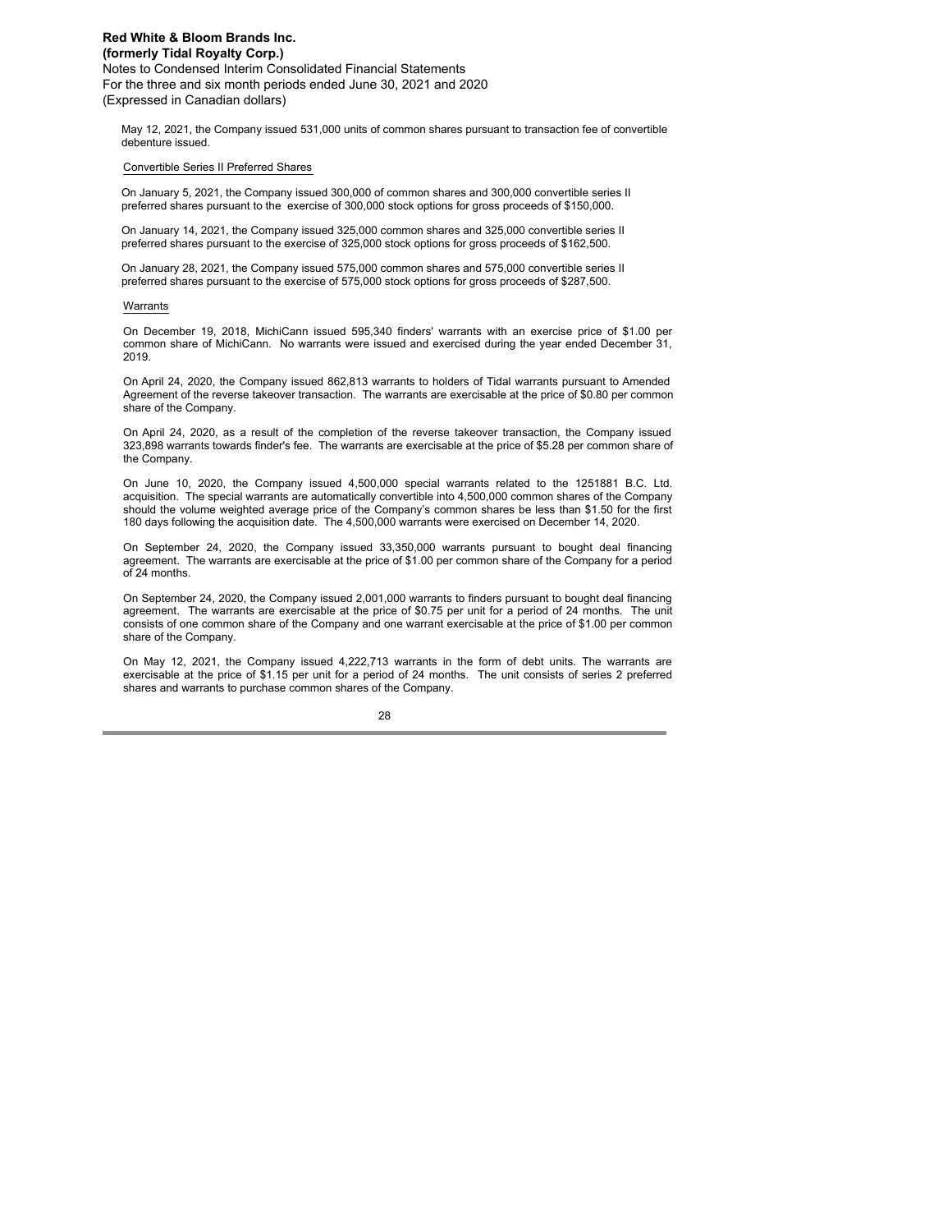May 12, 2021, the Company issued 531,000 units of common shares pursuant to transaction fee of convertible debenture issued.

#### Convertible Series II Preferred Shares

On January 5, 2021, the Company issued 300,000 of common shares and 300,000 convertible series II preferred shares pursuant to the exercise of 300,000 stock options for gross proceeds of \$150,000.

On January 14, 2021, the Company issued 325,000 common shares and 325,000 convertible series II preferred shares pursuant to the exercise of 325,000 stock options for gross proceeds of \$162,500.

On January 28, 2021, the Company issued 575,000 common shares and 575,000 convertible series II preferred shares pursuant to the exercise of 575,000 stock options for gross proceeds of \$287,500.

#### Warrants

On December 19, 2018, MichiCann issued 595,340 finders' warrants with an exercise price of \$1.00 per common share of MichiCann. No warrants were issued and exercised during the year ended December 31, 2019.

On April 24, 2020, the Company issued 862,813 warrants to holders of Tidal warrants pursuant to Amended Agreement of the reverse takeover transaction. The warrants are exercisable at the price of \$0.80 per common share of the Company.

On April 24, 2020, as a result of the completion of the reverse takeover transaction, the Company issued 323,898 warrants towards finder's fee. The warrants are exercisable at the price of \$5.28 per common share of the Company.

On June 10, 2020, the Company issued 4,500,000 special warrants related to the 1251881 B.C. Ltd. acquisition. The special warrants are automatically convertible into 4,500,000 common shares of the Company should the volume weighted average price of the Company's common shares be less than \$1.50 for the first 180 days following the acquisition date. The 4,500,000 warrants were exercised on December 14, 2020.

On September 24, 2020, the Company issued 33,350,000 warrants pursuant to bought deal financing agreement. The warrants are exercisable at the price of \$1.00 per common share of the Company for a period of 24 months.

On September 24, 2020, the Company issued 2,001,000 warrants to finders pursuant to bought deal financing agreement. The warrants are exercisable at the price of \$0.75 per unit for a period of 24 months. The unit consists of one common share of the Company and one warrant exercisable at the price of \$1.00 per common share of the Company.

On May 12, 2021, the Company issued 4,222,713 warrants in the form of debt units. The warrants are exercisable at the price of \$1.15 per unit for a period of 24 months. The unit consists of series 2 preferred shares and warrants to purchase common shares of the Company.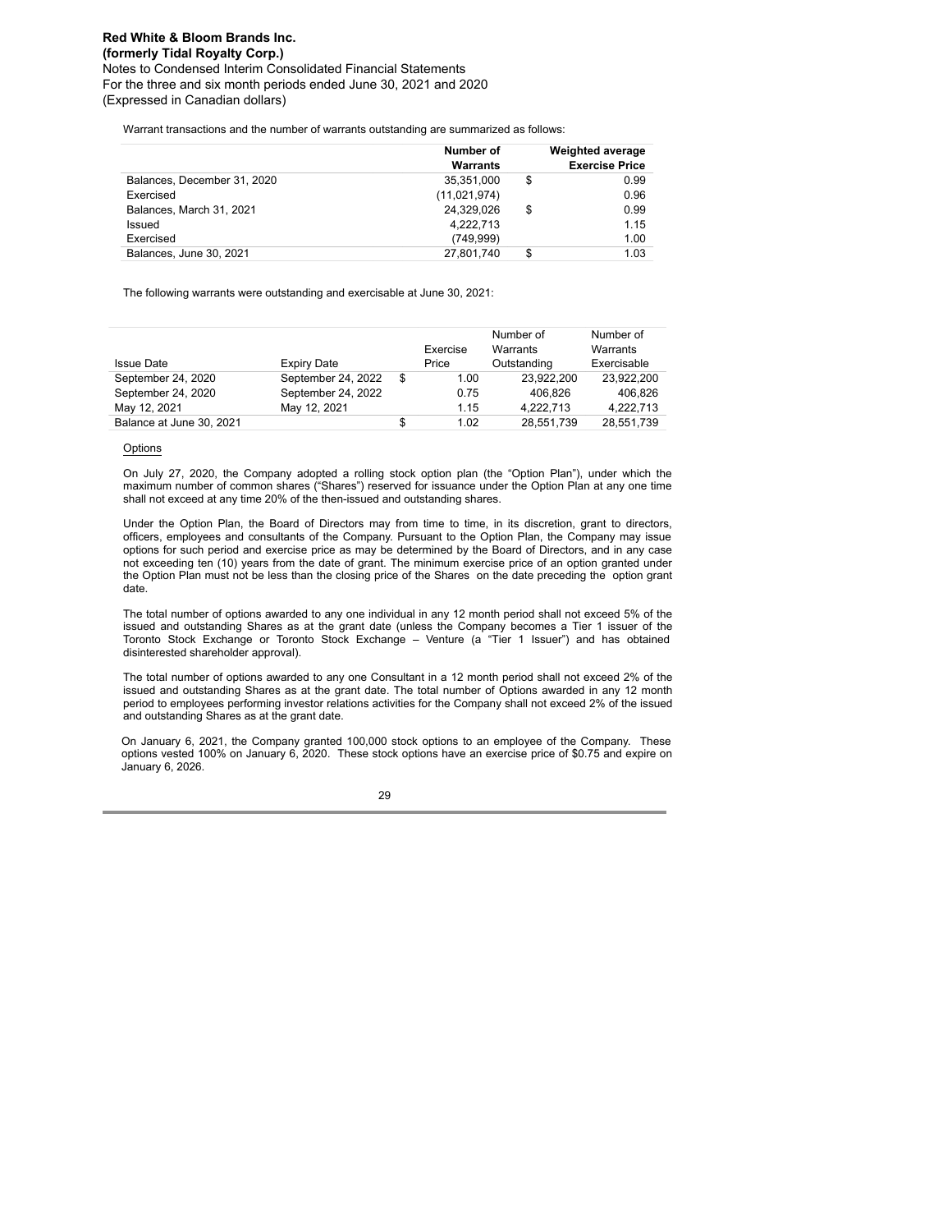Warrant transactions and the number of warrants outstanding are summarized as follows:

|                             | Number of    | <b>Weighted average</b> |
|-----------------------------|--------------|-------------------------|
|                             | Warrants     | <b>Exercise Price</b>   |
| Balances, December 31, 2020 | 35.351.000   | \$<br>0.99              |
| Exercised                   | (11,021,974) | 0.96                    |
| Balances, March 31, 2021    | 24.329.026   | \$<br>0.99              |
| Issued                      | 4,222,713    | 1.15                    |
| Exercised                   | (749.999)    | 1.00                    |
| Balances, June 30, 2021     | 27.801.740   | \$<br>1.03              |

The following warrants were outstanding and exercisable at June 30, 2021:

|                          |                    | Exercise | Number of<br>Warrants | Number of<br>Warrants |
|--------------------------|--------------------|----------|-----------------------|-----------------------|
|                          |                    |          |                       |                       |
| <b>Issue Date</b>        | <b>Expiry Date</b> | Price    | Outstanding           | Exercisable           |
| September 24, 2020       | September 24, 2022 | 1.00     | 23.922.200            | 23.922.200            |
| September 24, 2020       | September 24, 2022 | 0.75     | 406.826               | 406.826               |
| May 12, 2021             | May 12, 2021       | 1.15     | 4.222.713             | 4.222.713             |
| Balance at June 30, 2021 |                    | 1.02     | 28.551.739            | 28.551.739            |

#### Options

On July 27, 2020, the Company adopted a rolling stock option plan (the "Option Plan"), under which the maximum number of common shares ("Shares") reserved for issuance under the Option Plan at any one time shall not exceed at any time 20% of the then-issued and outstanding shares.

Under the Option Plan, the Board of Directors may from time to time, in its discretion, grant to directors, officers, employees and consultants of the Company. Pursuant to the Option Plan, the Company may issue options for such period and exercise price as may be determined by the Board of Directors, and in any case not exceeding ten (10) years from the date of grant. The minimum exercise price of an option granted under the Option Plan must not be less than the closing price of the Shares on the date preceding the option grant date.

The total number of options awarded to any one individual in any 12 month period shall not exceed 5% of the issued and outstanding Shares as at the grant date (unless the Company becomes a Tier 1 issuer of the Toronto Stock Exchange or Toronto Stock Exchange – Venture (a "Tier 1 Issuer") and has obtained disinterested shareholder approval).

The total number of options awarded to any one Consultant in a 12 month period shall not exceed 2% of the issued and outstanding Shares as at the grant date. The total number of Options awarded in any 12 month period to employees performing investor relations activities for the Company shall not exceed 2% of the issued and outstanding Shares as at the grant date.

On January 6, 2021, the Company granted 100,000 stock options to an employee of the Company. These options vested 100% on January 6, 2020. These stock options have an exercise price of \$0.75 and expire on January 6, 2026.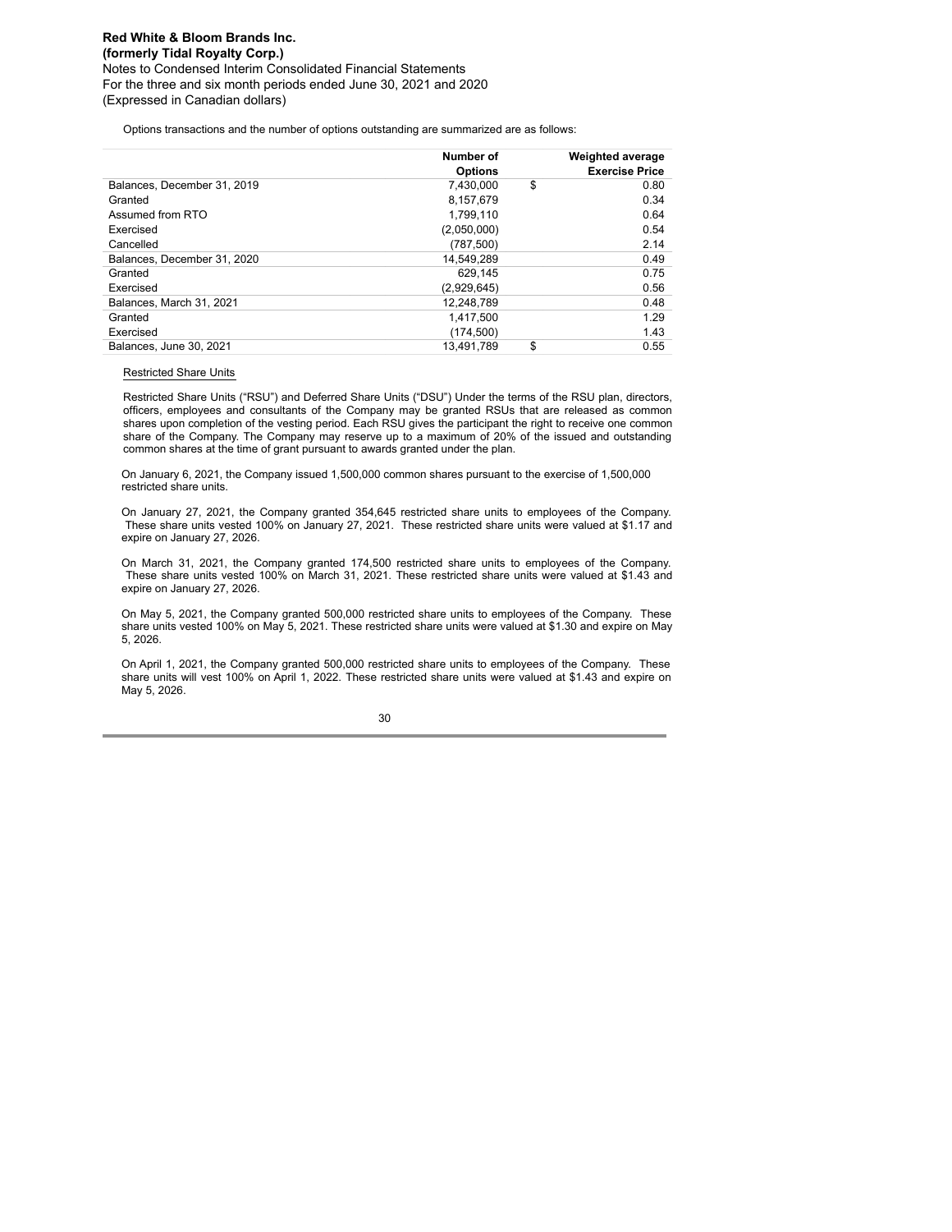Options transactions and the number of options outstanding are summarized are as follows:

|                             | Number of      | <b>Weighted average</b> |
|-----------------------------|----------------|-------------------------|
|                             | <b>Options</b> | <b>Exercise Price</b>   |
| Balances, December 31, 2019 | 7.430.000      | \$<br>0.80              |
| Granted                     | 8.157.679      | 0.34                    |
| Assumed from RTO            | 1,799,110      | 0.64                    |
| Exercised                   | (2,050,000)    | 0.54                    |
| Cancelled                   | (787.500)      | 2.14                    |
| Balances, December 31, 2020 | 14.549.289     | 0.49                    |
| Granted                     | 629.145        | 0.75                    |
| Exercised                   | (2.929.645)    | 0.56                    |
| Balances, March 31, 2021    | 12,248,789     | 0.48                    |
| Granted                     | 1,417,500      | 1.29                    |
| Exercised                   | (174.500)      | 1.43                    |
| Balances, June 30, 2021     | 13.491.789     | \$<br>0.55              |

Restricted Share Units

Restricted Share Units ("RSU") and Deferred Share Units ("DSU") Under the terms of the RSU plan, directors, officers, employees and consultants of the Company may be granted RSUs that are released as common shares upon completion of the vesting period. Each RSU gives the participant the right to receive one common share of the Company. The Company may reserve up to a maximum of 20% of the issued and outstanding common shares at the time of grant pursuant to awards granted under the plan.

On January 6, 2021, the Company issued 1,500,000 common shares pursuant to the exercise of 1,500,000 restricted share units.

On January 27, 2021, the Company granted 354,645 restricted share units to employees of the Company. These share units vested 100% on January 27, 2021. These restricted share units were valued at \$1.17 and expire on January 27, 2026.

On March 31, 2021, the Company granted 174,500 restricted share units to employees of the Company. These share units vested 100% on March 31, 2021. These restricted share units were valued at \$1.43 and expire on January 27, 2026.

On May 5, 2021, the Company granted 500,000 restricted share units to employees of the Company. These share units vested 100% on May 5, 2021. These restricted share units were valued at \$1.30 and expire on May 5, 2026.

On April 1, 2021, the Company granted 500,000 restricted share units to employees of the Company. These share units will vest 100% on April 1, 2022. These restricted share units were valued at \$1.43 and expire on May 5, 2026.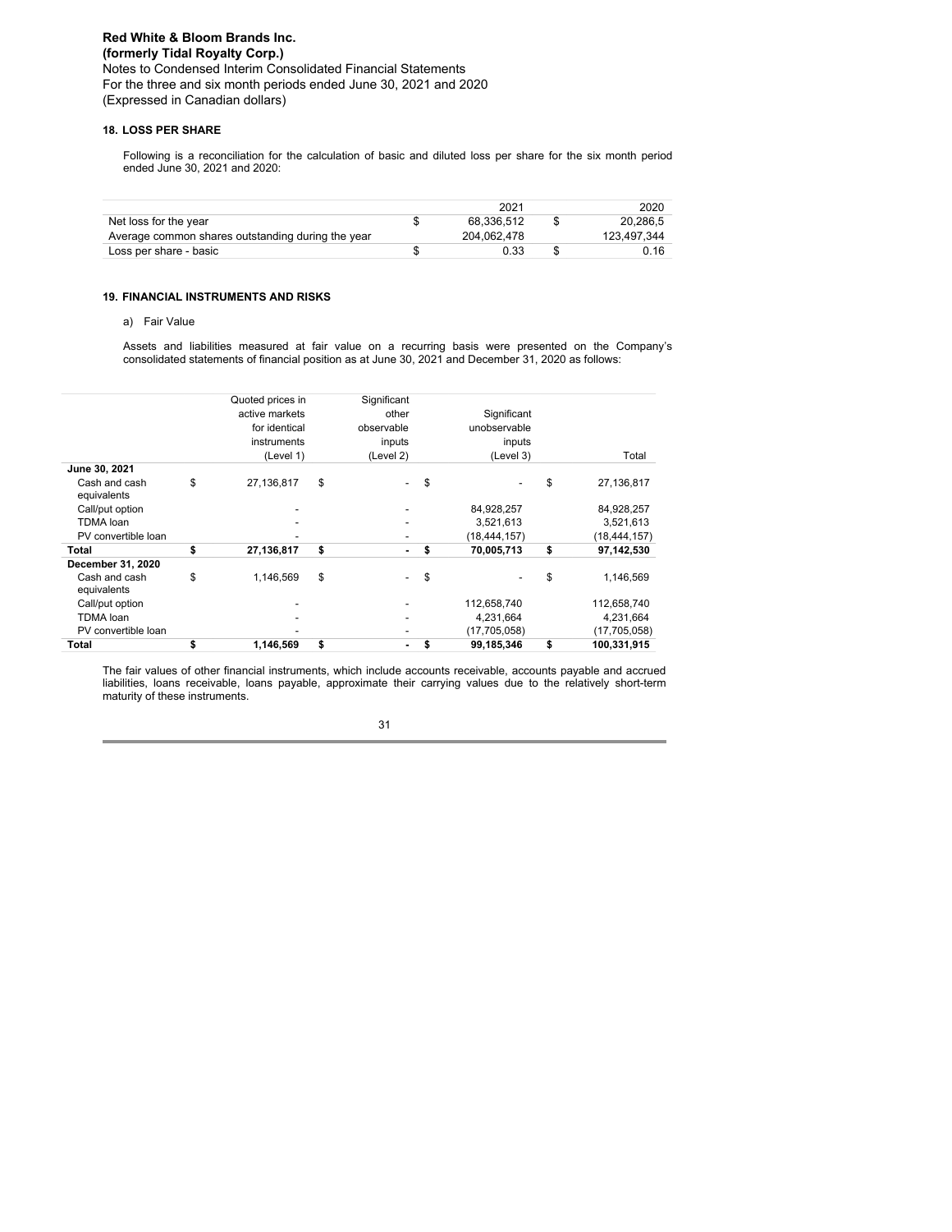(Expressed in Canadian dollars)

#### **LOSS PER SHARE 18.**

Following is a reconciliation for the calculation of basic and diluted loss per share for the six month period ended June 30, 2021 and 2020:

|                                                   | 2021        | 2020        |
|---------------------------------------------------|-------------|-------------|
| Net loss for the year                             | 68.336.512  | 20.286.5    |
| Average common shares outstanding during the year | 204.062.478 | 123.497.344 |
| Loss per share - basic                            | 0.33        | 0.16        |

## **FINANCIAL INSTRUMENTS AND RISKS 19.**

#### a) Fair Value

Assets and liabilities measured at fair value on a recurring basis were presented on the Company's consolidated statements of financial position as at June 30, 2021 and December 31, 2020 as follows:

|                              | Quoted prices in | Significant          |                  |                   |
|------------------------------|------------------|----------------------|------------------|-------------------|
|                              | active markets   | other                | Significant      |                   |
|                              | for identical    | observable           | unobservable     |                   |
|                              | instruments      | inputs               | inputs           |                   |
|                              | (Level 1)        | (Level 2)            | (Level 3)        | Total             |
| June 30, 2021                |                  |                      |                  |                   |
| Cash and cash<br>equivalents | \$<br>27,136,817 | \$                   | \$               | \$<br>27,136,817  |
| Call/put option              |                  |                      | 84,928,257       | 84,928,257        |
| TDMA loan                    |                  |                      | 3,521,613        | 3,521,613         |
| PV convertible loan          |                  |                      | (18, 444, 157)   | (18,444,157)      |
| Total                        | \$<br>27,136,817 | \$<br>۰              | \$<br>70,005,713 | \$<br>97,142,530  |
| December 31, 2020            |                  |                      |                  |                   |
| Cash and cash<br>equivalents | \$<br>1,146,569  | \$                   | \$               | \$<br>1,146,569   |
| Call/put option              |                  |                      | 112,658,740      | 112,658,740       |
| TDMA loan                    |                  |                      | 4.231.664        | 4.231.664         |
| PV convertible loan          |                  |                      | (17,705,058)     | (17,705,058)      |
| Total                        | \$<br>1,146,569  | \$<br>$\blacksquare$ | 99,185,346       | \$<br>100,331,915 |

The fair values of other financial instruments, which include accounts receivable, accounts payable and accrued liabilities, loans receivable, loans payable, approximate their carrying values due to the relatively short-term maturity of these instruments.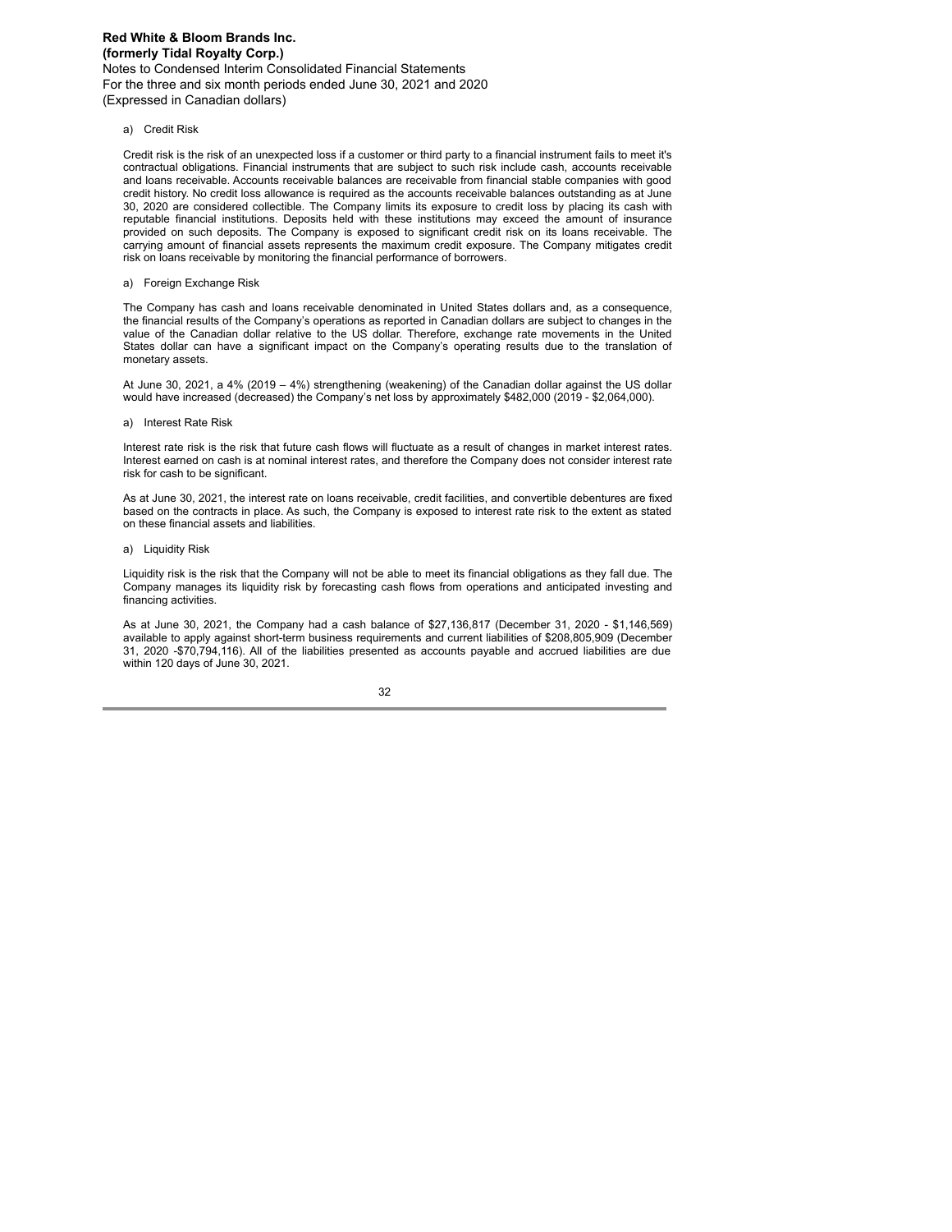#### Credit Risk a)

Credit risk is the risk of an unexpected loss if a customer or third party to a financial instrument fails to meet it's contractual obligations. Financial instruments that are subject to such risk include cash, accounts receivable and loans receivable. Accounts receivable balances are receivable from financial stable companies with good credit history. No credit loss allowance is required as the accounts receivable balances outstanding as at June 30, 2020 are considered collectible. The Company limits its exposure to credit loss by placing its cash with reputable financial institutions. Deposits held with these institutions may exceed the amount of insurance provided on such deposits. The Company is exposed to significant credit risk on its loans receivable. The carrying amount of financial assets represents the maximum credit exposure. The Company mitigates credit risk on loans receivable by monitoring the financial performance of borrowers.

#### a) Foreign Exchange Risk

The Company has cash and loans receivable denominated in United States dollars and, as a consequence, the financial results of the Company's operations as reported in Canadian dollars are subject to changes in the value of the Canadian dollar relative to the US dollar. Therefore, exchange rate movements in the United States dollar can have a significant impact on the Company's operating results due to the translation of monetary assets.

At June 30, 2021, a 4% (2019 – 4%) strengthening (weakening) of the Canadian dollar against the US dollar would have increased (decreased) the Company's net loss by approximately \$482,000 (2019 - \$2,064,000).

#### a) Interest Rate Risk

Interest rate risk is the risk that future cash flows will fluctuate as a result of changes in market interest rates. Interest earned on cash is at nominal interest rates, and therefore the Company does not consider interest rate risk for cash to be significant.

As at June 30, 2021, the interest rate on loans receivable, credit facilities, and convertible debentures are fixed based on the contracts in place. As such, the Company is exposed to interest rate risk to the extent as stated on these financial assets and liabilities.

#### a) Liquidity Risk

Liquidity risk is the risk that the Company will not be able to meet its financial obligations as they fall due. The Company manages its liquidity risk by forecasting cash flows from operations and anticipated investing and financing activities.

As at June 30, 2021, the Company had a cash balance of \$27,136,817 (December 31, 2020 - \$1,146,569) available to apply against short-term business requirements and current liabilities of \$208,805,909 (December 31, 2020 -\$70,794,116). All of the liabilities presented as accounts payable and accrued liabilities are due within 120 days of June 30, 2021.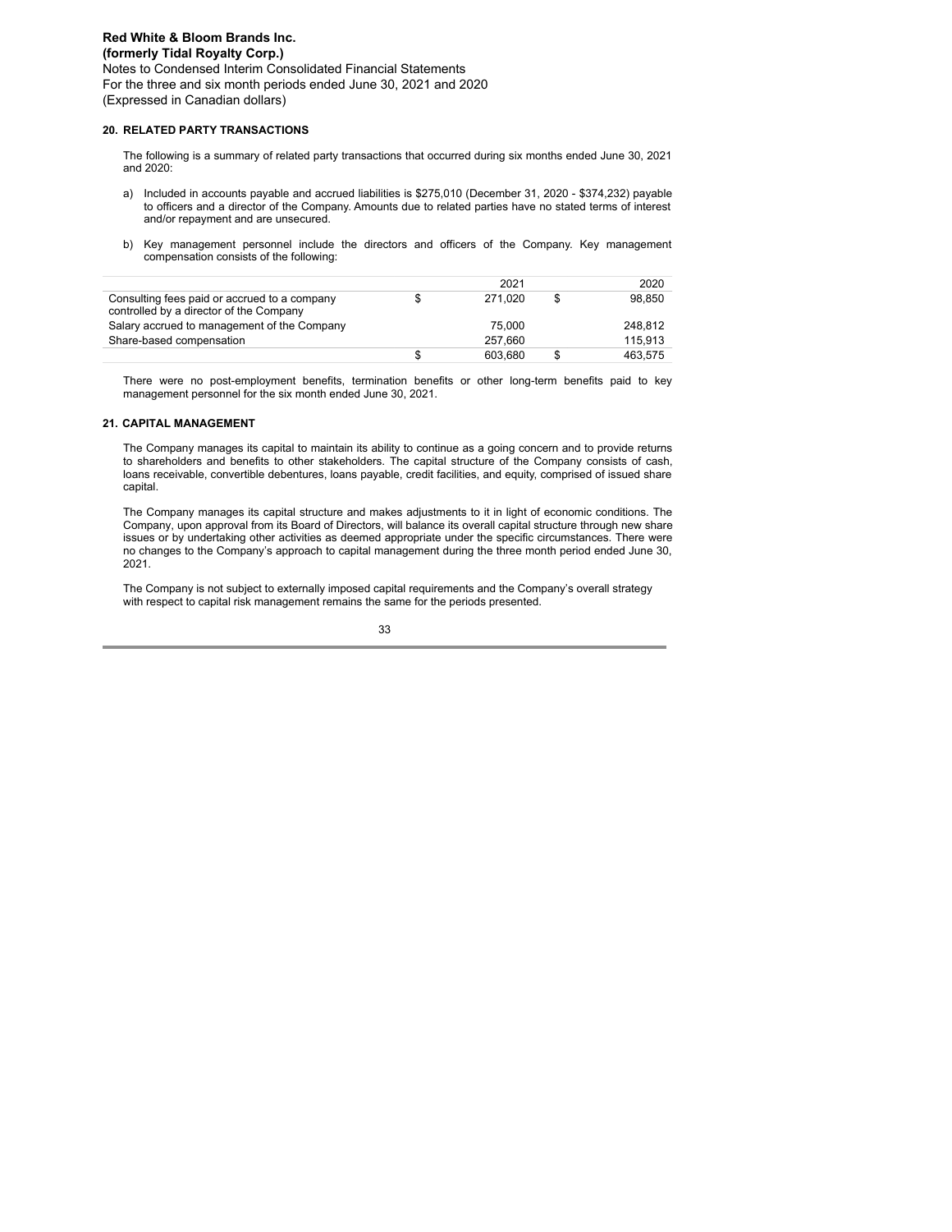### **RELATED PARTY TRANSACTIONS 20.**

The following is a summary of related party transactions that occurred during six months ended June 30, 2021 and 2020:

- a) Included in accounts payable and accrued liabilities is \$275,010 (December 31, 2020 \$374,232) payable to officers and a director of the Company. Amounts due to related parties have no stated terms of interest and/or repayment and are unsecured.
- b) Key management personnel include the directors and officers of the Company. Key management compensation consists of the following:

|                                                                                         | 2021    | 2020    |
|-----------------------------------------------------------------------------------------|---------|---------|
| Consulting fees paid or accrued to a company<br>controlled by a director of the Company | 271.020 | 98.850  |
| Salary accrued to management of the Company                                             | 75.000  | 248.812 |
| Share-based compensation                                                                | 257.660 | 115.913 |
|                                                                                         | 603.680 | 463.575 |

There were no post-employment benefits, termination benefits or other long-term benefits paid to key management personnel for the six month ended June 30, 2021.

### **CAPITAL MANAGEMENT 21.**

The Company manages its capital to maintain its ability to continue as a going concern and to provide returns to shareholders and benefits to other stakeholders. The capital structure of the Company consists of cash, loans receivable, convertible debentures, loans payable, credit facilities, and equity, comprised of issued share capital.

The Company manages its capital structure and makes adjustments to it in light of economic conditions. The Company, upon approval from its Board of Directors, will balance its overall capital structure through new share issues or by undertaking other activities as deemed appropriate under the specific circumstances. There were no changes to the Company's approach to capital management during the three month period ended June 30, 2021.

The Company is not subject to externally imposed capital requirements and the Company's overall strategy with respect to capital risk management remains the same for the periods presented.

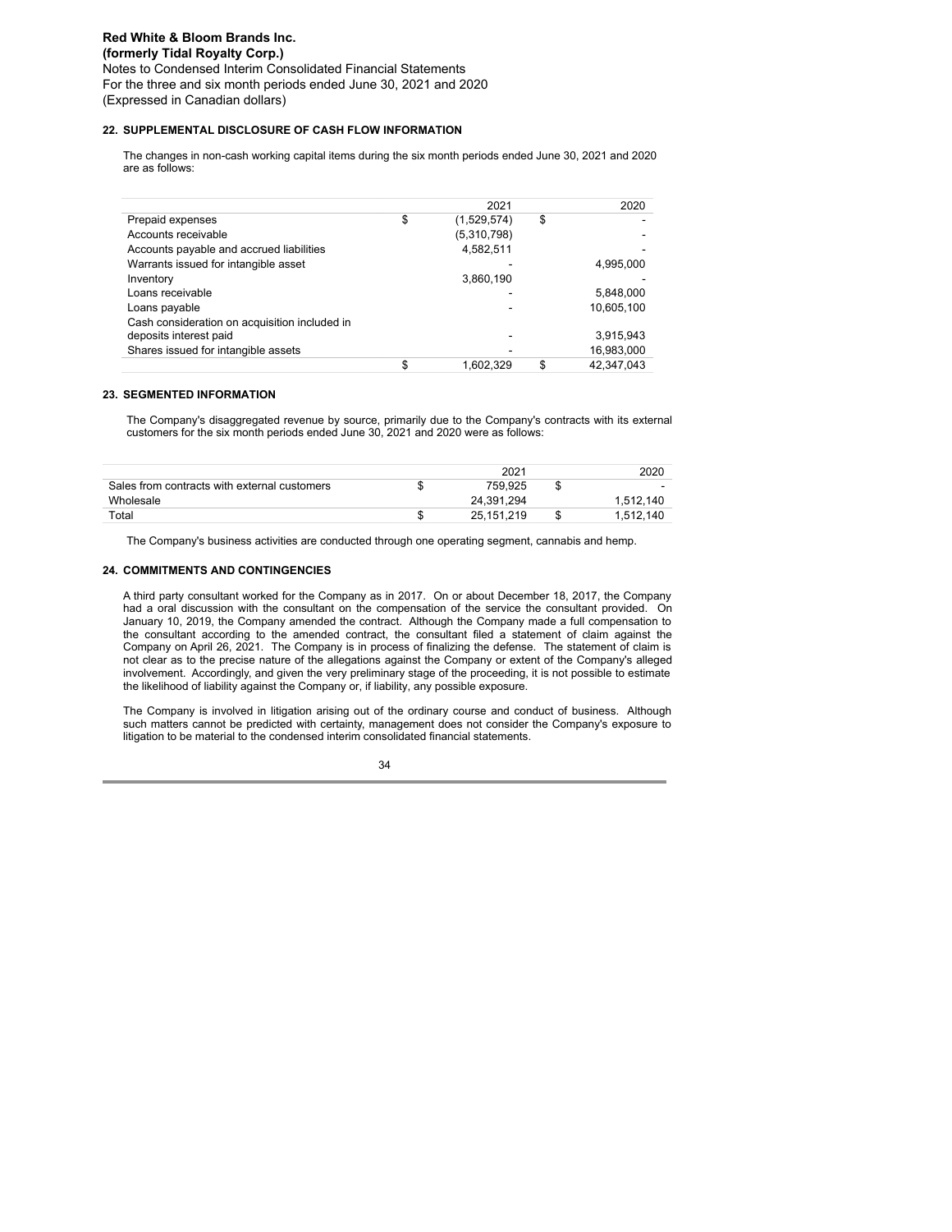(Expressed in Canadian dollars)

#### **SUPPLEMENTAL DISCLOSURE OF CASH FLOW INFORMATION 22.**

The changes in non-cash working capital items during the six month periods ended June 30, 2021 and 2020 are as follows:

|                                               | 2021              | 2020             |
|-----------------------------------------------|-------------------|------------------|
| Prepaid expenses                              | \$<br>(1,529,574) | \$               |
| Accounts receivable                           | (5,310,798)       |                  |
| Accounts payable and accrued liabilities      | 4,582,511         |                  |
| Warrants issued for intangible asset          |                   | 4,995,000        |
| Inventory                                     | 3,860,190         |                  |
| Loans receivable                              |                   | 5,848,000        |
| Loans payable                                 |                   | 10,605,100       |
| Cash consideration on acquisition included in |                   |                  |
| deposits interest paid                        |                   | 3,915,943        |
| Shares issued for intangible assets           |                   | 16,983,000       |
|                                               | \$<br>1.602.329   | \$<br>42.347.043 |

#### **SEGMENTED INFORMATION 23.**

The Company's disaggregated revenue by source, primarily due to the Company's contracts with its external customers for the six month periods ended June 30, 2021 and 2020 were as follows:

| 2021       |   | 2020      |
|------------|---|-----------|
| 759.925    | Ψ |           |
| 24.391.294 |   | 1.512.140 |
| 25.151.219 |   | 1.512.140 |
|            |   |           |

The Company's business activities are conducted through one operating segment, cannabis and hemp.

#### **COMMITMENTS AND CONTINGENCIES 24.**

A third party consultant worked for the Company as in 2017. On or about December 18, 2017, the Company had a oral discussion with the consultant on the compensation of the service the consultant provided. On January 10, 2019, the Company amended the contract. Although the Company made a full compensation to the consultant according to the amended contract, the consultant filed a statement of claim against the Company on April 26, 2021. The Company is in process of finalizing the defense. The statement of claim is not clear as to the precise nature of the allegations against the Company or extent of the Company's alleged involvement. Accordingly, and given the very preliminary stage of the proceeding, it is not possible to estimate the likelihood of liability against the Company or, if liability, any possible exposure.

The Company is involved in litigation arising out of the ordinary course and conduct of business. Although such matters cannot be predicted with certainty, management does not consider the Company's exposure to litigation to be material to the condensed interim consolidated financial statements.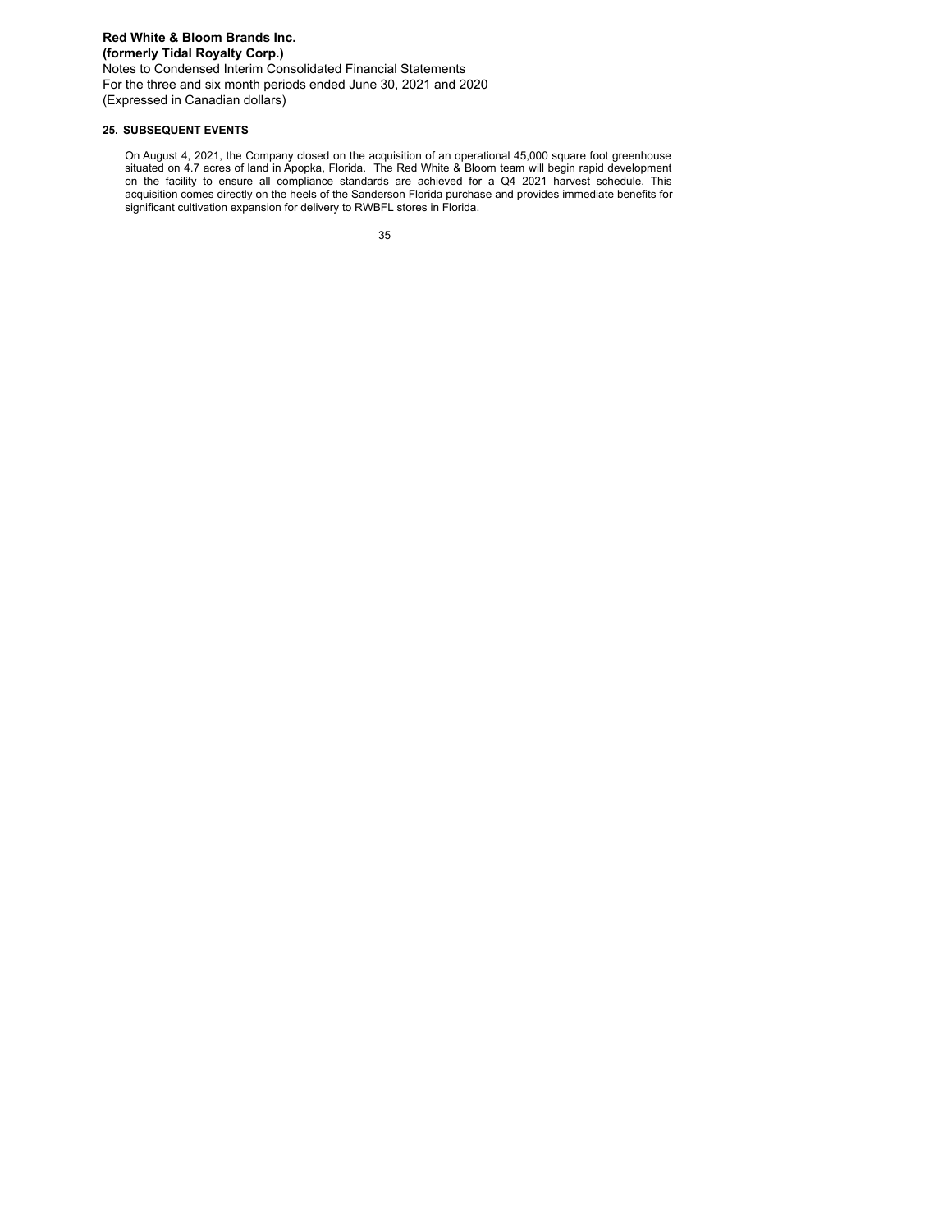**SUBSEQUENT EVENTS 25.**

On August 4, 2021, the Company closed on the acquisition of an operational 45,000 square foot greenhouse situated on 4.7 acres of land in Apopka, Florida. The Red White & Bloom team will begin rapid development on the facility to ensure all compliance standards are achieved for a Q4 2021 harvest schedule. This acquisition comes directly on the heels of the Sanderson Florida purchase and provides immediate benefits for significant cultivation expansion for delivery to RWBFL stores in Florida.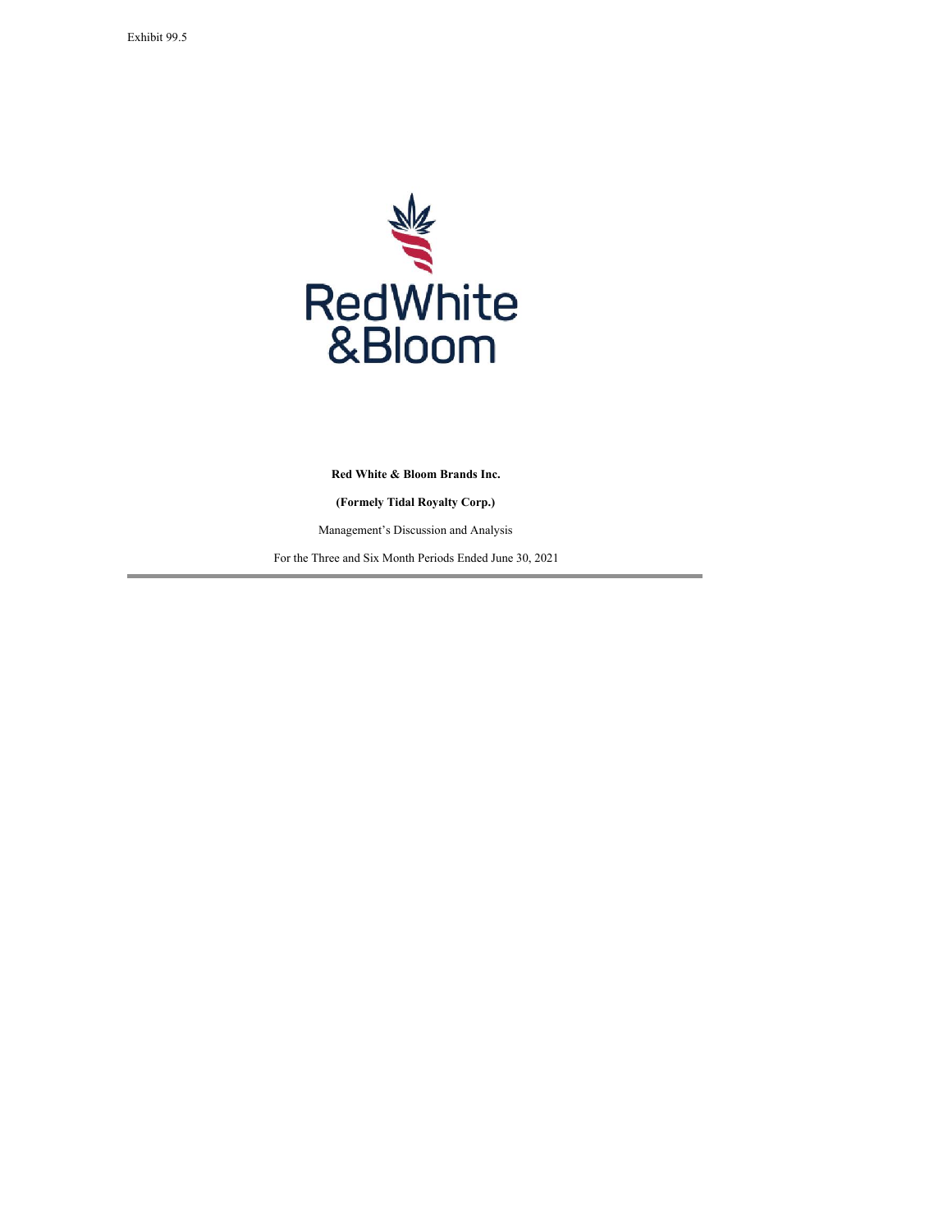

**Red White & Bloom Brands Inc.**

**(Formely Tidal Royalty Corp.)**

Management's Discussion and Analysis

For the Three and Six Month Periods Ended June 30, 2021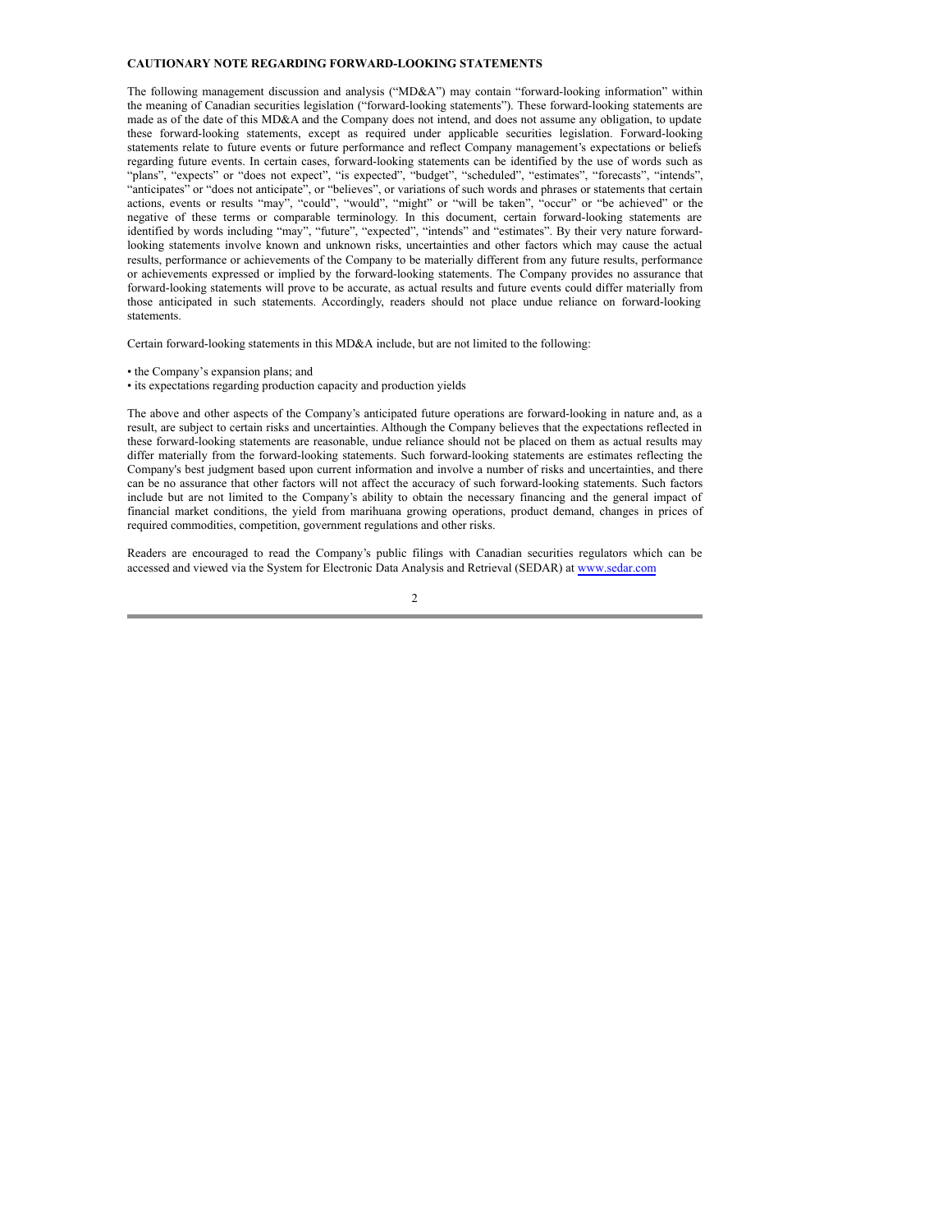#### **CAUTIONARY NOTE REGARDING FORWARD-LOOKING STATEMENTS**

The following management discussion and analysis ("MD&A") may contain "forward-looking information" within the meaning of Canadian securities legislation ("forward-looking statements"). These forward-looking statements are made as of the date of this MD&A and the Company does not intend, and does not assume any obligation, to update these forward-looking statements, except as required under applicable securities legislation. Forward-looking statements relate to future events or future performance and reflect Company management's expectations or beliefs regarding future events. In certain cases, forward-looking statements can be identified by the use of words such as "plans", "expects" or "does not expect", "is expected", "budget", "scheduled", "estimates", "forecasts", "intends", "anticipates" or "does not anticipate", or "believes", or variations of such words and phrases or statements that certain actions, events or results "may", "could", "would", "might" or "will be taken", "occur" or "be achieved" or the negative of these terms or comparable terminology. In this document, certain forward-looking statements are identified by words including "may", "future", "expected", "intends" and "estimates". By their very nature forwardlooking statements involve known and unknown risks, uncertainties and other factors which may cause the actual results, performance or achievements of the Company to be materially different from any future results, performance or achievements expressed or implied by the forward-looking statements. The Company provides no assurance that forward-looking statements will prove to be accurate, as actual results and future events could differ materially from those anticipated in such statements. Accordingly, readers should not place undue reliance on forward-looking statements.

Certain forward-looking statements in this MD&A include, but are not limited to the following:

- the Company's expansion plans; and
- its expectations regarding production capacity and production yields

The above and other aspects of the Company's anticipated future operations are forward-looking in nature and, as a result, are subject to certain risks and uncertainties. Although the Company believes that the expectations reflected in these forward-looking statements are reasonable, undue reliance should not be placed on them as actual results may differ materially from the forward-looking statements. Such forward-looking statements are estimates reflecting the Company's best judgment based upon current information and involve a number of risks and uncertainties, and there can be no assurance that other factors will not affect the accuracy of such forward-looking statements. Such factors include but are not limited to the Company's ability to obtain the necessary financing and the general impact of financial market conditions, the yield from marihuana growing operations, product demand, changes in prices of required commodities, competition, government regulations and other risks.

Readers are encouraged to read the Company's public filings with Canadian securities regulators which can be accessed and viewed via the System for Electronic Data Analysis and Retrieval (SEDAR) at www.sedar.com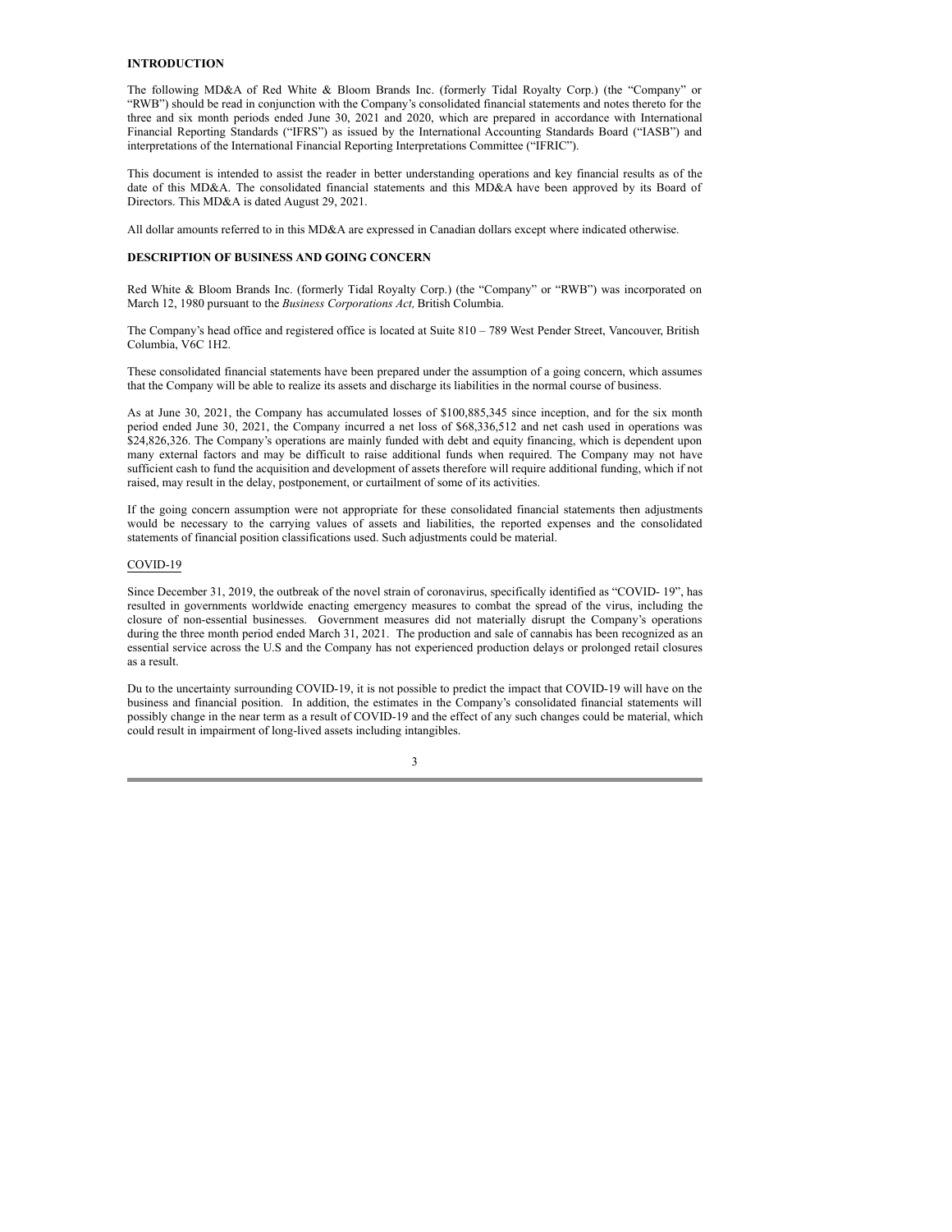#### **INTRODUCTION**

The following MD&A of Red White & Bloom Brands Inc. (formerly Tidal Royalty Corp.) (the "Company" or "RWB") should be read in conjunction with the Company's consolidated financial statements and notes thereto for the three and six month periods ended June 30, 2021 and 2020, which are prepared in accordance with International Financial Reporting Standards ("IFRS") as issued by the International Accounting Standards Board ("IASB") and interpretations of the International Financial Reporting Interpretations Committee ("IFRIC").

This document is intended to assist the reader in better understanding operations and key financial results as of the date of this MD&A. The consolidated financial statements and this MD&A have been approved by its Board of Directors. This MD&A is dated August 29, 2021.

All dollar amounts referred to in this MD&A are expressed in Canadian dollars except where indicated otherwise.

#### **DESCRIPTION OF BUSINESS AND GOING CONCERN**

Red White & Bloom Brands Inc. (formerly Tidal Royalty Corp.) (the "Company" or "RWB") was incorporated on March 12, 1980 pursuant to the *Business Corporations Act,* British Columbia.

The Company's head office and registered office is located at Suite 810 – 789 West Pender Street, Vancouver, British Columbia, V6C 1H2.

These consolidated financial statements have been prepared under the assumption of a going concern, which assumes that the Company will be able to realize its assets and discharge its liabilities in the normal course of business.

As at June 30, 2021, the Company has accumulated losses of \$100,885,345 since inception, and for the six month period ended June 30, 2021, the Company incurred a net loss of \$68,336,512 and net cash used in operations was \$24,826,326. The Company's operations are mainly funded with debt and equity financing, which is dependent upon many external factors and may be difficult to raise additional funds when required. The Company may not have sufficient cash to fund the acquisition and development of assets therefore will require additional funding, which if not raised, may result in the delay, postponement, or curtailment of some of its activities.

If the going concern assumption were not appropriate for these consolidated financial statements then adjustments would be necessary to the carrying values of assets and liabilities, the reported expenses and the consolidated statements of financial position classifications used. Such adjustments could be material.

#### COVID-19

Since December 31, 2019, the outbreak of the novel strain of coronavirus, specifically identified as "COVID- 19", has resulted in governments worldwide enacting emergency measures to combat the spread of the virus, including the closure of non-essential businesses. Government measures did not materially disrupt the Company's operations during the three month period ended March 31, 2021. The production and sale of cannabis has been recognized as an essential service across the U.S and the Company has not experienced production delays or prolonged retail closures as a result.

Du to the uncertainty surrounding COVID-19, it is not possible to predict the impact that COVID-19 will have on the business and financial position. In addition, the estimates in the Company's consolidated financial statements will possibly change in the near term as a result of COVID-19 and the effect of any such changes could be material, which could result in impairment of long-lived assets including intangibles.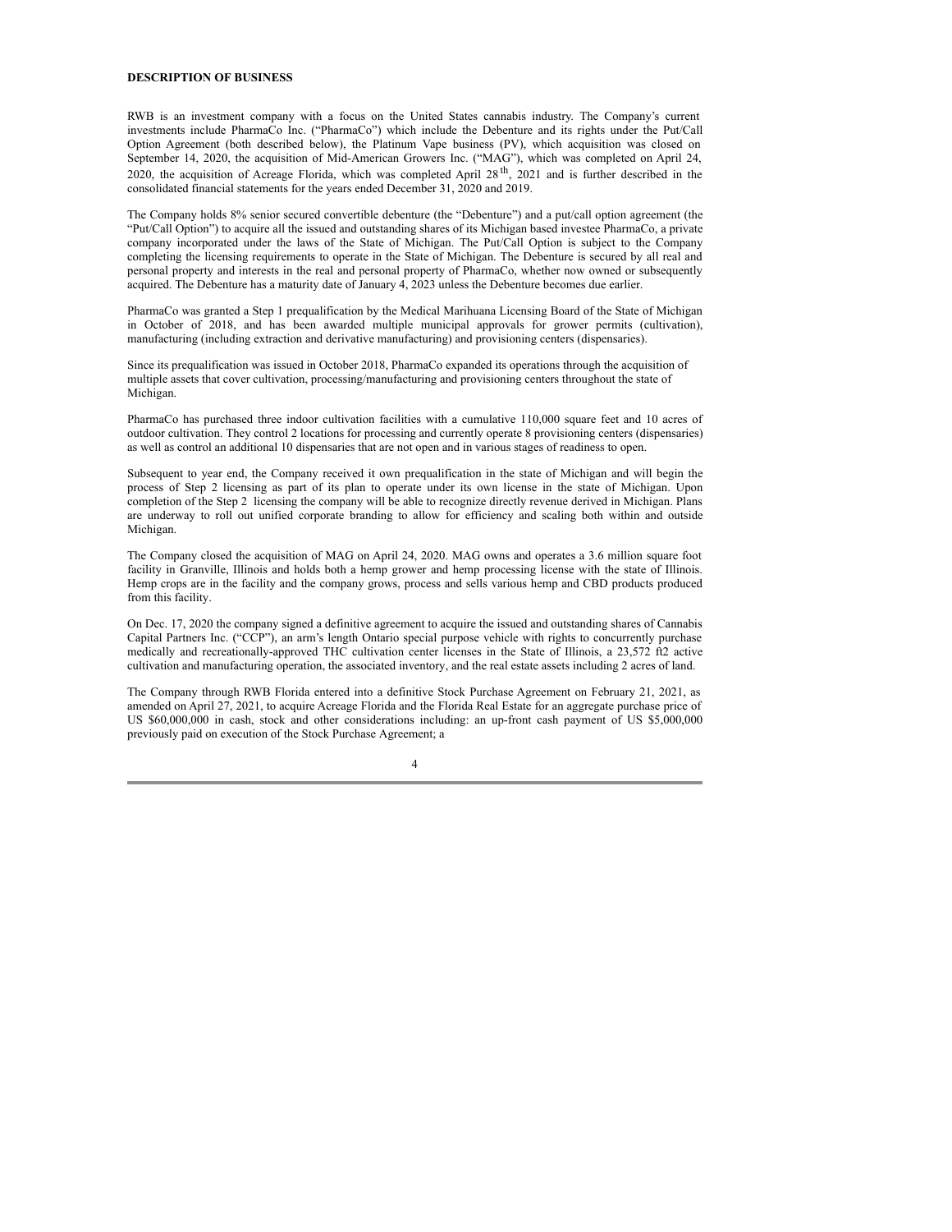#### **DESCRIPTION OF BUSINESS**

RWB is an investment company with a focus on the United States cannabis industry. The Company's current investments include PharmaCo Inc. ("PharmaCo") which include the Debenture and its rights under the Put/Call Option Agreement (both described below), the Platinum Vape business (PV), which acquisition was closed on September 14, 2020, the acquisition of Mid-American Growers Inc. ("MAG"), which was completed on April 24, 2020, the acquisition of Acreage Florida, which was completed April 28<sup>th</sup>, 2021 and is further described in the consolidated financial statements for the years ended December 31, 2020 and 2019.

The Company holds 8% senior secured convertible debenture (the "Debenture") and a put/call option agreement (the "Put/Call Option") to acquire all the issued and outstanding shares of its Michigan based investee PharmaCo, a private company incorporated under the laws of the State of Michigan. The Put/Call Option is subject to the Company completing the licensing requirements to operate in the State of Michigan. The Debenture is secured by all real and personal property and interests in the real and personal property of PharmaCo, whether now owned or subsequently acquired. The Debenture has a maturity date of January 4, 2023 unless the Debenture becomes due earlier.

PharmaCo was granted a Step 1 prequalification by the Medical Marihuana Licensing Board of the State of Michigan in October of 2018, and has been awarded multiple municipal approvals for grower permits (cultivation), manufacturing (including extraction and derivative manufacturing) and provisioning centers (dispensaries).

Since its prequalification was issued in October 2018, PharmaCo expanded its operations through the acquisition of multiple assets that cover cultivation, processing/manufacturing and provisioning centers throughout the state of Michigan.

PharmaCo has purchased three indoor cultivation facilities with a cumulative 110,000 square feet and 10 acres of outdoor cultivation. They control 2 locations for processing and currently operate 8 provisioning centers (dispensaries) as well as control an additional 10 dispensaries that are not open and in various stages of readiness to open.

Subsequent to year end, the Company received it own prequalification in the state of Michigan and will begin the process of Step 2 licensing as part of its plan to operate under its own license in the state of Michigan. Upon completion of the Step 2 licensing the company will be able to recognize directly revenue derived in Michigan. Plans are underway to roll out unified corporate branding to allow for efficiency and scaling both within and outside Michigan.

The Company closed the acquisition of MAG on April 24, 2020. MAG owns and operates a 3.6 million square foot facility in Granville, Illinois and holds both a hemp grower and hemp processing license with the state of Illinois. Hemp crops are in the facility and the company grows, process and sells various hemp and CBD products produced from this facility.

On Dec. 17, 2020 the company signed a definitive agreement to acquire the issued and outstanding shares of Cannabis Capital Partners Inc. ("CCP"), an arm's length Ontario special purpose vehicle with rights to concurrently purchase medically and recreationally-approved THC cultivation center licenses in the State of Illinois, a 23,572 ft2 active cultivation and manufacturing operation, the associated inventory, and the real estate assets including 2 acres of land.

The Company through RWB Florida entered into a definitive Stock Purchase Agreement on February 21, 2021, as amended on April 27, 2021, to acquire Acreage Florida and the Florida Real Estate for an aggregate purchase price of US \$60,000,000 in cash, stock and other considerations including: an up-front cash payment of US \$5,000,000 previously paid on execution of the Stock Purchase Agreement; a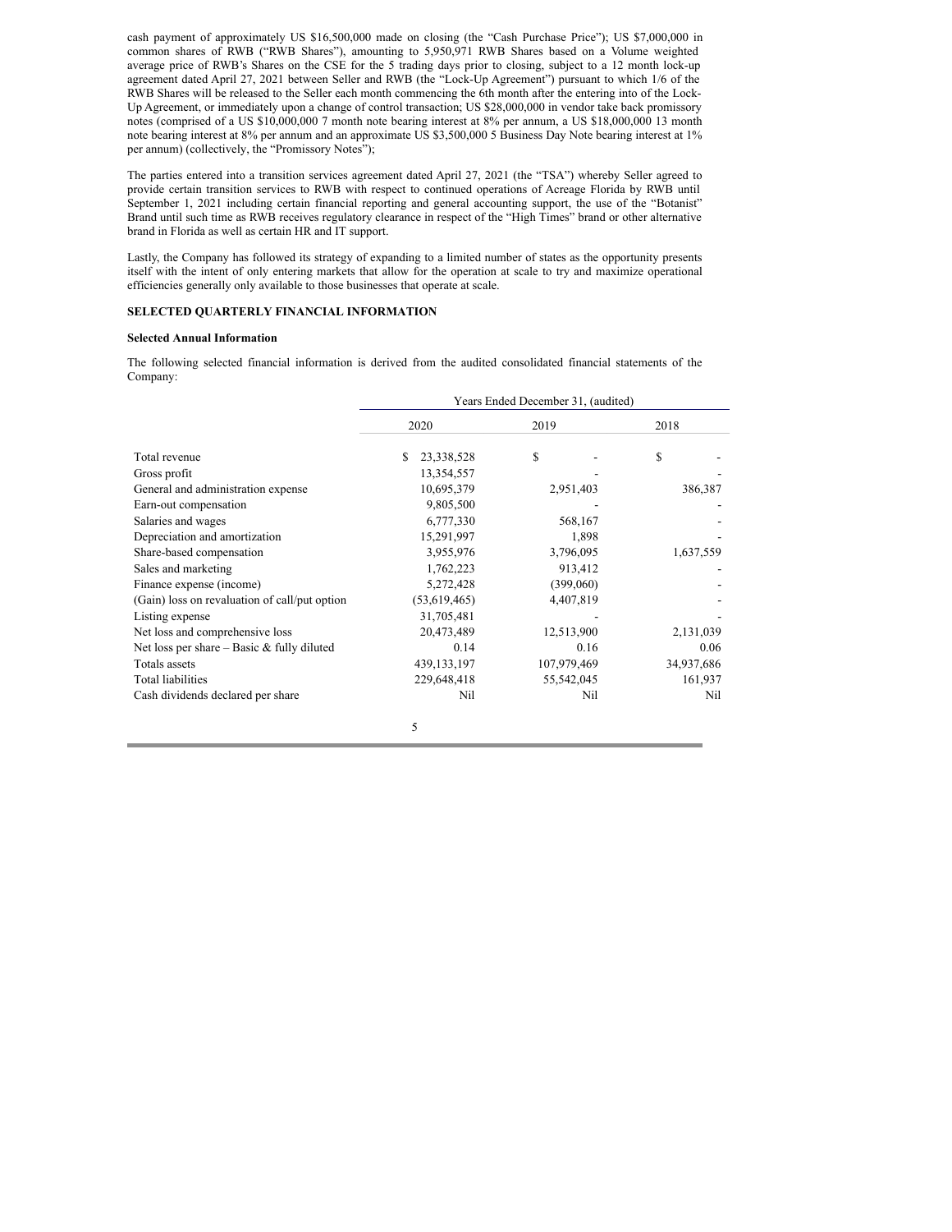cash payment of approximately US \$16,500,000 made on closing (the "Cash Purchase Price"); US \$7,000,000 in common shares of RWB ("RWB Shares"), amounting to 5,950,971 RWB Shares based on a Volume weighted average price of RWB's Shares on the CSE for the 5 trading days prior to closing, subject to a 12 month lock-up agreement dated April 27, 2021 between Seller and RWB (the "Lock-Up Agreement") pursuant to which 1/6 of the RWB Shares will be released to the Seller each month commencing the 6th month after the entering into of the Lock-Up Agreement, or immediately upon a change of control transaction; US \$28,000,000 in vendor take back promissory notes (comprised of a US \$10,000,000 7 month note bearing interest at 8% per annum, a US \$18,000,000 13 month note bearing interest at 8% per annum and an approximate US \$3,500,000 5 Business Day Note bearing interest at 1% per annum) (collectively, the "Promissory Notes");

The parties entered into a transition services agreement dated April 27, 2021 (the "TSA") whereby Seller agreed to provide certain transition services to RWB with respect to continued operations of Acreage Florida by RWB until September 1, 2021 including certain financial reporting and general accounting support, the use of the "Botanist" Brand until such time as RWB receives regulatory clearance in respect of the "High Times" brand or other alternative brand in Florida as well as certain HR and IT support.

Lastly, the Company has followed its strategy of expanding to a limited number of states as the opportunity presents itself with the intent of only entering markets that allow for the operation at scale to try and maximize operational efficiencies generally only available to those businesses that operate at scale.

#### **SELECTED QUARTERLY FINANCIAL INFORMATION**

## **Selected Annual Information**

The following selected financial information is derived from the audited consolidated financial statements of the Company:

|                                               |                 | Years Ended December 31, (audited) |            |
|-----------------------------------------------|-----------------|------------------------------------|------------|
|                                               | 2020            | 2019                               | 2018       |
| Total revenue                                 | S<br>23,338,528 | \$                                 | S          |
| Gross profit                                  | 13,354,557      |                                    |            |
| General and administration expense            | 10,695,379      | 2,951,403                          | 386,387    |
| Earn-out compensation                         | 9,805,500       |                                    |            |
| Salaries and wages                            | 6,777,330       | 568,167                            |            |
| Depreciation and amortization                 | 15,291,997      | 1,898                              |            |
| Share-based compensation                      | 3,955,976       | 3,796,095                          | 1,637,559  |
| Sales and marketing                           | 1,762,223       | 913,412                            |            |
| Finance expense (income)                      | 5,272,428       | (399,060)                          |            |
| (Gain) loss on revaluation of call/put option | (53,619,465)    | 4,407,819                          |            |
| Listing expense                               | 31,705,481      |                                    |            |
| Net loss and comprehensive loss               | 20,473,489      | 12,513,900                         | 2,131,039  |
| Net loss per share $-$ Basic & fully diluted  | 0.14            | 0.16                               | 0.06       |
| Totals assets                                 | 439, 133, 197   | 107,979,469                        | 34,937,686 |
| <b>Total liabilities</b>                      | 229,648,418     | 55,542,045                         | 161,937    |
| Cash dividends declared per share             | Nil             | Nil                                | Nil        |
|                                               | 5               |                                    |            |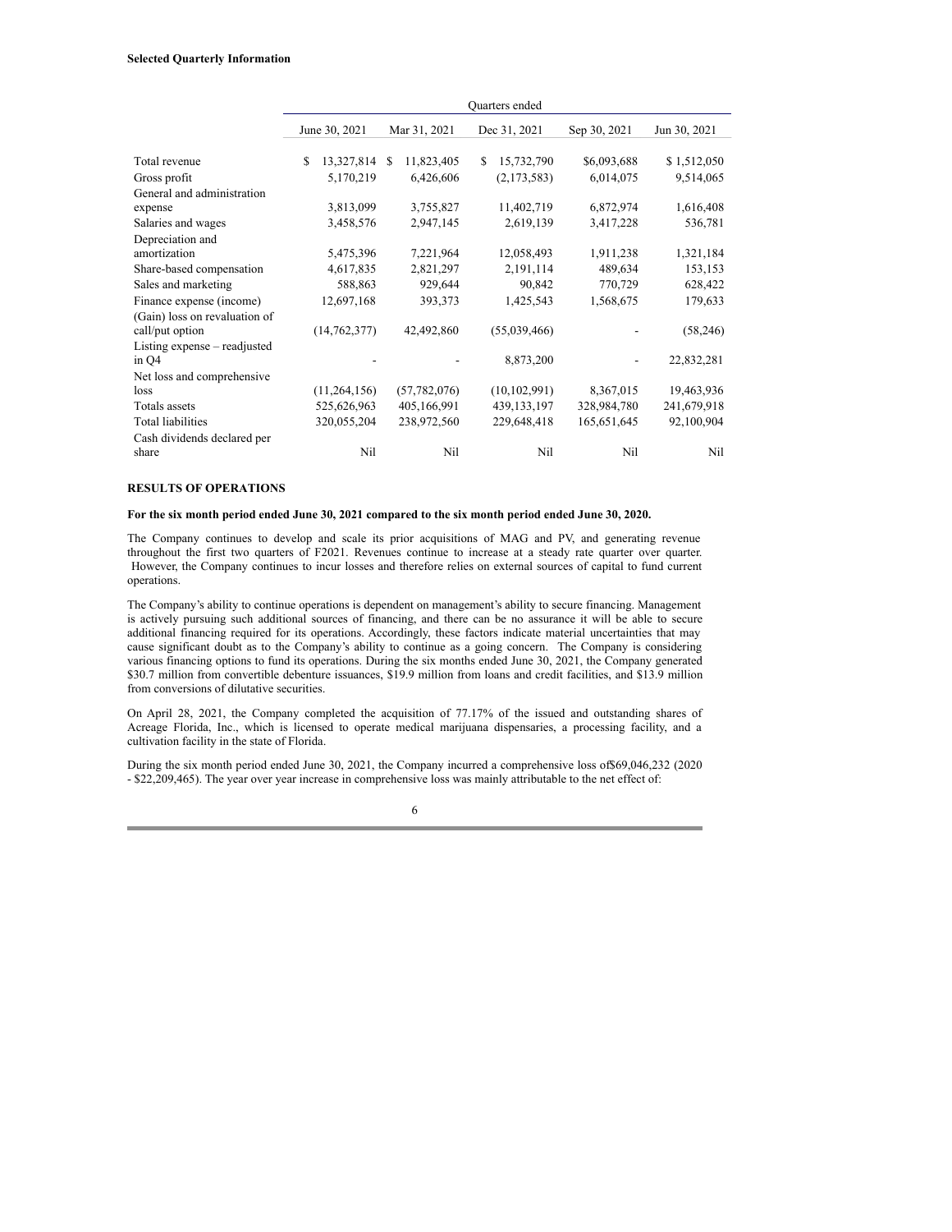|                               |                 |                 | Quarters ended             |              |              |
|-------------------------------|-----------------|-----------------|----------------------------|--------------|--------------|
|                               | June 30, 2021   | Mar 31, 2021    | Dec 31, 2021               | Sep 30, 2021 | Jun 30, 2021 |
|                               |                 |                 |                            |              |              |
| Total revenue                 | S<br>13,327,814 | S<br>11,823,405 | 15,732,790<br>S            | \$6,093,688  | \$1,512,050  |
| Gross profit                  | 5,170,219       |                 | 6,426,606<br>(2, 173, 583) | 6,014,075    | 9,514,065    |
| General and administration    |                 |                 |                            |              |              |
| expense                       | 3,813,099       | 3,755,827       | 11,402,719                 | 6,872,974    | 1,616,408    |
| Salaries and wages            | 3,458,576       | 2,947,145       | 2,619,139                  | 3,417,228    | 536,781      |
| Depreciation and              |                 |                 |                            |              |              |
| amortization                  | 5,475,396       |                 | 7,221,964<br>12,058,493    | 1,911,238    | 1,321,184    |
| Share-based compensation      | 4,617,835       | 2,821,297       | 2,191,114                  | 489,634      | 153,153      |
| Sales and marketing           | 588,863         |                 | 90,842<br>929,644          | 770,729      | 628,422      |
| Finance expense (income)      | 12,697,168      |                 | 393,373<br>1,425,543       | 1,568,675    | 179,633      |
| (Gain) loss on revaluation of |                 |                 |                            |              |              |
| call/put option               | (14,762,377)    | 42,492,860      | (55,039,466)               |              | (58,246)     |
| Listing expense – readjusted  |                 |                 |                            |              |              |
| in Q4                         |                 |                 | 8,873,200                  |              | 22,832,281   |
| Net loss and comprehensive    |                 |                 |                            |              |              |
| loss                          | (11,264,156)    | (57, 782, 076)  | (10, 102, 991)             | 8,367,015    | 19,463,936   |
| Totals assets                 | 525,626,963     | 405,166,991     | 439, 133, 197              | 328,984,780  | 241,679,918  |
| <b>Total liabilities</b>      | 320,055,204     | 238,972,560     | 229,648,418                | 165,651,645  | 92,100,904   |
| Cash dividends declared per   |                 |                 |                            |              |              |
| share                         |                 | Nil             | Nil<br>Nil                 | Nil          | Nil          |
|                               |                 |                 |                            |              |              |

#### **RESULTS OF OPERATIONS**

## For the six month period ended June 30, 2021 compared to the six month period ended June 30, 2020.

The Company continues to develop and scale its prior acquisitions of MAG and PV, and generating revenue throughout the first two quarters of F2021. Revenues continue to increase at a steady rate quarter over quarter. However, the Company continues to incur losses and therefore relies on external sources of capital to fund current operations.

The Company's ability to continue operations is dependent on management's ability to secure financing. Management is actively pursuing such additional sources of financing, and there can be no assurance it will be able to secure additional financing required for its operations. Accordingly, these factors indicate material uncertainties that may cause significant doubt as to the Company's ability to continue as a going concern. The Company is considering various financing options to fund its operations. During the six months ended June 30, 2021, the Company generated \$30.7 million from convertible debenture issuances, \$19.9 million from loans and credit facilities, and \$13.9 million from conversions of dilutative securities.

On April 28, 2021, the Company completed the acquisition of 77.17% of the issued and outstanding shares of Acreage Florida, Inc., which is licensed to operate medical marijuana dispensaries, a processing facility, and a cultivation facility in the state of Florida.

During the six month period ended June 30, 2021, the Company incurred a comprehensive loss of\$69,046,232 (2020 - \$22,209,465). The year over year increase in comprehensive loss was mainly attributable to the net effect of: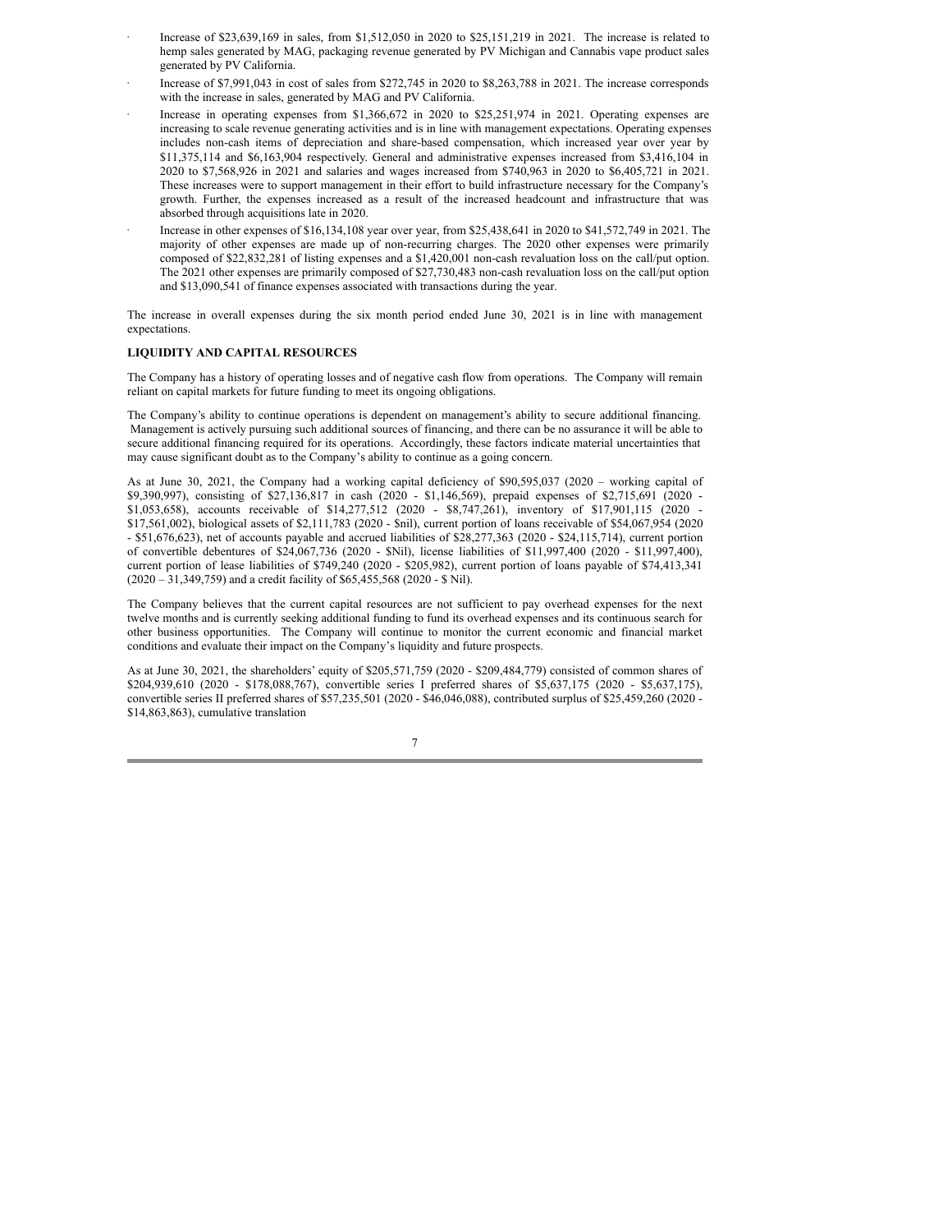- Increase of \$23,639,169 in sales, from \$1,512,050 in 2020 to \$25,151,219 in 2021. The increase is related to hemp sales generated by MAG, packaging revenue generated by PV Michigan and Cannabis vape product sales generated by PV California. ·
- Increase of \$7,991,043 in cost of sales from \$272,745 in 2020 to \$8,263,788 in 2021. The increase corresponds with the increase in sales, generated by MAG and PV California. ·
- Increase in operating expenses from \$1,366,672 in 2020 to \$25,251,974 in 2021. Operating expenses are increasing to scale revenue generating activities and is in line with management expectations. Operating expenses includes non-cash items of depreciation and share-based compensation, which increased year over year by \$11,375,114 and \$6,163,904 respectively. General and administrative expenses increased from \$3,416,104 in 2020 to \$7,568,926 in 2021 and salaries and wages increased from \$740,963 in 2020 to \$6,405,721 in 2021. These increases were to support management in their effort to build infrastructure necessary for the Company's growth. Further, the expenses increased as a result of the increased headcount and infrastructure that was absorbed through acquisitions late in 2020. ·
- Increase in other expenses of \$16,134,108 year over year, from \$25,438,641 in 2020 to \$41,572,749 in 2021. The majority of other expenses are made up of non-recurring charges. The 2020 other expenses were primarily composed of \$22,832,281 of listing expenses and a \$1,420,001 non-cash revaluation loss on the call/put option. The 2021 other expenses are primarily composed of \$27,730,483 non-cash revaluation loss on the call/put option and \$13,090,541 of finance expenses associated with transactions during the year. ·

The increase in overall expenses during the six month period ended June 30, 2021 is in line with management expectations.

### **LIQUIDITY AND CAPITAL RESOURCES**

The Company has a history of operating losses and of negative cash flow from operations. The Company will remain reliant on capital markets for future funding to meet its ongoing obligations.

The Company's ability to continue operations is dependent on management's ability to secure additional financing. Management is actively pursuing such additional sources of financing, and there can be no assurance it will be able to secure additional financing required for its operations. Accordingly, these factors indicate material uncertainties that may cause significant doubt as to the Company's ability to continue as a going concern.

As at June 30, 2021, the Company had a working capital deficiency of \$90,595,037 (2020 – working capital of \$9,390,997), consisting of \$27,136,817 in cash (2020 - \$1,146,569), prepaid expenses of \$2,715,691 (2020 - \$1,053,658), accounts receivable of \$14,277,512 (2020 - \$8,747,261), inventory of \$17,901,115 (2020 - \$17,561,002), biological assets of \$2,111,783 (2020 - \$nil), current portion of loans receivable of \$54,067,954 (2020 - \$51,676,623), net of accounts payable and accrued liabilities of \$28,277,363 (2020 - \$24,115,714), current portion of convertible debentures of \$24,067,736 (2020 - \$Nil), license liabilities of \$11,997,400 (2020 - \$11,997,400), current portion of lease liabilities of \$749,240 (2020 - \$205,982), current portion of loans payable of \$74,413,341 (2020 – 31,349,759) and a credit facility of \$65,455,568 (2020 - \$ Nil).

The Company believes that the current capital resources are not sufficient to pay overhead expenses for the next twelve months and is currently seeking additional funding to fund its overhead expenses and its continuous search for other business opportunities. The Company will continue to monitor the current economic and financial market conditions and evaluate their impact on the Company's liquidity and future prospects.

As at June 30, 2021, the shareholders' equity of \$205,571,759 (2020 - \$209,484,779) consisted of common shares of \$204,939,610 (2020 - \$178,088,767), convertible series I preferred shares of \$5,637,175 (2020 - \$5,637,175), convertible series II preferred shares of \$57,235,501 (2020 - \$46,046,088), contributed surplus of \$25,459,260 (2020 - \$14,863,863), cumulative translation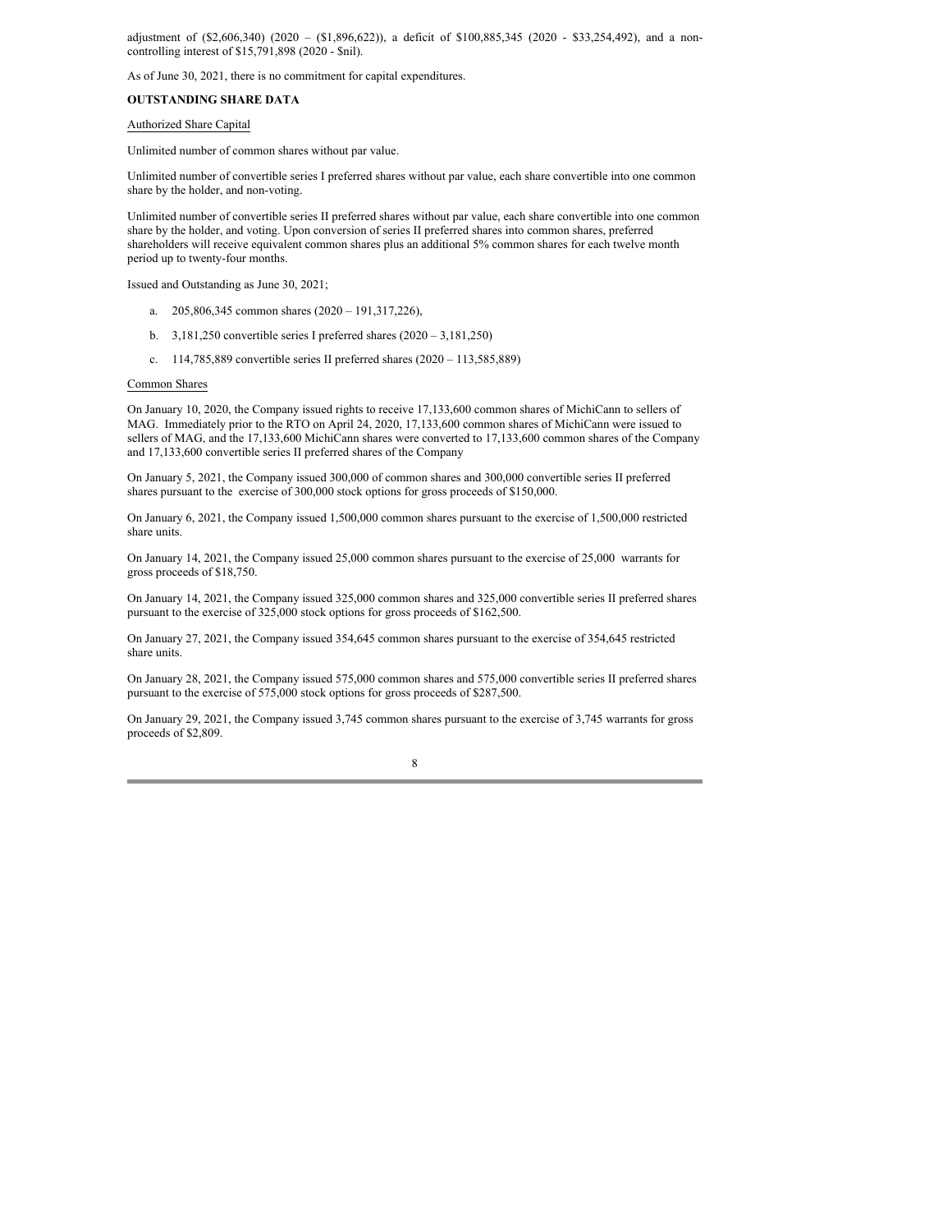adjustment of (\$2,606,340) (2020 – (\$1,896,622)), a deficit of \$100,885,345 (2020 - \$33,254,492), and a noncontrolling interest of \$15,791,898 (2020 - \$nil).

As of June 30, 2021, there is no commitment for capital expenditures.

#### **OUTSTANDING SHARE DATA**

#### Authorized Share Capital

Unlimited number of common shares without par value.

Unlimited number of convertible series I preferred shares without par value, each share convertible into one common share by the holder, and non-voting.

Unlimited number of convertible series II preferred shares without par value, each share convertible into one common share by the holder, and voting. Upon conversion of series II preferred shares into common shares, preferred shareholders will receive equivalent common shares plus an additional 5% common shares for each twelve month period up to twenty-four months.

Issued and Outstanding as June 30, 2021;

- 205,806,345 common shares (2020 191,317,226), a.
- 3,181,250 convertible series I preferred shares (2020 3,181,250) b.
- 114,785,889 convertible series II preferred shares (2020 113,585,889) c.

#### Common Shares

On January 10, 2020, the Company issued rights to receive 17,133,600 common shares of MichiCann to sellers of MAG. Immediately prior to the RTO on April 24, 2020, 17,133,600 common shares of MichiCann were issued to sellers of MAG, and the 17,133,600 MichiCann shares were converted to 17,133,600 common shares of the Company and 17,133,600 convertible series II preferred shares of the Company

On January 5, 2021, the Company issued 300,000 of common shares and 300,000 convertible series II preferred shares pursuant to the exercise of 300,000 stock options for gross proceeds of \$150,000.

On January 6, 2021, the Company issued 1,500,000 common shares pursuant to the exercise of 1,500,000 restricted share units.

On January 14, 2021, the Company issued 25,000 common shares pursuant to the exercise of 25,000 warrants for gross proceeds of \$18,750.

On January 14, 2021, the Company issued 325,000 common shares and 325,000 convertible series II preferred shares pursuant to the exercise of 325,000 stock options for gross proceeds of \$162,500.

On January 27, 2021, the Company issued 354,645 common shares pursuant to the exercise of 354,645 restricted share units.

On January 28, 2021, the Company issued 575,000 common shares and 575,000 convertible series II preferred shares pursuant to the exercise of 575,000 stock options for gross proceeds of \$287,500.

On January 29, 2021, the Company issued 3,745 common shares pursuant to the exercise of 3,745 warrants for gross proceeds of \$2,809.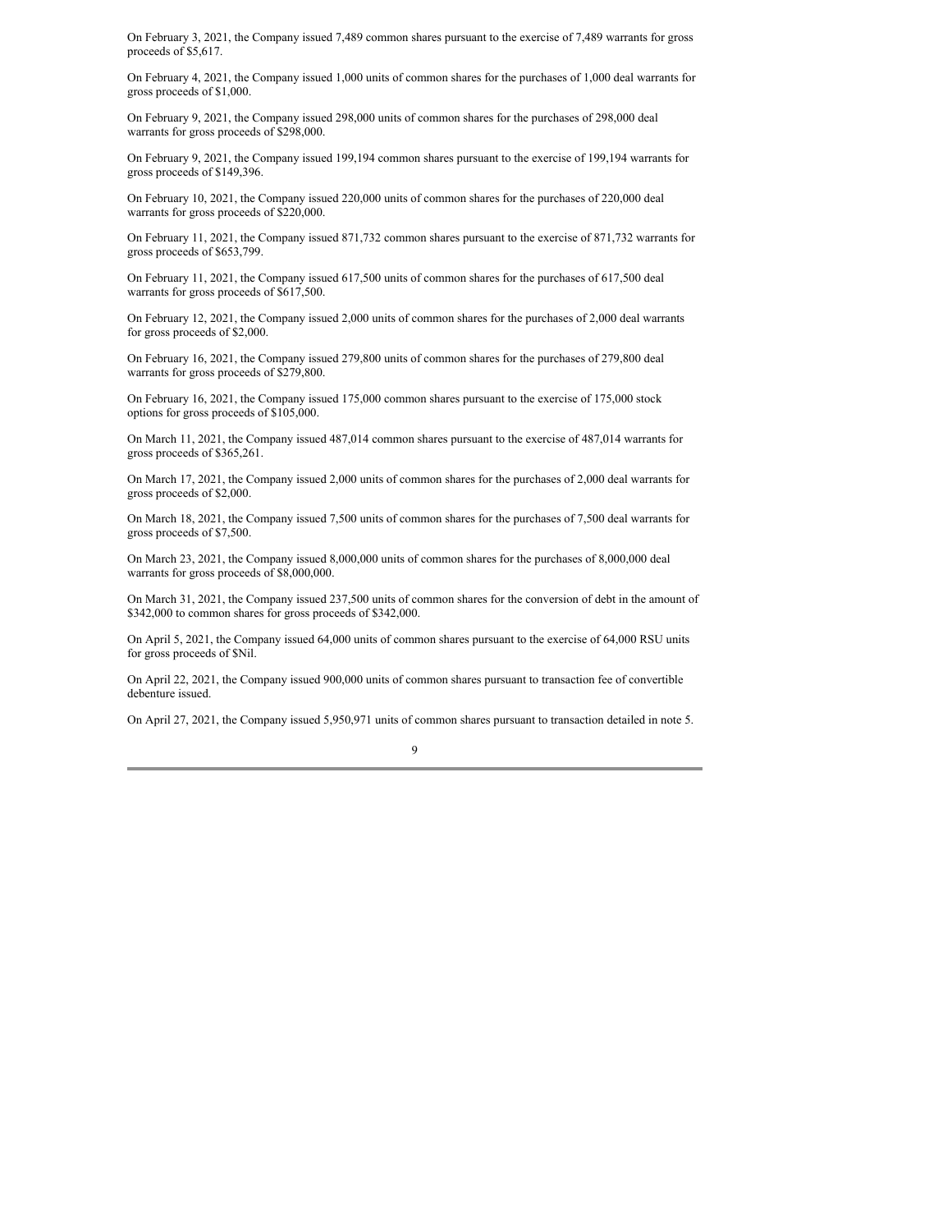<span id="page-59-0"></span>On February 3, 2021, the Company issued 7,489 common shares pursuant to the exercise of 7,489 warrants for gross proceeds of \$5,617.

On February 4, 2021, the Company issued 1,000 units of common shares for the purchases of 1,000 deal warrants for gross proceeds of \$1,000.

On February 9, 2021, the Company issued 298,000 units of common shares for the purchases of 298,000 deal warrants for gross proceeds of \$298,000.

On February 9, 2021, the Company issued 199,194 common shares pursuant to the exercise of 199,194 warrants for gross proceeds of \$149,396.

On February 10, 2021, the Company issued 220,000 units of common shares for the purchases of 220,000 deal warrants for gross proceeds of \$220,000.

On February 11, 2021, the Company issued 871,732 common shares pursuant to the exercise of 871,732 warrants for gross proceeds of \$653,799.

On February 11, 2021, the Company issued 617,500 units of common shares for the purchases of 617,500 deal warrants for gross proceeds of \$617,500.

On February 12, 2021, the Company issued 2,000 units of common shares for the purchases of 2,000 deal warrants for gross proceeds of \$2,000.

On February 16, 2021, the Company issued 279,800 units of common shares for the purchases of 279,800 deal warrants for gross proceeds of \$279,800.

On February 16, 2021, the Company issued 175,000 common shares pursuant to the exercise of 175,000 stock options for gross proceeds of \$105,000.

On March 11, 2021, the Company issued 487,014 common shares pursuant to the exercise of 487,014 warrants for gross proceeds of \$365,261.

On March 17, 2021, the Company issued 2,000 units of common shares for the purchases of 2,000 deal warrants for gross proceeds of \$2,000.

On March 18, 2021, the Company issued 7,500 units of common shares for the purchases of 7,500 deal warrants for gross proceeds of \$7,500.

On March 23, 2021, the Company issued 8,000,000 units of common shares for the purchases of 8,000,000 deal warrants for gross proceeds of \$8,000,000.

On March 31, 2021, the Company issued 237,500 units of common shares for the conversion of debt in the amount of \$342,000 to common shares for gross proceeds of \$342,000.

On April 5, 2021, the Company issued 64,000 units of common shares pursuant to the exercise of 64,000 RSU units for gross proceeds of \$Nil.

On April 22, 2021, the Company issued 900,000 units of common shares pursuant to transaction fee of convertible debenture issued.

On April 27, 2021, the Company issued 5,950,971 units of common shares pursuant to transaction detailed in note 5.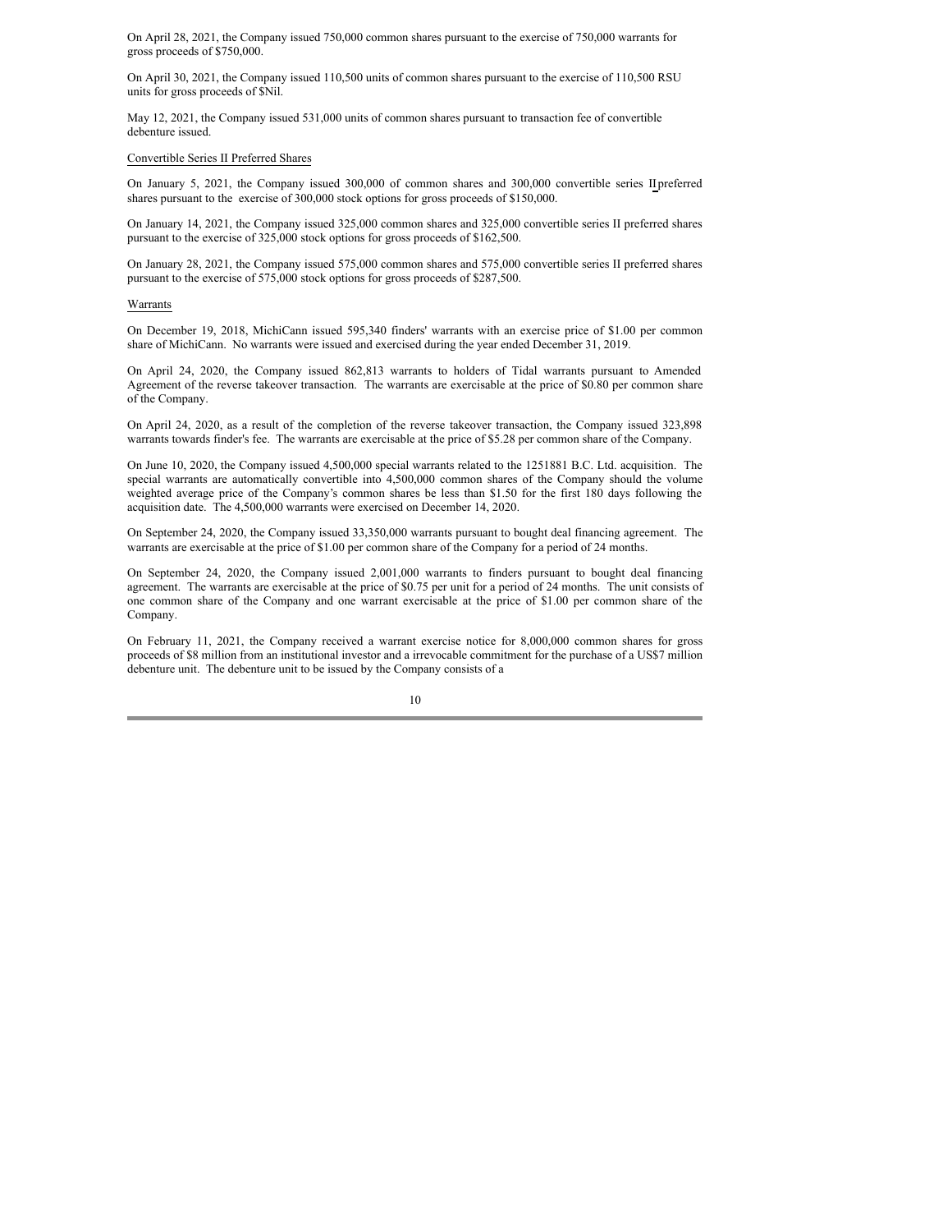On April 28, 2021, the Company issued 750,000 common shares pursuant to the exercise of 750,000 warrants for gross proceeds of \$750,000.

On April 30, 2021, the Company issued 110,500 units of common shares pursuant to the exercise of 110,500 RSU units for gross proceeds of \$Nil.

May 12, 2021, the Company issued 531,000 units of common shares pursuant to transaction fee of convertible debenture issued.

#### Convertible Series II Preferred Shares

On January 5, 2021, the Company issued 300,000 of common shares and 300,000 convertible series IIpreferred shares pursuant to the exercise of 300,000 stock options for gross proceeds of \$150,000.

On January 14, 2021, the Company issued 325,000 common shares and 325,000 convertible series II preferred shares pursuant to the exercise of 325,000 stock options for gross proceeds of \$162,500.

On January 28, 2021, the Company issued 575,000 common shares and 575,000 convertible series II preferred shares pursuant to the exercise of 575,000 stock options for gross proceeds of \$287,500.

#### Warrants

On December 19, 2018, MichiCann issued 595,340 finders' warrants with an exercise price of \$1.00 per common share of MichiCann. No warrants were issued and exercised during the year ended December 31, 2019.

On April 24, 2020, the Company issued 862,813 warrants to holders of Tidal warrants pursuant to Amended Agreement of the reverse takeover transaction. The warrants are exercisable at the price of \$0.80 per common share of the Company.

On April 24, 2020, as a result of the completion of the reverse takeover transaction, the Company issued 323,898 warrants towards finder's fee. The warrants are exercisable at the price of \$5.28 per common share of the Company.

On June 10, 2020, the Company issued 4,500,000 special warrants related to the 1251881 B.C. Ltd. acquisition. The special warrants are automatically convertible into 4,500,000 common shares of the Company should the volume weighted average price of the Company's common shares be less than \$1.50 for the first 180 days following the acquisition date. The 4,500,000 warrants were exercised on December 14, 2020.

On September 24, 2020, the Company issued 33,350,000 warrants pursuant to bought deal financing agreement. The warrants are exercisable at the price of \$1.00 per common share of the Company for a period of 24 months.

On September 24, 2020, the Company issued 2,001,000 warrants to finders pursuant to bought deal financing agreement. The warrants are exercisable at the price of \$0.75 per unit for a period of 24 months. The unit consists of one common share of the Company and one warrant exercisable at the price of \$1.00 per common share of the Company.

On February 11, 2021, the Company received a warrant exercise notice for 8,000,000 common shares for gross proceeds of \$8 million from an institutional investor and a irrevocable commitment for the purchase of a US\$7 million debenture unit. The debenture unit to be issued by the Company consists of a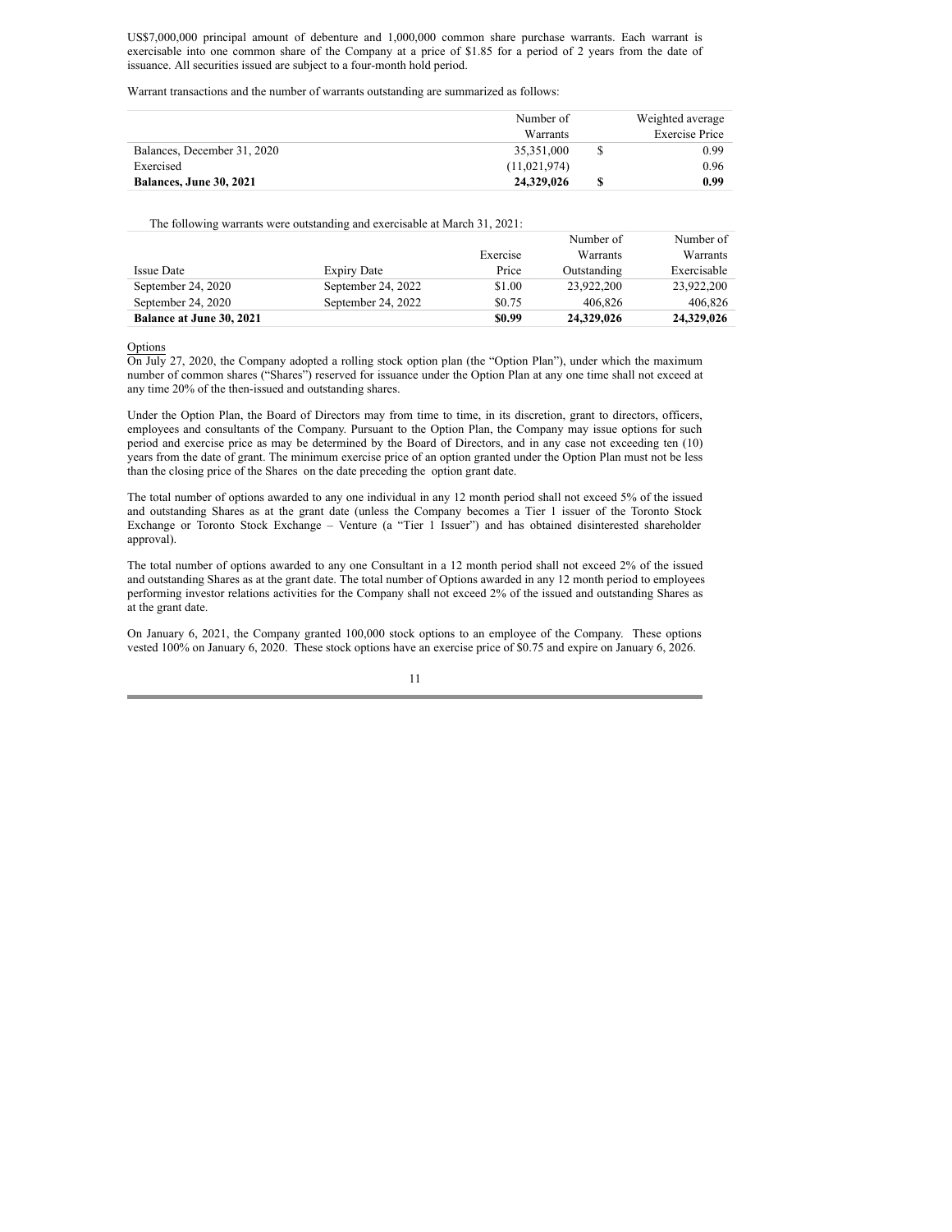US\$7,000,000 principal amount of debenture and 1,000,000 common share purchase warrants. Each warrant is exercisable into one common share of the Company at a price of \$1.85 for a period of 2 years from the date of issuance. All securities issued are subject to a four-month hold period.

Warrant transactions and the number of warrants outstanding are summarized as follows:

|                                | Number of    | Weighted average      |
|--------------------------------|--------------|-----------------------|
|                                | Warrants     | <b>Exercise Price</b> |
| Balances, December 31, 2020    | 35,351,000   | 0.99                  |
| Exercised                      | (11,021,974) | 0.96                  |
| <b>Balances, June 30, 2021</b> | 24,329,026   | 0.99                  |

The following warrants were outstanding and exercisable at March 31, 2021:

|                                 |                    |          | Number of   | Number of   |
|---------------------------------|--------------------|----------|-------------|-------------|
|                                 |                    | Exercise | Warrants    | Warrants    |
| <b>Issue Date</b>               | <b>Expiry Date</b> | Price    | Outstanding | Exercisable |
| September 24, 2020              | September 24, 2022 | \$1.00   | 23.922.200  | 23,922,200  |
| September 24, 2020              | September 24, 2022 | \$0.75   | 406,826     | 406,826     |
| <b>Balance at June 30, 2021</b> |                    | \$0.99   | 24.329,026  | 24,329,026  |

Options

On July 27, 2020, the Company adopted a rolling stock option plan (the "Option Plan"), under which the maximum number of common shares ("Shares") reserved for issuance under the Option Plan at any one time shall not exceed at any time 20% of the then-issued and outstanding shares.

Under the Option Plan, the Board of Directors may from time to time, in its discretion, grant to directors, officers, employees and consultants of the Company. Pursuant to the Option Plan, the Company may issue options for such period and exercise price as may be determined by the Board of Directors, and in any case not exceeding ten (10) years from the date of grant. The minimum exercise price of an option granted under the Option Plan must not be less than the closing price of the Shares on the date preceding the option grant date.

The total number of options awarded to any one individual in any 12 month period shall not exceed 5% of the issued and outstanding Shares as at the grant date (unless the Company becomes a Tier 1 issuer of the Toronto Stock Exchange or Toronto Stock Exchange – Venture (a "Tier 1 Issuer") and has obtained disinterested shareholder approval).

The total number of options awarded to any one Consultant in a 12 month period shall not exceed 2% of the issued and outstanding Shares as at the grant date. The total number of Options awarded in any 12 month period to employees performing investor relations activities for the Company shall not exceed 2% of the issued and outstanding Shares as at the grant date.

On January 6, 2021, the Company granted 100,000 stock options to an employee of the Company. These options vested 100% on January 6, 2020. These stock options have an exercise price of \$0.75 and expire on January 6, 2026.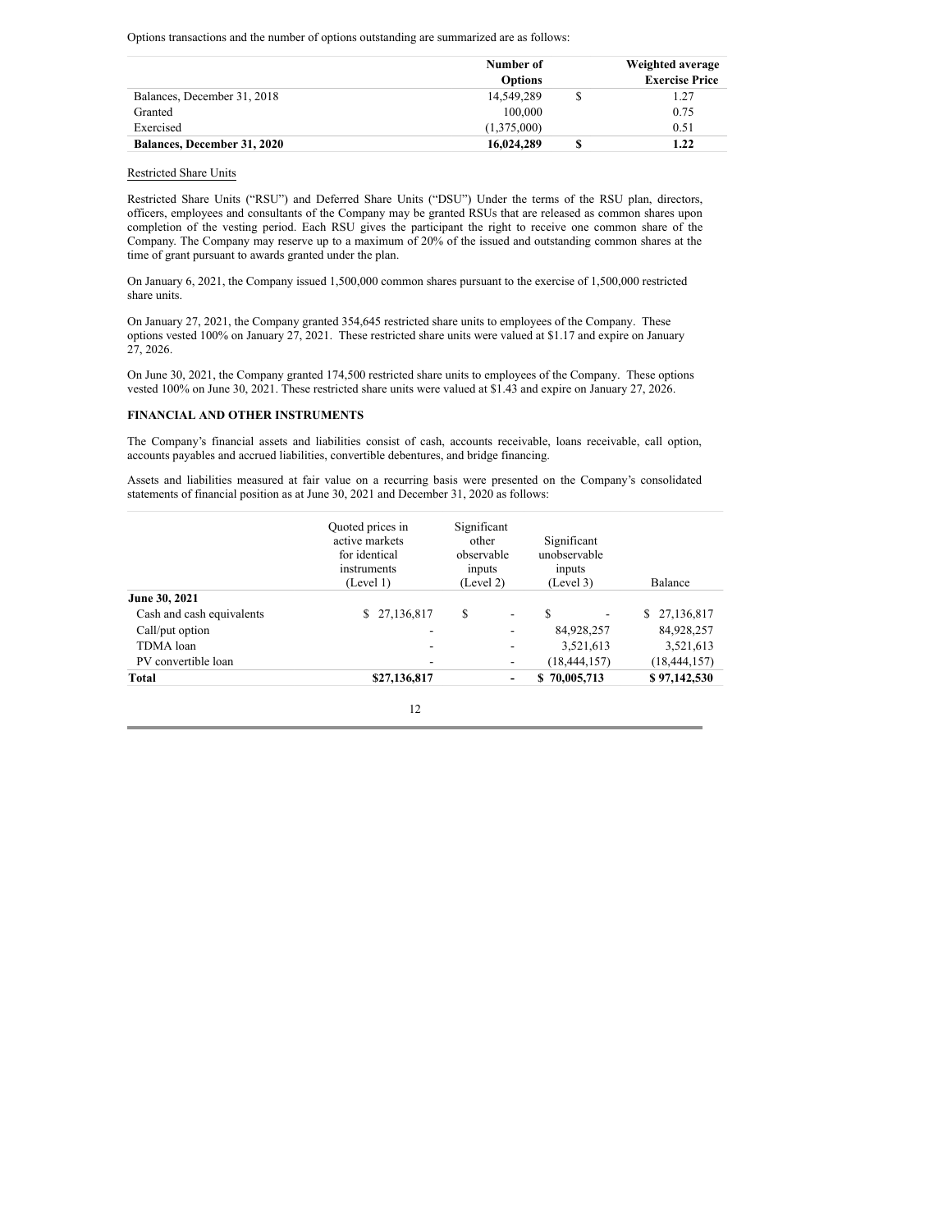Options transactions and the number of options outstanding are summarized are as follows:

|                                    | Number of      | Weighted average      |
|------------------------------------|----------------|-----------------------|
|                                    | <b>Options</b> | <b>Exercise Price</b> |
| Balances, December 31, 2018        | 14.549.289     | 1.27                  |
| Granted                            | 100,000        | 0.75                  |
| Exercised                          | (1.375,000)    | 0.51                  |
| <b>Balances, December 31, 2020</b> | 16,024,289     | 1.22                  |

#### Restricted Share Units

Restricted Share Units ("RSU") and Deferred Share Units ("DSU") Under the terms of the RSU plan, directors, officers, employees and consultants of the Company may be granted RSUs that are released as common shares upon completion of the vesting period. Each RSU gives the participant the right to receive one common share of the Company. The Company may reserve up to a maximum of 20% of the issued and outstanding common shares at the time of grant pursuant to awards granted under the plan.

On January 6, 2021, the Company issued 1,500,000 common shares pursuant to the exercise of 1,500,000 restricted share units.

On January 27, 2021, the Company granted 354,645 restricted share units to employees of the Company. These options vested 100% on January 27, 2021. These restricted share units were valued at \$1.17 and expire on January 27, 2026.

On June 30, 2021, the Company granted 174,500 restricted share units to employees of the Company. These options vested 100% on June 30, 2021. These restricted share units were valued at \$1.43 and expire on January 27, 2026.

#### **FINANCIAL AND OTHER INSTRUMENTS**

The Company's financial assets and liabilities consist of cash, accounts receivable, loans receivable, call option, accounts payables and accrued liabilities, convertible debentures, and bridge financing.

Assets and liabilities measured at fair value on a recurring basis were presented on the Company's consolidated statements of financial position as at June 30, 2021 and December 31, 2020 as follows:

|                           | Quoted prices in<br>active markets<br>for identical<br>instruments<br>(Level 1) | Significant<br>other<br>observable<br>inputs<br>(Level 2) |                          | Significant<br>unobservable<br>inputs<br>(Level 3) |                | Balance          |
|---------------------------|---------------------------------------------------------------------------------|-----------------------------------------------------------|--------------------------|----------------------------------------------------|----------------|------------------|
| June 30, 2021             |                                                                                 |                                                           |                          |                                                    |                |                  |
| Cash and cash equivalents | 27,136,817                                                                      | \$                                                        | $\overline{\phantom{a}}$ | S                                                  | -              | \$<br>27,136,817 |
| Call/put option           | $\overline{\phantom{a}}$                                                        |                                                           | $\overline{\phantom{a}}$ |                                                    | 84,928,257     | 84,928,257       |
| TDMA loan                 | $\overline{\phantom{a}}$                                                        |                                                           | $\blacksquare$           |                                                    | 3,521,613      | 3,521,613        |
| PV convertible loan       | $\overline{\phantom{a}}$                                                        |                                                           | $\overline{\phantom{a}}$ |                                                    | (18, 444, 157) | (18, 444, 157)   |
| Total                     | \$27,136,817                                                                    |                                                           | -                        | \$70,005,713                                       |                | \$97,142,530     |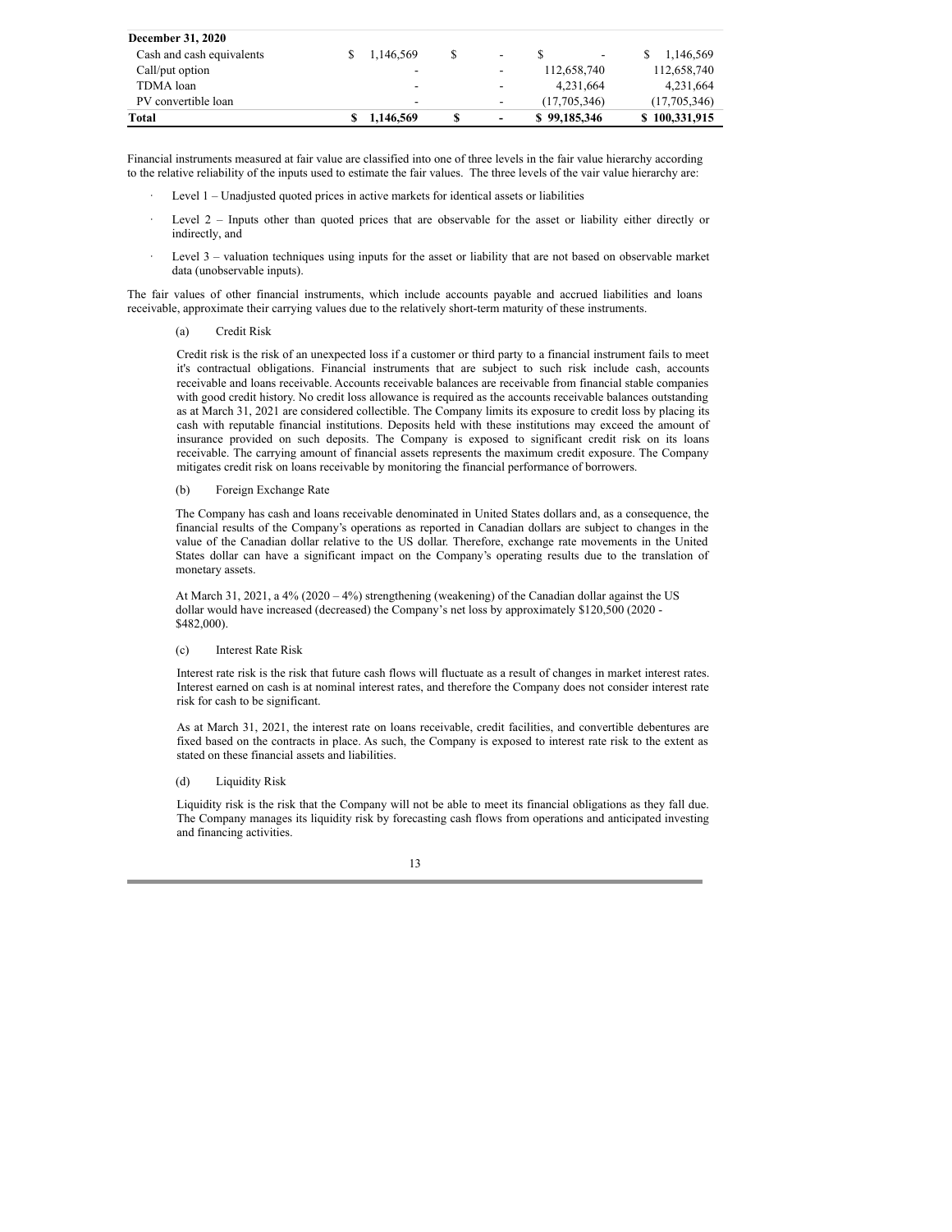| <b>December 31, 2020</b>  |                          |                          |              |               |
|---------------------------|--------------------------|--------------------------|--------------|---------------|
| Cash and cash equivalents | 1,146,569                | -                        | S<br>۰.      | 1,146,569     |
| Call/put option           | $\overline{\phantom{0}}$ | $\overline{\phantom{a}}$ | 112,658,740  | 112,658,740   |
| TDMA loan                 | $\overline{\phantom{0}}$ | -                        | 4.231.664    | 4.231.664     |
| PV convertible loan       | $\overline{\phantom{a}}$ | ٠                        | (17,705,346) | (17,705,346)  |
| Total                     | 1,146,569                | $\overline{\phantom{0}}$ | \$99,185,346 | \$100,331,915 |

Financial instruments measured at fair value are classified into one of three levels in the fair value hierarchy according to the relative reliability of the inputs used to estimate the fair values. The three levels of the vair value hierarchy are:

- Level 1 Unadjusted quoted prices in active markets for identical assets or liabilities ·
- Level 2 Inputs other than quoted prices that are observable for the asset or liability either directly or indirectly, and ·
- Level 3 valuation techniques using inputs for the asset or liability that are not based on observable market data (unobservable inputs). ·

The fair values of other financial instruments, which include accounts payable and accrued liabilities and loans receivable, approximate their carrying values due to the relatively short-term maturity of these instruments.

Credit Risk (a)

Credit risk is the risk of an unexpected loss if a customer or third party to a financial instrument fails to meet it's contractual obligations. Financial instruments that are subject to such risk include cash, accounts receivable and loans receivable. Accounts receivable balances are receivable from financial stable companies with good credit history. No credit loss allowance is required as the accounts receivable balances outstanding as at March 31, 2021 are considered collectible. The Company limits its exposure to credit loss by placing its cash with reputable financial institutions. Deposits held with these institutions may exceed the amount of insurance provided on such deposits. The Company is exposed to significant credit risk on its loans receivable. The carrying amount of financial assets represents the maximum credit exposure. The Company mitigates credit risk on loans receivable by monitoring the financial performance of borrowers.

#### Foreign Exchange Rate (b)

The Company has cash and loans receivable denominated in United States dollars and, as a consequence, the financial results of the Company's operations as reported in Canadian dollars are subject to changes in the value of the Canadian dollar relative to the US dollar. Therefore, exchange rate movements in the United States dollar can have a significant impact on the Company's operating results due to the translation of monetary assets.

At March 31, 2021, a 4% (2020 – 4%) strengthening (weakening) of the Canadian dollar against the US dollar would have increased (decreased) the Company's net loss by approximately \$120,500 (2020 - \$482,000).

#### Interest Rate Risk  $(c)$

Interest rate risk is the risk that future cash flows will fluctuate as a result of changes in market interest rates. Interest earned on cash is at nominal interest rates, and therefore the Company does not consider interest rate risk for cash to be significant.

As at March 31, 2021, the interest rate on loans receivable, credit facilities, and convertible debentures are fixed based on the contracts in place. As such, the Company is exposed to interest rate risk to the extent as stated on these financial assets and liabilities.

#### Liquidity Risk (d)

Liquidity risk is the risk that the Company will not be able to meet its financial obligations as they fall due. The Company manages its liquidity risk by forecasting cash flows from operations and anticipated investing and financing activities.

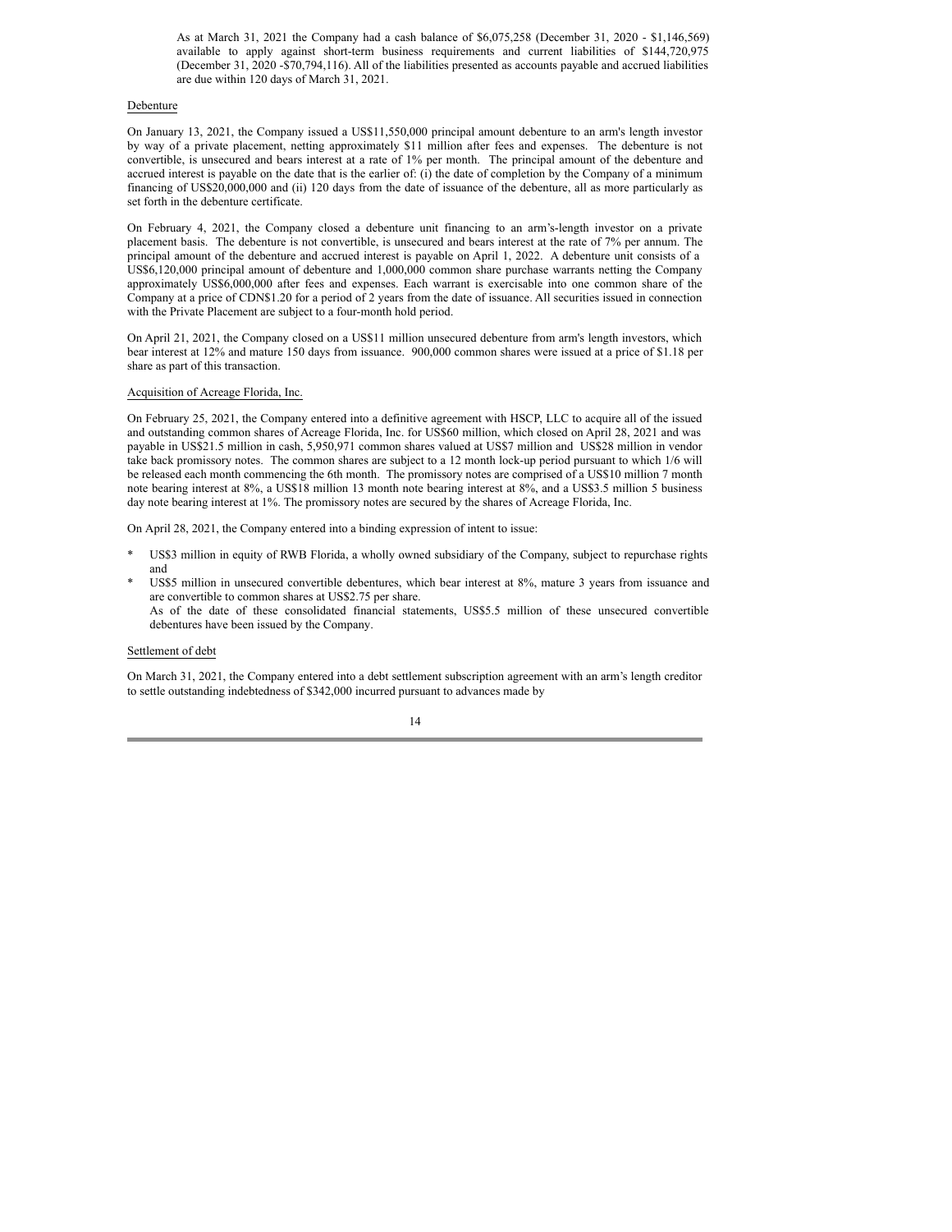As at March 31, 2021 the Company had a cash balance of \$6,075,258 (December 31, 2020 - \$1,146,569) available to apply against short-term business requirements and current liabilities of \$144,720,975 (December 31, 2020 -\$70,794,116). All of the liabilities presented as accounts payable and accrued liabilities are due within 120 days of March 31, 2021.

#### Debenture

On January 13, 2021, the Company issued a US\$11,550,000 principal amount debenture to an arm's length investor by way of a private placement, netting approximately \$11 million after fees and expenses. The debenture is not convertible, is unsecured and bears interest at a rate of 1% per month. The principal amount of the debenture and accrued interest is payable on the date that is the earlier of:  $(i)$  the date of completion by the Company of a minimum financing of US\$20,000,000 and (ii) 120 days from the date of issuance of the debenture, all as more particularly as set forth in the debenture certificate.

On February 4, 2021, the Company closed a debenture unit financing to an arm's-length investor on a private placement basis. The debenture is not convertible, is unsecured and bears interest at the rate of 7% per annum. The principal amount of the debenture and accrued interest is payable on April 1, 2022. A debenture unit consists of a US\$6,120,000 principal amount of debenture and 1,000,000 common share purchase warrants netting the Company approximately US\$6,000,000 after fees and expenses. Each warrant is exercisable into one common share of the Company at a price of CDN\$1.20 for a period of 2 years from the date of issuance. All securities issued in connection with the Private Placement are subject to a four-month hold period.

On April 21, 2021, the Company closed on a US\$11 million unsecured debenture from arm's length investors, which bear interest at 12% and mature 150 days from issuance. 900,000 common shares were issued at a price of \$1.18 per share as part of this transaction.

#### Acquisition of Acreage Florida, Inc.

On February 25, 2021, the Company entered into a definitive agreement with HSCP, LLC to acquire all of the issued and outstanding common shares of Acreage Florida, Inc. for US\$60 million, which closed on April 28, 2021 and was payable in US\$21.5 million in cash, 5,950,971 common shares valued at US\$7 million and US\$28 million in vendor take back promissory notes. The common shares are subject to a 12 month lock-up period pursuant to which 1/6 will be released each month commencing the 6th month. The promissory notes are comprised of a US\$10 million 7 month note bearing interest at 8%, a US\$18 million 13 month note bearing interest at 8%, and a US\$3.5 million 5 business day note bearing interest at 1%. The promissory notes are secured by the shares of Acreage Florida, Inc.

On April 28, 2021, the Company entered into a binding expression of intent to issue:

- US\$3 million in equity of RWB Florida, a wholly owned subsidiary of the Company, subject to repurchase rights and \*
- US\$5 million in unsecured convertible debentures, which bear interest at 8%, mature 3 years from issuance and are convertible to common shares at US\$2.75 per share. \*
	- As of the date of these consolidated financial statements, US\$5.5 million of these unsecured convertible debentures have been issued by the Company.

#### Settlement of debt

On March 31, 2021, the Company entered into a debt settlement subscription agreement with an arm's length creditor to settle outstanding indebtedness of \$342,000 incurred pursuant to advances made by

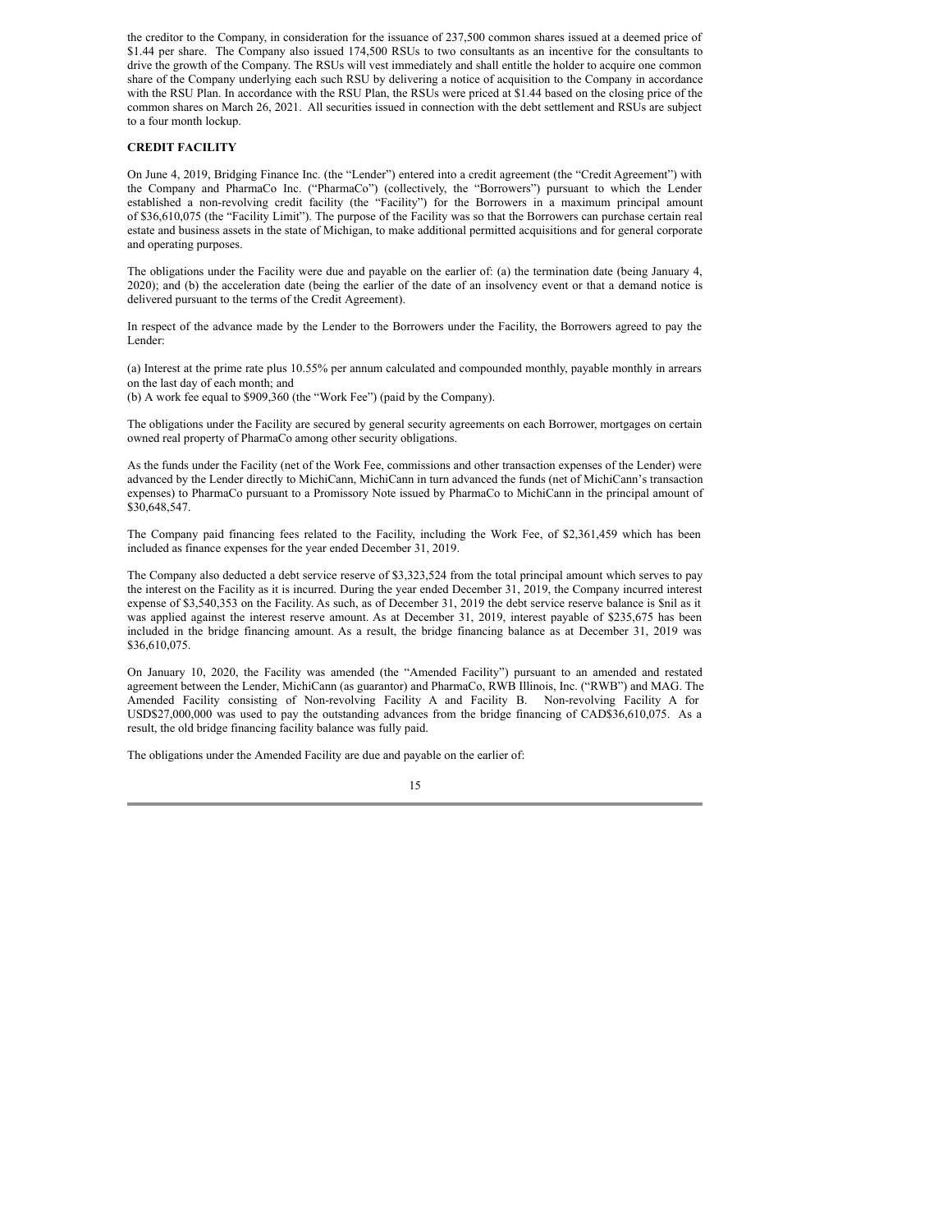the creditor to the Company, in consideration for the issuance of 237,500 common shares issued at a deemed price of \$1.44 per share. The Company also issued 174,500 RSUs to two consultants as an incentive for the consultants to drive the growth of the Company. The RSUs will vest immediately and shall entitle the holder to acquire one common share of the Company underlying each such RSU by delivering a notice of acquisition to the Company in accordance with the RSU Plan. In accordance with the RSU Plan, the RSUs were priced at \$1.44 based on the closing price of the common shares on March 26, 2021. All securities issued in connection with the debt settlement and RSUs are subject to a four month lockup.

## **CREDIT FACILITY**

On June 4, 2019, Bridging Finance Inc. (the "Lender") entered into a credit agreement (the "Credit Agreement") with the Company and PharmaCo Inc. ("PharmaCo") (collectively, the "Borrowers") pursuant to which the Lender established a non-revolving credit facility (the "Facility") for the Borrowers in a maximum principal amount of \$36,610,075 (the "Facility Limit"). The purpose of the Facility was so that the Borrowers can purchase certain real estate and business assets in the state of Michigan, to make additional permitted acquisitions and for general corporate and operating purposes.

The obligations under the Facility were due and payable on the earlier of: (a) the termination date (being January 4, 2020); and (b) the acceleration date (being the earlier of the date of an insolvency event or that a demand notice is delivered pursuant to the terms of the Credit Agreement).

In respect of the advance made by the Lender to the Borrowers under the Facility, the Borrowers agreed to pay the Lender:

(a) Interest at the prime rate plus 10.55% per annum calculated and compounded monthly, payable monthly in arrears on the last day of each month; and

(b) A work fee equal to \$909,360 (the "Work Fee") (paid by the Company).

The obligations under the Facility are secured by general security agreements on each Borrower, mortgages on certain owned real property of PharmaCo among other security obligations.

As the funds under the Facility (net of the Work Fee, commissions and other transaction expenses of the Lender) were advanced by the Lender directly to MichiCann, MichiCann in turn advanced the funds (net of MichiCann's transaction expenses) to PharmaCo pursuant to a Promissory Note issued by PharmaCo to MichiCann in the principal amount of \$30,648,547.

The Company paid financing fees related to the Facility, including the Work Fee, of \$2,361,459 which has been included as finance expenses for the year ended December 31, 2019.

The Company also deducted a debt service reserve of \$3,323,524 from the total principal amount which serves to pay the interest on the Facility as it is incurred. During the year ended December 31, 2019, the Company incurred interest expense of \$3,540,353 on the Facility. As such, as of December 31, 2019 the debt service reserve balance is \$nil as it was applied against the interest reserve amount. As at December 31, 2019, interest payable of \$235,675 has been included in the bridge financing amount. As a result, the bridge financing balance as at December 31, 2019 was \$36,610,075.

On January 10, 2020, the Facility was amended (the "Amended Facility") pursuant to an amended and restated agreement between the Lender, MichiCann (as guarantor) and PharmaCo, RWB Illinois, Inc. ("RWB") and MAG. The Amended Facility consisting of Non-revolving Facility A and Facility B. Non-revolving Facility A for USD\$27,000,000 was used to pay the outstanding advances from the bridge financing of CAD\$36,610,075. As a result, the old bridge financing facility balance was fully paid.

The obligations under the Amended Facility are due and payable on the earlier of: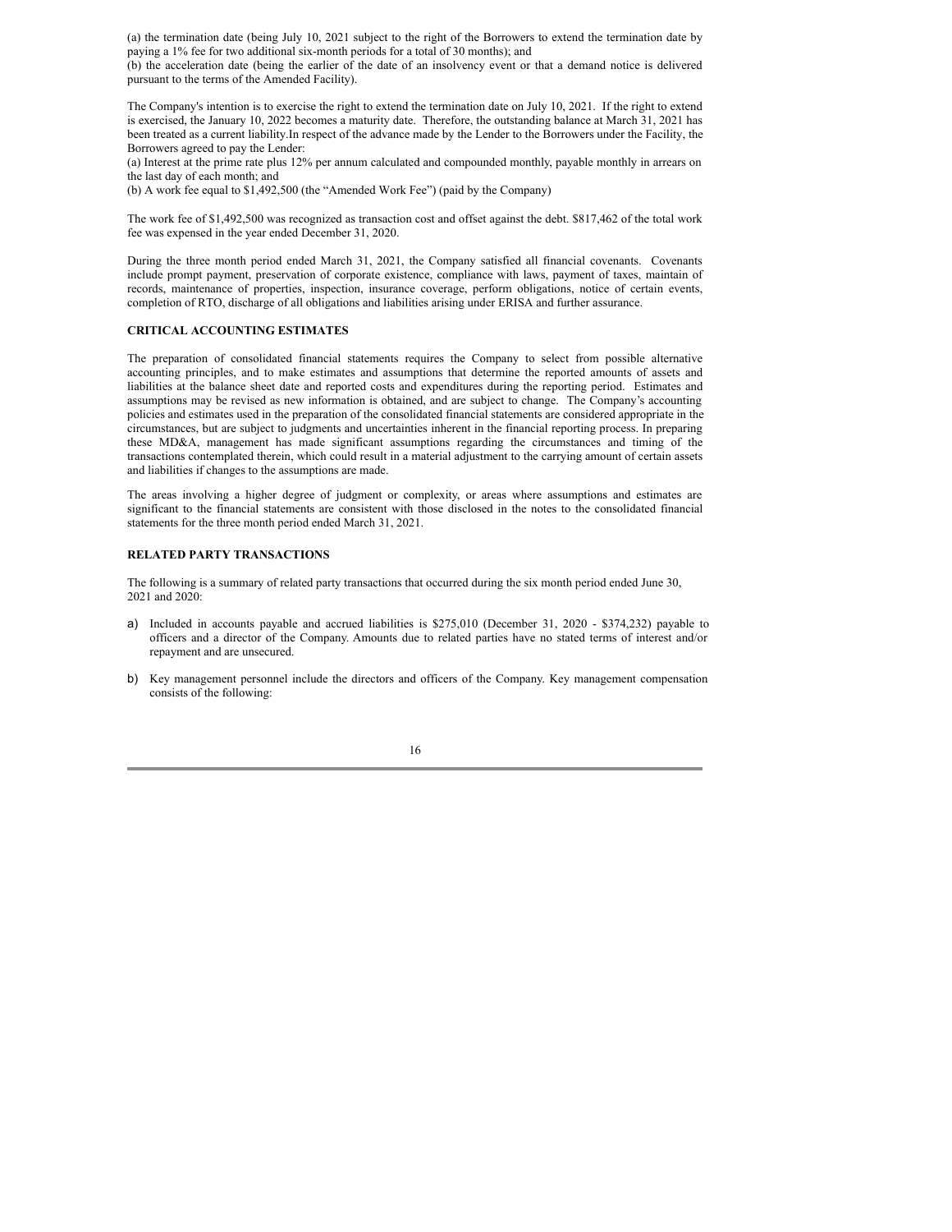(a) the termination date (being July 10, 2021 subject to the right of the Borrowers to extend the termination date by paying a 1% fee for two additional six-month periods for a total of 30 months); and

(b) the acceleration date (being the earlier of the date of an insolvency event or that a demand notice is delivered pursuant to the terms of the Amended Facility).

The Company's intention is to exercise the right to extend the termination date on July 10, 2021. If the right to extend is exercised, the January 10, 2022 becomes a maturity date. Therefore, the outstanding balance at March 31, 2021 has been treated as a current liability.In respect of the advance made by the Lender to the Borrowers under the Facility, the Borrowers agreed to pay the Lender:

(a) Interest at the prime rate plus 12% per annum calculated and compounded monthly, payable monthly in arrears on the last day of each month; and

(b) A work fee equal to \$1,492,500 (the "Amended Work Fee") (paid by the Company)

The work fee of \$1,492,500 was recognized as transaction cost and offset against the debt. \$817,462 of the total work fee was expensed in the year ended December 31, 2020.

During the three month period ended March 31, 2021, the Company satisfied all financial covenants. Covenants include prompt payment, preservation of corporate existence, compliance with laws, payment of taxes, maintain of records, maintenance of properties, inspection, insurance coverage, perform obligations, notice of certain events, completion of RTO, discharge of all obligations and liabilities arising under ERISA and further assurance.

### **CRITICAL ACCOUNTING ESTIMATES**

The preparation of consolidated financial statements requires the Company to select from possible alternative accounting principles, and to make estimates and assumptions that determine the reported amounts of assets and liabilities at the balance sheet date and reported costs and expenditures during the reporting period. Estimates and assumptions may be revised as new information is obtained, and are subject to change. The Company's accounting policies and estimates used in the preparation of the consolidated financial statements are considered appropriate in the circumstances, but are subject to judgments and uncertainties inherent in the financial reporting process. In preparing these MD&A, management has made significant assumptions regarding the circumstances and timing of the transactions contemplated therein, which could result in a material adjustment to the carrying amount of certain assets and liabilities if changes to the assumptions are made.

The areas involving a higher degree of judgment or complexity, or areas where assumptions and estimates are significant to the financial statements are consistent with those disclosed in the notes to the consolidated financial statements for the three month period ended March 31, 2021.

### **RELATED PARTY TRANSACTIONS**

The following is a summary of related party transactions that occurred during the six month period ended June 30, 2021 and 2020:

- a) Included in accounts payable and accrued liabilities is \$275,010 (December 31, 2020 \$374,232) payable to officers and a director of the Company. Amounts due to related parties have no stated terms of interest and/or repayment and are unsecured.
- b) Key management personnel include the directors and officers of the Company. Key management compensation consists of the following: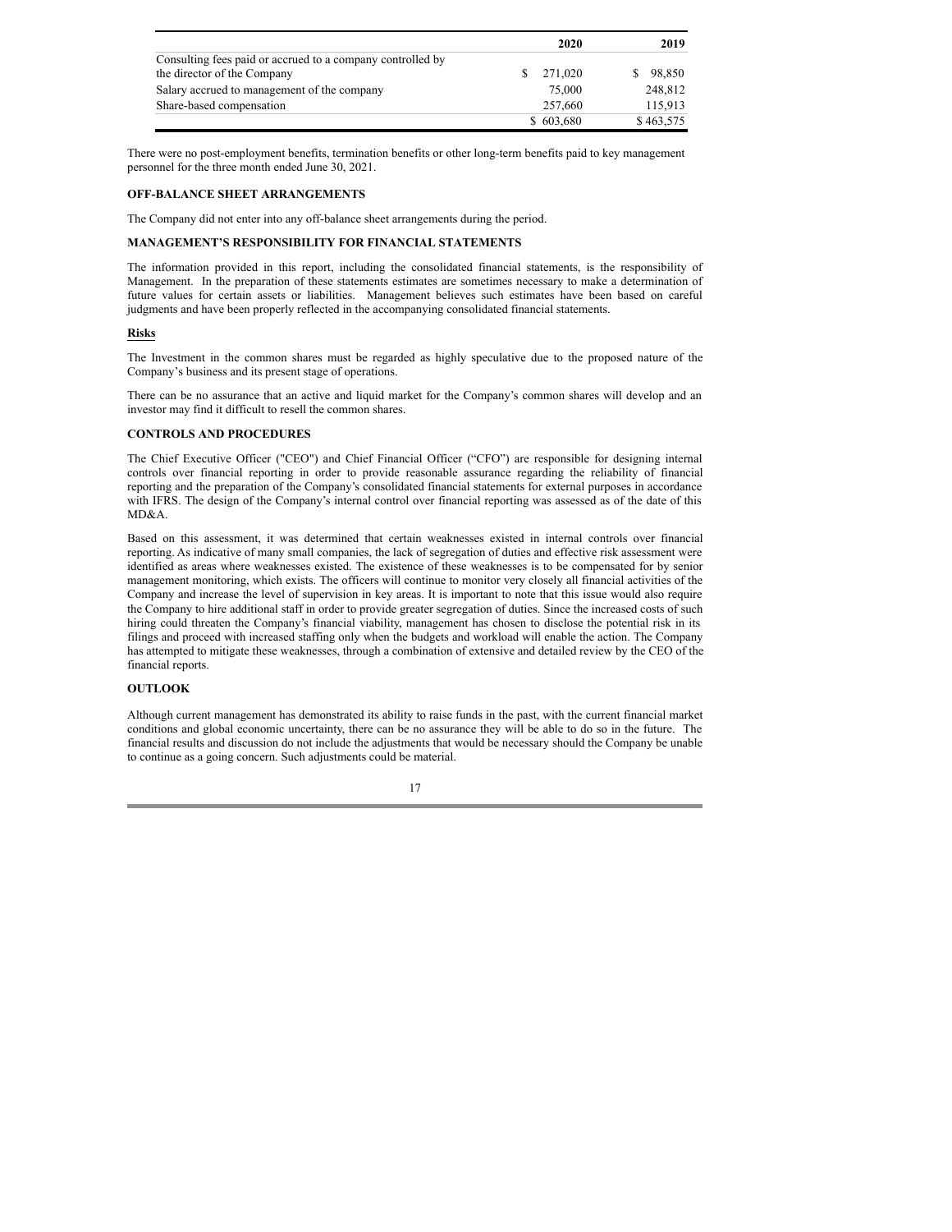|                                                            | 2020      | 2019      |
|------------------------------------------------------------|-----------|-----------|
| Consulting fees paid or accrued to a company controlled by |           |           |
| the director of the Company                                | 271,020   | 98,850    |
| Salary accrued to management of the company                | 75,000    | 248,812   |
| Share-based compensation                                   | 257,660   | 115.913   |
|                                                            | \$603,680 | \$463,575 |

There were no post-employment benefits, termination benefits or other long-term benefits paid to key management personnel for the three month ended June 30, 2021.

#### **OFF-BALANCE SHEET ARRANGEMENTS**

The Company did not enter into any off-balance sheet arrangements during the period.

## **MANAGEMENT'S RESPONSIBILITY FOR FINANCIAL STATEMENTS**

The information provided in this report, including the consolidated financial statements, is the responsibility of Management. In the preparation of these statements estimates are sometimes necessary to make a determination of future values for certain assets or liabilities. Management believes such estimates have been based on careful judgments and have been properly reflected in the accompanying consolidated financial statements.

## **Risks**

The Investment in the common shares must be regarded as highly speculative due to the proposed nature of the Company's business and its present stage of operations.

There can be no assurance that an active and liquid market for the Company's common shares will develop and an investor may find it difficult to resell the common shares.

### **CONTROLS AND PROCEDURES**

The Chief Executive Officer ("CEO") and Chief Financial Officer ("CFO") are responsible for designing internal controls over financial reporting in order to provide reasonable assurance regarding the reliability of financial reporting and the preparation of the Company's consolidated financial statements for external purposes in accordance with IFRS. The design of the Company's internal control over financial reporting was assessed as of the date of this MD&A.

Based on this assessment, it was determined that certain weaknesses existed in internal controls over financial reporting. As indicative of many small companies, the lack of segregation of duties and effective risk assessment were identified as areas where weaknesses existed. The existence of these weaknesses is to be compensated for by senior management monitoring, which exists. The officers will continue to monitor very closely all financial activities of the Company and increase the level of supervision in key areas. It is important to note that this issue would also require the Company to hire additional staff in order to provide greater segregation of duties. Since the increased costs of such hiring could threaten the Company's financial viability, management has chosen to disclose the potential risk in its filings and proceed with increased staffing only when the budgets and workload will enable the action. The Company has attempted to mitigate these weaknesses, through a combination of extensive and detailed review by the CEO of the financial reports.

#### **OUTLOOK**

Although current management has demonstrated its ability to raise funds in the past, with the current financial market conditions and global economic uncertainty, there can be no assurance they will be able to do so in the future. The financial results and discussion do not include the adjustments that would be necessary should the Company be unable to continue as a going concern. Such adjustments could be material.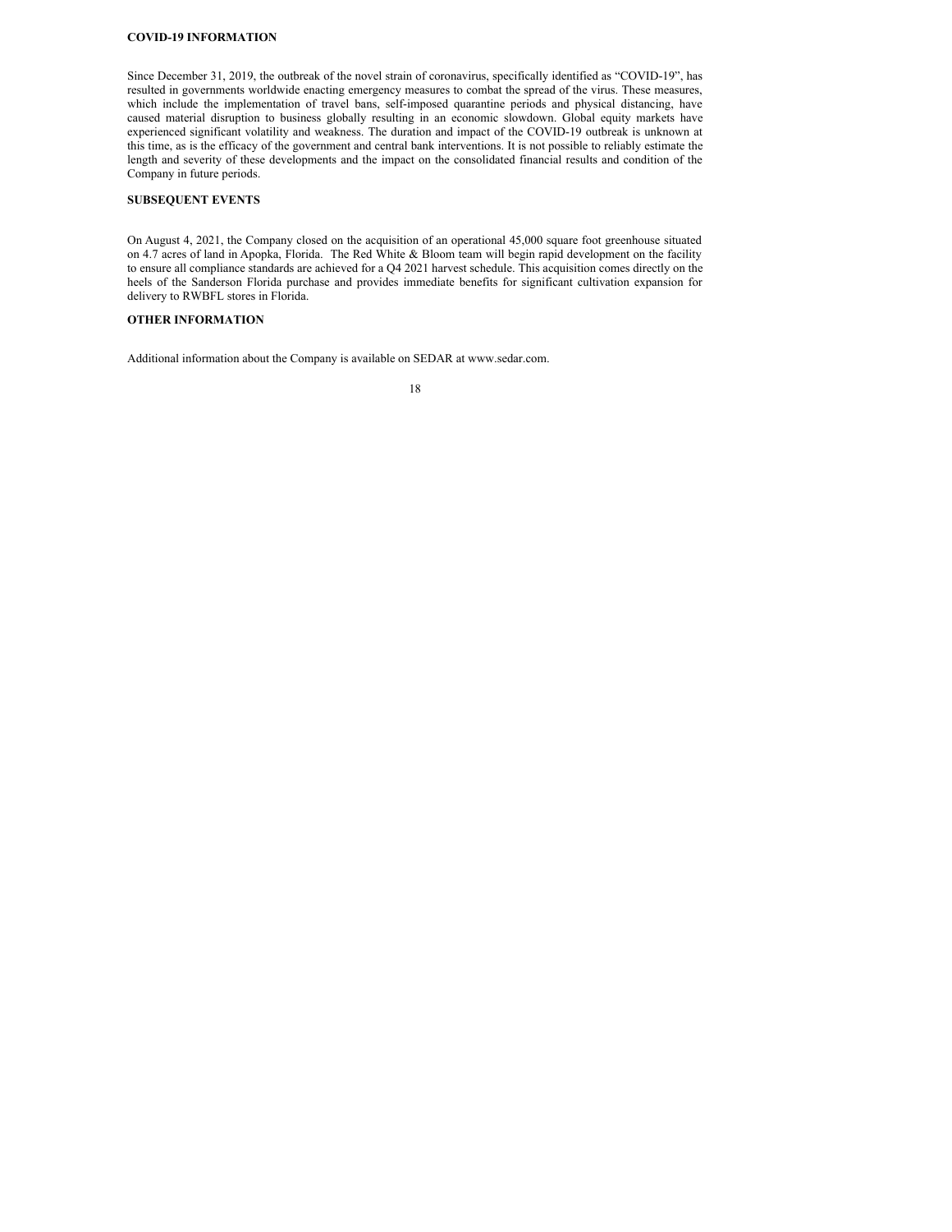## **COVID-19 INFORMATION**

Since December 31, 2019, the outbreak of the novel strain of coronavirus, specifically identified as "COVID-19", has resulted in governments worldwide enacting emergency measures to combat the spread of the virus. These measures, which include the implementation of travel bans, self-imposed quarantine periods and physical distancing, have caused material disruption to business globally resulting in an economic slowdown. Global equity markets have experienced significant volatility and weakness. The duration and impact of the COVID-19 outbreak is unknown at this time, as is the efficacy of the government and central bank interventions. It is not possible to reliably estimate the length and severity of these developments and the impact on the consolidated financial results and condition of the Company in future periods.

### **SUBSEQUENT EVENTS**

On August 4, 2021, the Company closed on the acquisition of an operational 45,000 square foot greenhouse situated on 4.7 acres of land in Apopka, Florida. The Red White & Bloom team will begin rapid development on the facility to ensure all compliance standards are achieved for a Q4 2021 harvest schedule. This acquisition comes directly on the heels of the Sanderson Florida purchase and provides immediate benefits for significant cultivation expansion for delivery to RWBFL stores in Florida.

### **OTHER INFORMATION**

Additional information about the Company is available on SEDAR at www.sedar.com.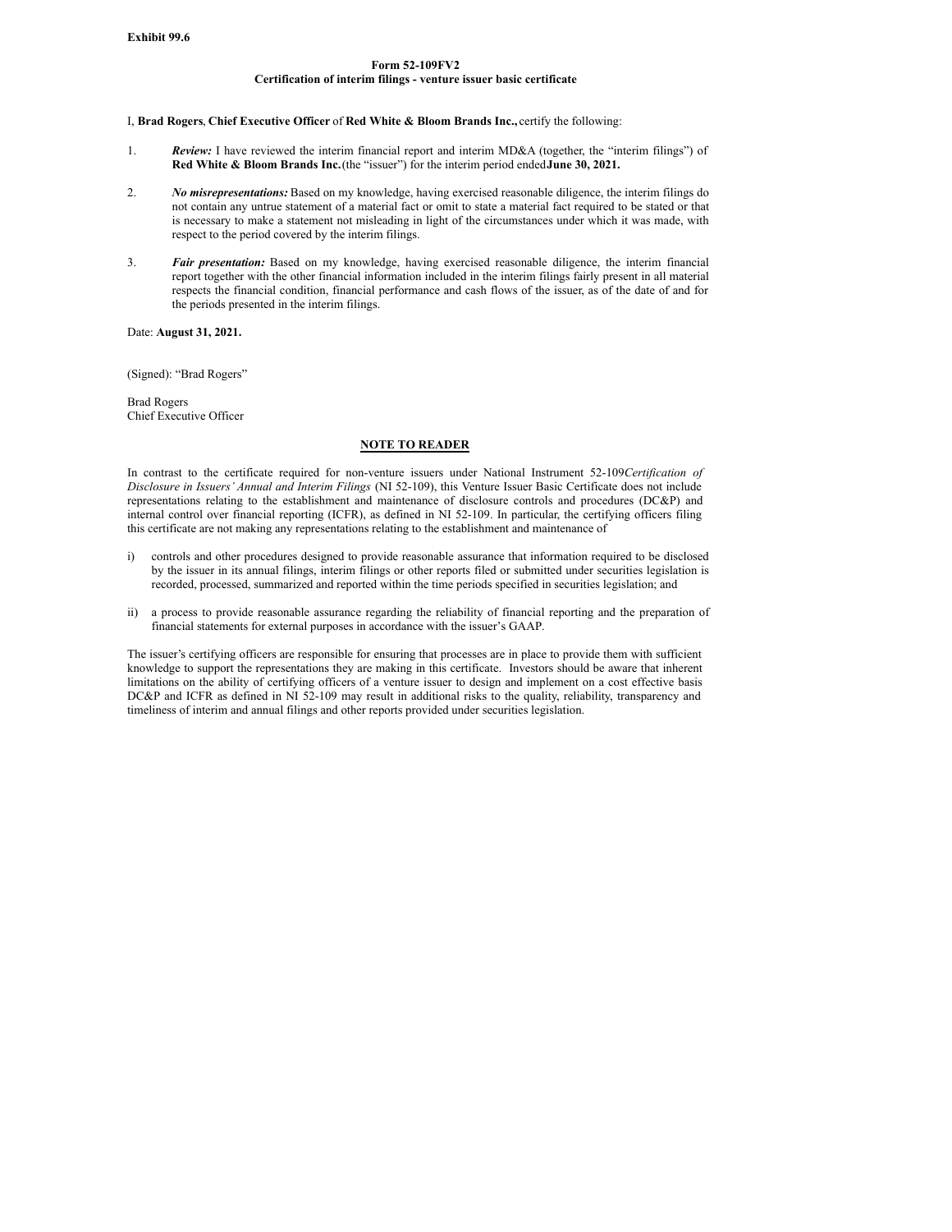## **Form 52-109FV2**

## **Certification of interim filings - venture issuer basic certificate**

<span id="page-69-0"></span>I, **Brad Rogers**, **Chief Executive Officer** of **Red White & Bloom Brands Inc.,** certify the following:

- *Review:* I have reviewed the interim financial report and interim MD&A (together, the "interim filings") of **Red White & Bloom Brands Inc.**(the "issuer") for the interim period ended**June 30, 2021.** 1.
- *No misrepresentations:* Based on my knowledge, having exercised reasonable diligence, the interim filings do not contain any untrue statement of a material fact or omit to state a material fact required to be stated or that is necessary to make a statement not misleading in light of the circumstances under which it was made, with respect to the period covered by the interim filings. 2.
- *Fair presentation:* Based on my knowledge, having exercised reasonable diligence, the interim financial report together with the other financial information included in the interim filings fairly present in all material respects the financial condition, financial performance and cash flows of the issuer, as of the date of and for the periods presented in the interim filings. 3.

Date: **August 31, 2021.**

(Signed): "Brad Rogers"

Brad Rogers Chief Executive Officer

## **NOTE TO READER**

In contrast to the certificate required for non-venture issuers under National Instrument 52-109*Certification of Disclosure in Issuers' Annual and Interim Filings* (NI 52-109), this Venture Issuer Basic Certificate does not include representations relating to the establishment and maintenance of disclosure controls and procedures (DC&P) and internal control over financial reporting (ICFR), as defined in NI 52-109. In particular, the certifying officers filing this certificate are not making any representations relating to the establishment and maintenance of

- controls and other procedures designed to provide reasonable assurance that information required to be disclosed by the issuer in its annual filings, interim filings or other reports filed or submitted under securities legislation is recorded, processed, summarized and reported within the time periods specified in securities legislation; and i)
- ii) a process to provide reasonable assurance regarding the reliability of financial reporting and the preparation of financial statements for external purposes in accordance with the issuer's GAAP.

The issuer's certifying officers are responsible for ensuring that processes are in place to provide them with sufficient knowledge to support the representations they are making in this certificate. Investors should be aware that inherent limitations on the ability of certifying officers of a venture issuer to design and implement on a cost effective basis DC&P and ICFR as defined in NI 52-109 may result in additional risks to the quality, reliability, transparency and timeliness of interim and annual filings and other reports provided under securities legislation.